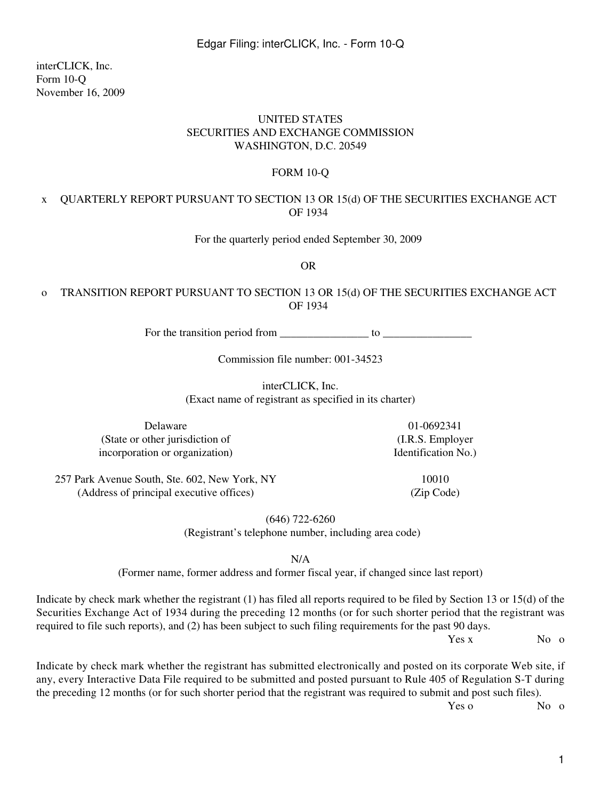interCLICK, Inc. Form 10-Q November 16, 2009

### UNITED STATES SECURITIES AND EXCHANGE COMMISSION WASHINGTON, D.C. 20549

### FORM 10-Q

### x QUARTERLY REPORT PURSUANT TO SECTION 13 OR 15(d) OF THE SECURITIES EXCHANGE ACT OF 1934

For the quarterly period ended September 30, 2009

OR

### o TRANSITION REPORT PURSUANT TO SECTION 13 OR 15(d) OF THE SECURITIES EXCHANGE ACT OF 1934

For the transition period from  $\frac{1}{\sqrt{1-\frac{1}{2}}}\$  to  $\frac{1}{\sqrt{1-\frac{1}{2}}}\$ 

Commission file number: 001-34523

interCLICK, Inc.

(Exact name of registrant as specified in its charter)

Delaware 01-0692341 (State or other jurisdiction of (I.R.S. Employer incorporation or organization) Identification No.

257 Park Avenue South, Ste. 602, New York, NY 10010 (Address of principal executive offices) (Zip Code)

(646) 722-6260

(Registrant's telephone number, including area code)

N/A

(Former name, former address and former fiscal year, if changed since last report)

Indicate by check mark whether the registrant (1) has filed all reports required to be filed by Section 13 or 15(d) of the Securities Exchange Act of 1934 during the preceding 12 months (or for such shorter period that the registrant was required to file such reports), and (2) has been subject to such filing requirements for the past 90 days.

Yes x No o

Indicate by check mark whether the registrant has submitted electronically and posted on its corporate Web site, if any, every Interactive Data File required to be submitted and posted pursuant to Rule 405 of Regulation S-T during the preceding 12 months (or for such shorter period that the registrant was required to submit and post such files).

Yes o No o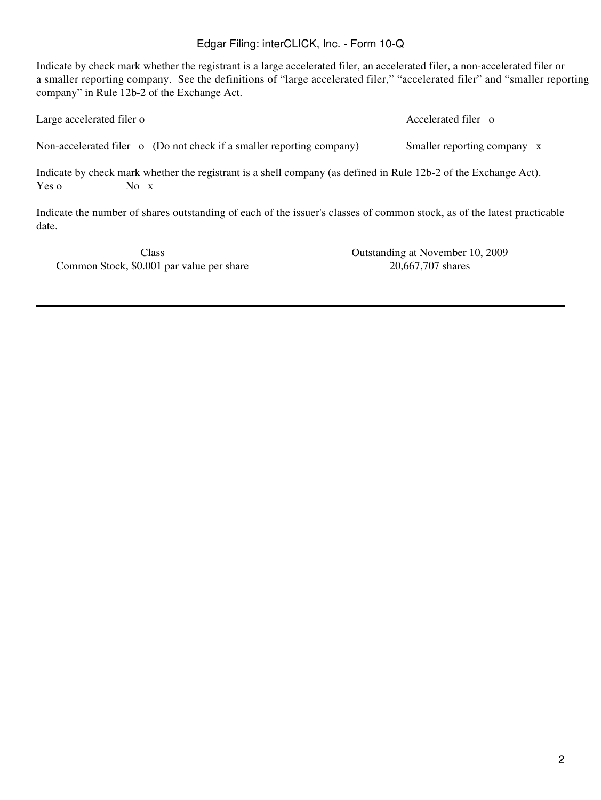Indicate by check mark whether the registrant is a large accelerated filer, an accelerated filer, a non-accelerated filer or a smaller reporting company. See the definitions of "large accelerated filer," "accelerated filer" and "smaller reporting company" in Rule 12b-2 of the Exchange Act.

| Large accelerated filer o |                                                                                                                                  | Accelerated filer o         |
|---------------------------|----------------------------------------------------------------------------------------------------------------------------------|-----------------------------|
|                           | Non-accelerated filer o (Do not check if a smaller reporting company)                                                            | Smaller reporting company x |
| Yes o                     | Indicate by check mark whether the registrant is a shell company (as defined in Rule 12b-2 of the Exchange Act).<br>No $\bar{x}$ |                             |

Indicate the number of shares outstanding of each of the issuer's classes of common stock, as of the latest practicable date.

Common Stock, \$0.001 par value per share 20,667,707 shares

Class Outstanding at November 10, 2009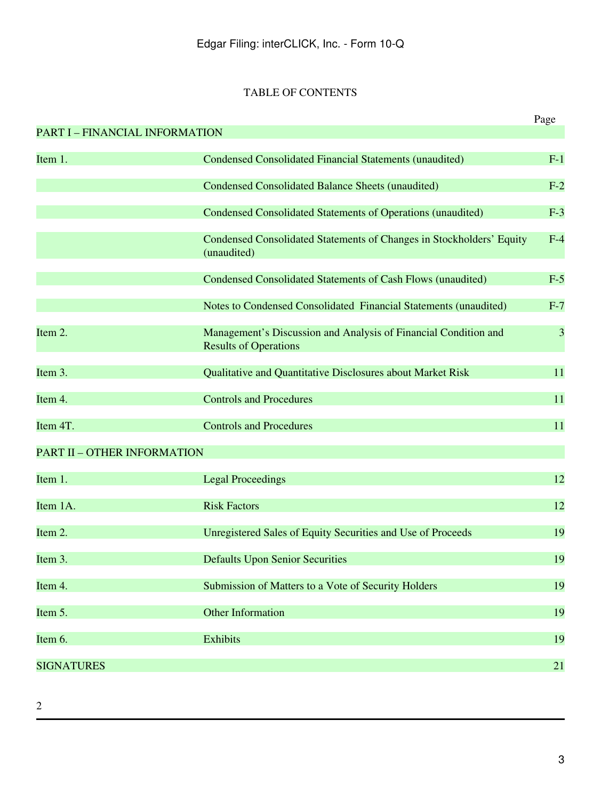# TABLE OF CONTENTS

|                                       |                                                                                                 | Page  |
|---------------------------------------|-------------------------------------------------------------------------------------------------|-------|
| <b>PART I - FINANCIAL INFORMATION</b> |                                                                                                 |       |
| Item 1.                               | <b>Condensed Consolidated Financial Statements (unaudited)</b>                                  | $F-1$ |
|                                       | <b>Condensed Consolidated Balance Sheets (unaudited)</b>                                        | $F-2$ |
|                                       | <b>Condensed Consolidated Statements of Operations (unaudited)</b>                              | $F-3$ |
|                                       | Condensed Consolidated Statements of Changes in Stockholders' Equity<br>(unaudited)             | $F-4$ |
|                                       | Condensed Consolidated Statements of Cash Flows (unaudited)                                     | $F-5$ |
|                                       | Notes to Condensed Consolidated Financial Statements (unaudited)                                | $F-7$ |
| Item 2.                               | Management's Discussion and Analysis of Financial Condition and<br><b>Results of Operations</b> | 3     |
| Item 3.                               | Qualitative and Quantitative Disclosures about Market Risk                                      | 11    |
| Item 4.                               | <b>Controls and Procedures</b>                                                                  | 11    |
| Item 4T.                              | <b>Controls and Procedures</b>                                                                  | 11    |
| <b>PART II - OTHER INFORMATION</b>    |                                                                                                 |       |
| Item 1.                               | <b>Legal Proceedings</b>                                                                        | 12    |
| Item 1A.                              | <b>Risk Factors</b>                                                                             | 12    |
| Item 2.                               | Unregistered Sales of Equity Securities and Use of Proceeds                                     | 19    |
| Item 3.                               | <b>Defaults Upon Senior Securities</b>                                                          | 19    |
| Item 4.                               | Submission of Matters to a Vote of Security Holders                                             | 19    |
| Item 5.                               | <b>Other Information</b>                                                                        | 19    |
| Item 6.                               | <b>Exhibits</b>                                                                                 | 19    |
| <b>SIGNATURES</b>                     |                                                                                                 | 21    |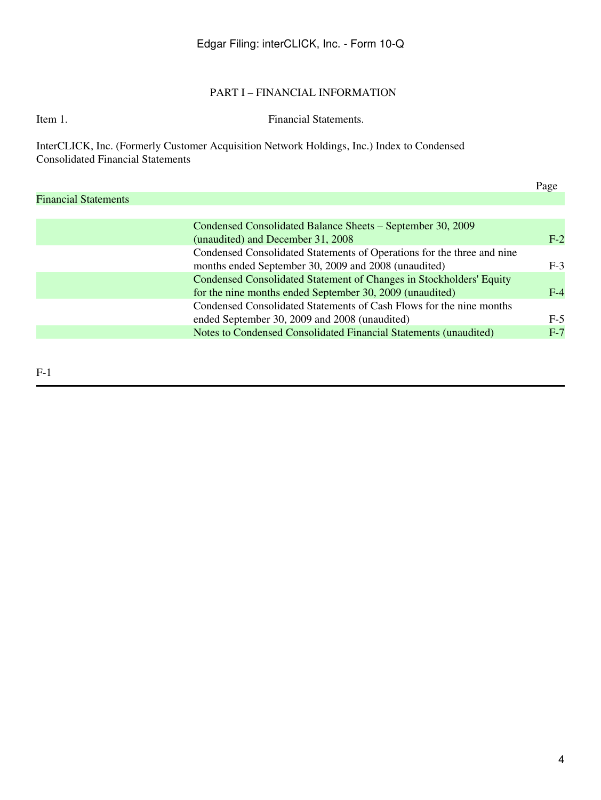## PART I – FINANCIAL INFORMATION

### Item 1. Financial Statements.

InterCLICK, Inc. (Formerly Customer Acquisition Network Holdings, Inc.) Index to Condensed Consolidated Financial Statements

|                             |                                                                        | Page  |
|-----------------------------|------------------------------------------------------------------------|-------|
| <b>Financial Statements</b> |                                                                        |       |
|                             |                                                                        |       |
|                             | Condensed Consolidated Balance Sheets – September 30, 2009             |       |
|                             | (unaudited) and December 31, 2008                                      | $F-2$ |
|                             | Condensed Consolidated Statements of Operations for the three and nine |       |
|                             | months ended September 30, 2009 and 2008 (unaudited)                   | $F-3$ |
|                             | Condensed Consolidated Statement of Changes in Stockholders' Equity    |       |
|                             | for the nine months ended September 30, 2009 (unaudited)               | $F-4$ |
|                             | Condensed Consolidated Statements of Cash Flows for the nine months    |       |
|                             | ended September 30, 2009 and 2008 (unaudited)                          | $F-5$ |
|                             | Notes to Condensed Consolidated Financial Statements (unaudited)       | $F-7$ |
|                             |                                                                        |       |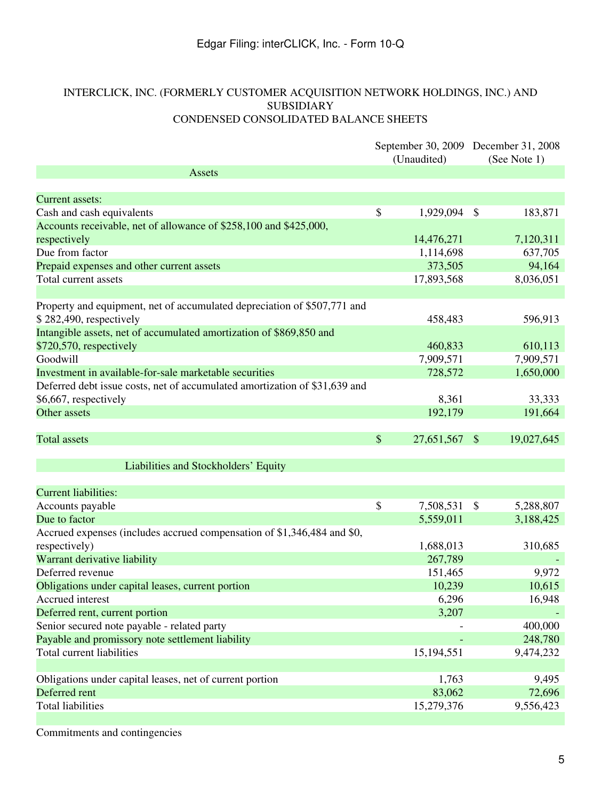## INTERCLICK, INC. (FORMERLY CUSTOMER ACQUISITION NETWORK HOLDINGS, INC.) AND SUBSIDIARY CONDENSED CONSOLIDATED BALANCE SHEETS

|                                                                            |       | September 30, 2009 December 31, 2008<br>(Unaudited) |               | (See Note 1) |
|----------------------------------------------------------------------------|-------|-----------------------------------------------------|---------------|--------------|
| <b>Assets</b>                                                              |       |                                                     |               |              |
|                                                                            |       |                                                     |               |              |
| <b>Current assets:</b>                                                     |       |                                                     |               |              |
| Cash and cash equivalents                                                  | \$    | 1,929,094                                           | \$            | 183,871      |
| Accounts receivable, net of allowance of \$258,100 and \$425,000,          |       |                                                     |               |              |
| respectively                                                               |       | 14,476,271                                          |               | 7,120,311    |
| Due from factor                                                            |       | 1,114,698                                           |               | 637,705      |
| Prepaid expenses and other current assets                                  |       | 373,505                                             |               | 94,164       |
| Total current assets                                                       |       | 17,893,568                                          |               | 8,036,051    |
|                                                                            |       |                                                     |               |              |
| Property and equipment, net of accumulated depreciation of \$507,771 and   |       |                                                     |               |              |
| $$282,490$ , respectively                                                  |       | 458,483                                             |               | 596,913      |
| Intangible assets, net of accumulated amortization of \$869,850 and        |       |                                                     |               |              |
| $$720,570$ , respectively                                                  |       | 460,833                                             |               | 610,113      |
| Goodwill                                                                   |       | 7,909,571                                           |               | 7,909,571    |
| Investment in available-for-sale marketable securities                     |       | 728,572                                             |               | 1,650,000    |
| Deferred debt issue costs, net of accumulated amortization of \$31,639 and |       |                                                     |               |              |
| \$6,667, respectively                                                      |       | 8,361                                               |               | 33,333       |
| Other assets                                                               |       | 192,179                                             |               | 191,664      |
| <b>Total assets</b>                                                        | $\$\$ | 27,651,567                                          | $\mathcal{S}$ | 19,027,645   |
| Liabilities and Stockholders' Equity                                       |       |                                                     |               |              |
|                                                                            |       |                                                     |               |              |
| <b>Current liabilities:</b>                                                |       |                                                     |               |              |
| Accounts payable                                                           | \$    | 7,508,531                                           | \$            | 5,288,807    |
| Due to factor                                                              |       | 5,559,011                                           |               | 3,188,425    |
| Accrued expenses (includes accrued compensation of \$1,346,484 and \$0,    |       |                                                     |               |              |
| respectively)                                                              |       | 1,688,013                                           |               | 310,685      |
| Warrant derivative liability                                               |       | 267,789                                             |               |              |
| Deferred revenue                                                           |       | 151,465                                             |               | 9,972        |
| Obligations under capital leases, current portion                          |       | 10,239                                              |               | 10,615       |
| Accrued interest                                                           |       | 6,296                                               |               | 16,948       |
| Deferred rent, current portion                                             |       | 3,207                                               |               |              |
| Senior secured note payable - related party                                |       |                                                     |               | 400,000      |
| Payable and promissory note settlement liability                           |       |                                                     |               | 248,780      |
| Total current liabilities                                                  |       | 15,194,551                                          |               | 9,474,232    |
|                                                                            |       |                                                     |               |              |
| Obligations under capital leases, net of current portion                   |       | 1,763                                               |               | 9,495        |
| Deferred rent                                                              |       | 83,062                                              |               | 72,696       |
| <b>Total liabilities</b>                                                   |       | 15,279,376                                          |               | 9,556,423    |
|                                                                            |       |                                                     |               |              |

Commitments and contingencies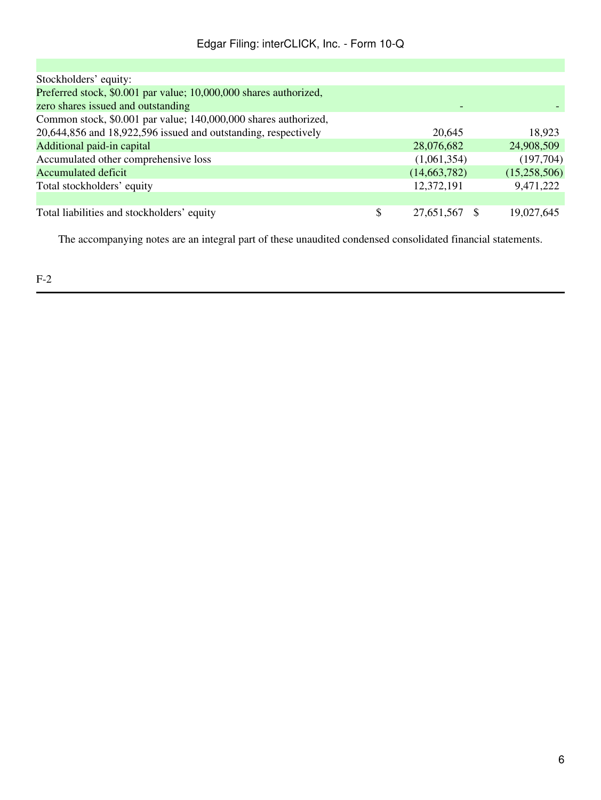| Stockholders' equity:                                             |                  |              |
|-------------------------------------------------------------------|------------------|--------------|
| Preferred stock, \$0.001 par value; 10,000,000 shares authorized, |                  |              |
| zero shares issued and outstanding                                |                  |              |
| Common stock, \$0.001 par value; 140,000,000 shares authorized,   |                  |              |
| 20,644,856 and 18,922,596 issued and outstanding, respectively    | 20,645           | 18,923       |
| Additional paid-in capital                                        | 28,076,682       | 24,908,509   |
| Accumulated other comprehensive loss                              | (1,061,354)      | (197,704)    |
| <b>Accumulated deficit</b>                                        | (14,663,782)     | (15,258,506) |
| Total stockholders' equity                                        | 12,372,191       | 9,471,222    |
|                                                                   |                  |              |
| Total liabilities and stockholders' equity                        | \$<br>27,651,567 | 19,027,645   |

The accompanying notes are an integral part of these unaudited condensed consolidated financial statements.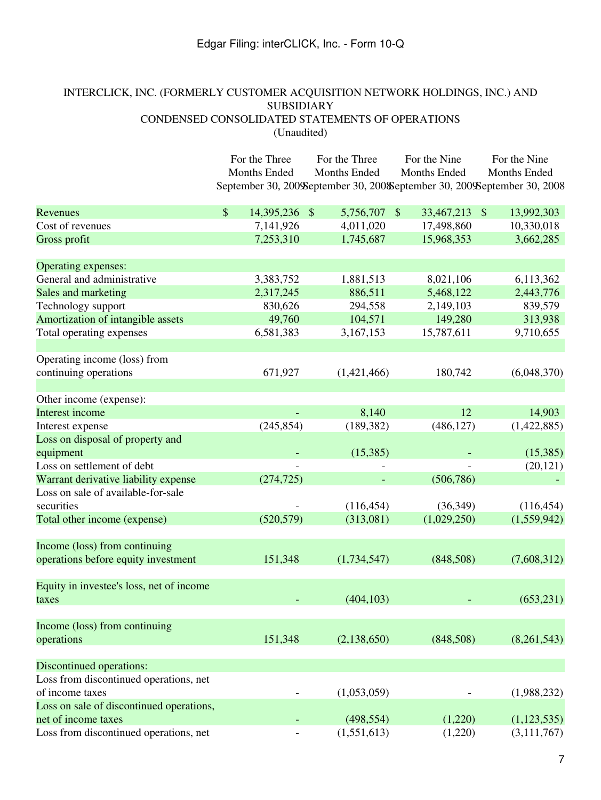# INTERCLICK, INC. (FORMERLY CUSTOMER ACQUISITION NETWORK HOLDINGS, INC.) AND SUBSIDIARY CONDENSED CONSOLIDATED STATEMENTS OF OPERATIONS (Unaudited)

|                                          | For the Three       | For the Three                                                             | For the Nine          | For the Nine<br>Months Ended             |  |
|------------------------------------------|---------------------|---------------------------------------------------------------------------|-----------------------|------------------------------------------|--|
|                                          | Months Ended        | Months Ended                                                              | Months Ended          |                                          |  |
|                                          |                     | September 30, 200 September 30, 200 September 30, 200 September 30, 200 8 |                       |                                          |  |
|                                          |                     |                                                                           |                       |                                          |  |
| Revenues                                 | \$<br>14,395,236 \$ | 5,756,707                                                                 | 33,467,213<br>$\sqrt$ | 13,992,303<br>$\boldsymbol{\mathcal{S}}$ |  |
| Cost of revenues                         | 7,141,926           | 4,011,020                                                                 | 17,498,860            | 10,330,018                               |  |
| Gross profit                             | 7,253,310           | 1,745,687                                                                 | 15,968,353            | 3,662,285                                |  |
| Operating expenses:                      |                     |                                                                           |                       |                                          |  |
| General and administrative               | 3,383,752           | 1,881,513                                                                 | 8,021,106             | 6,113,362                                |  |
| Sales and marketing                      | 2,317,245           | 886,511                                                                   | 5,468,122             | 2,443,776                                |  |
| Technology support                       | 830,626             | 294,558                                                                   | 2,149,103             | 839,579                                  |  |
| Amortization of intangible assets        | 49,760              | 104,571                                                                   | 149,280               | 313,938                                  |  |
| Total operating expenses                 | 6,581,383           | 3,167,153                                                                 | 15,787,611            | 9,710,655                                |  |
| Operating income (loss) from             |                     |                                                                           |                       |                                          |  |
| continuing operations                    | 671,927             | (1,421,466)                                                               | 180,742               | (6,048,370)                              |  |
|                                          |                     |                                                                           |                       |                                          |  |
| Other income (expense):                  |                     |                                                                           |                       |                                          |  |
| Interest income                          |                     | 8,140                                                                     | 12                    | 14,903                                   |  |
| Interest expense                         | (245, 854)          | (189, 382)                                                                | (486, 127)            | (1,422,885)                              |  |
| Loss on disposal of property and         |                     |                                                                           |                       |                                          |  |
| equipment                                |                     | (15,385)                                                                  |                       | (15,385)                                 |  |
| Loss on settlement of debt               |                     |                                                                           |                       | (20, 121)                                |  |
| Warrant derivative liability expense     | (274, 725)          |                                                                           | (506, 786)            |                                          |  |
| Loss on sale of available-for-sale       |                     |                                                                           |                       |                                          |  |
| securities                               |                     | (116, 454)                                                                | (36,349)              | (116, 454)                               |  |
| Total other income (expense)             | (520, 579)          | (313,081)                                                                 | (1,029,250)           | (1,559,942)                              |  |
| Income (loss) from continuing            |                     |                                                                           |                       |                                          |  |
| operations before equity investment      | 151,348             | (1,734,547)                                                               | (848,508)             | (7,608,312)                              |  |
|                                          |                     |                                                                           |                       |                                          |  |
| Equity in investee's loss, net of income |                     |                                                                           |                       |                                          |  |
| taxes                                    |                     | (404, 103)                                                                |                       | (653, 231)                               |  |
| Income (loss) from continuing            |                     |                                                                           |                       |                                          |  |
| operations                               | 151,348             | (2,138,650)                                                               | (848,508)             | (8,261,543)                              |  |
| Discontinued operations:                 |                     |                                                                           |                       |                                          |  |
| Loss from discontinued operations, net   |                     |                                                                           |                       |                                          |  |
| of income taxes                          |                     | (1,053,059)                                                               |                       | (1,988,232)                              |  |
| Loss on sale of discontinued operations, |                     |                                                                           |                       |                                          |  |
| net of income taxes                      |                     | (498, 554)                                                                | (1,220)               | (1,123,535)                              |  |
| Loss from discontinued operations, net   |                     | (1,551,613)                                                               | (1,220)               | (3, 111, 767)                            |  |
|                                          |                     |                                                                           |                       |                                          |  |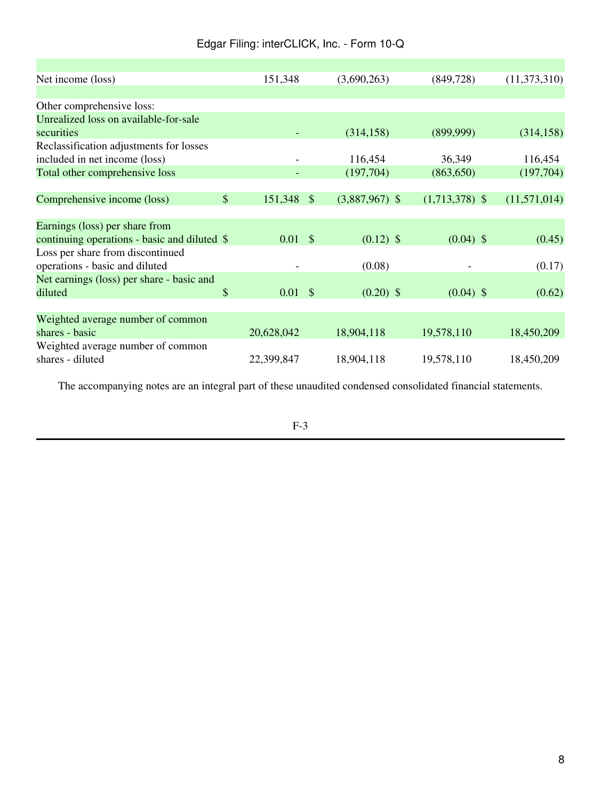| Net income (loss)                                                                                                                                                                         |               | 151,348            | (3,690,263)      | (849, 728)       | (11,373,310) |
|-------------------------------------------------------------------------------------------------------------------------------------------------------------------------------------------|---------------|--------------------|------------------|------------------|--------------|
|                                                                                                                                                                                           |               |                    |                  |                  |              |
| Other comprehensive loss:                                                                                                                                                                 |               |                    |                  |                  |              |
| Unrealized loss on available-for-sale                                                                                                                                                     |               |                    |                  |                  |              |
| securities                                                                                                                                                                                |               |                    | (314, 158)       | (899,999)        | (314, 158)   |
| Reclassification adjustments for losses                                                                                                                                                   |               |                    |                  |                  |              |
| included in net income (loss)                                                                                                                                                             |               |                    | 116,454          | 36,349           | 116,454      |
| Total other comprehensive loss                                                                                                                                                            |               |                    | (197,704)        | (863, 650)       | (197,704)    |
|                                                                                                                                                                                           |               |                    |                  |                  |              |
| Comprehensive income (loss)                                                                                                                                                               | $\mathcal{S}$ | 151,348 \$         | $(3,887,967)$ \$ | $(1,713,378)$ \$ | (11,571,014) |
|                                                                                                                                                                                           |               |                    |                  |                  |              |
| Earnings (loss) per share from                                                                                                                                                            |               |                    |                  |                  |              |
| continuing operations - basic and diluted \$                                                                                                                                              |               | $0.01 \text{ }$ \$ | $(0.12)$ \$      | $(0.04)$ \$      | (0.45)       |
|                                                                                                                                                                                           |               |                    |                  |                  |              |
|                                                                                                                                                                                           |               |                    | (0.08)           |                  |              |
|                                                                                                                                                                                           |               |                    |                  |                  |              |
| diluted                                                                                                                                                                                   | \$            | $0.01 \text{ }$ \$ | $(0.20)$ \$      | $(0.04)$ \$      | (0.62)       |
|                                                                                                                                                                                           |               |                    |                  |                  |              |
|                                                                                                                                                                                           |               |                    |                  |                  |              |
| shares - basic                                                                                                                                                                            |               | 20,628,042         | 18,904,118       | 19,578,110       | 18,450,209   |
|                                                                                                                                                                                           |               |                    |                  |                  |              |
| shares - diluted                                                                                                                                                                          |               | 22,399,847         | 18,904,118       | 19,578,110       | 18,450,209   |
| Loss per share from discontinued<br>operations - basic and diluted<br>Net earnings (loss) per share - basic and<br>Weighted average number of common<br>Weighted average number of common |               |                    |                  |                  | (0.17)       |

The accompanying notes are an integral part of these unaudited condensed consolidated financial statements.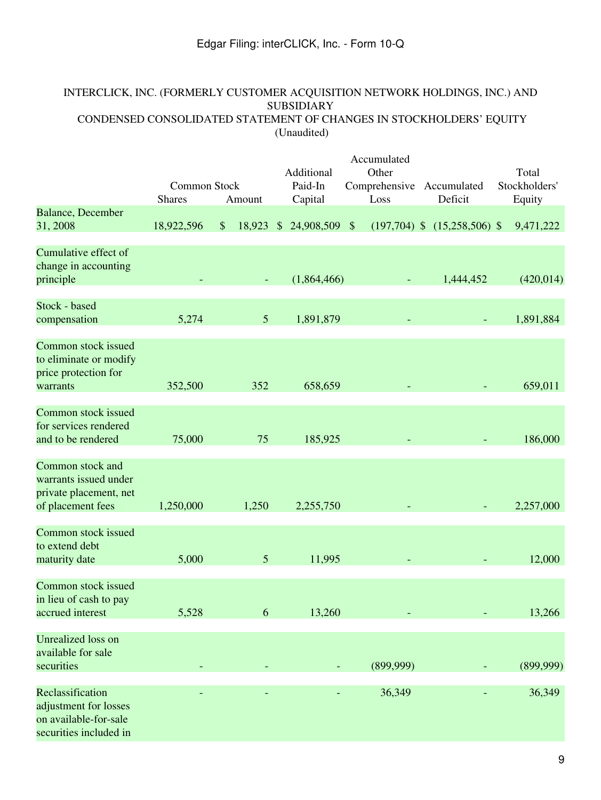# INTERCLICK, INC. (FORMERLY CUSTOMER ACQUISITION NETWORK HOLDINGS, INC.) AND SUBSIDIARY CONDENSED CONSOLIDATED STATEMENT OF CHANGES IN STOCKHOLDERS' EQUITY (Unaudited)

|                                                                                              | <b>Common Stock</b><br><b>Shares</b> | Amount                     | Additional<br>Paid-In<br>Capital | Accumulated<br>Other<br>Comprehensive<br>Loss | Accumulated<br>Deficit           | Total<br>Stockholders'<br>Equity |
|----------------------------------------------------------------------------------------------|--------------------------------------|----------------------------|----------------------------------|-----------------------------------------------|----------------------------------|----------------------------------|
| <b>Balance</b> , December<br>31, 2008                                                        | 18,922,596                           | 18,923 \$<br>$\frac{1}{2}$ | 24,908,509 \$                    |                                               | $(197,704)$ \$ $(15,258,506)$ \$ | 9,471,222                        |
| Cumulative effect of<br>change in accounting<br>principle                                    |                                      |                            | (1,864,466)                      |                                               | 1,444,452                        | (420, 014)                       |
| Stock - based<br>compensation                                                                | 5,274                                | 5                          | 1,891,879                        |                                               |                                  | 1,891,884                        |
| <b>Common stock issued</b><br>to eliminate or modify<br>price protection for<br>warrants     | 352,500                              | 352                        | 658,659                          |                                               |                                  | 659,011                          |
| Common stock issued<br>for services rendered<br>and to be rendered                           | 75,000                               | 75                         | 185,925                          |                                               |                                  | 186,000                          |
| Common stock and<br>warrants issued under<br>private placement, net<br>of placement fees     | 1,250,000                            | 1,250                      | 2,255,750                        |                                               |                                  | 2,257,000                        |
| Common stock issued<br>to extend debt<br>maturity date                                       | 5,000                                | 5                          | 11,995                           |                                               |                                  | 12,000                           |
| Common stock issued<br>in lieu of cash to pay<br>accrued interest                            | 5,528                                | 6                          | 13,260                           |                                               |                                  | 13,266                           |
| <b>Unrealized</b> loss on<br>available for sale<br>securities                                |                                      |                            |                                  | (899,999)                                     |                                  | (899,999)                        |
| Reclassification<br>adjustment for losses<br>on available-for-sale<br>securities included in |                                      |                            |                                  | 36,349                                        |                                  | 36,349                           |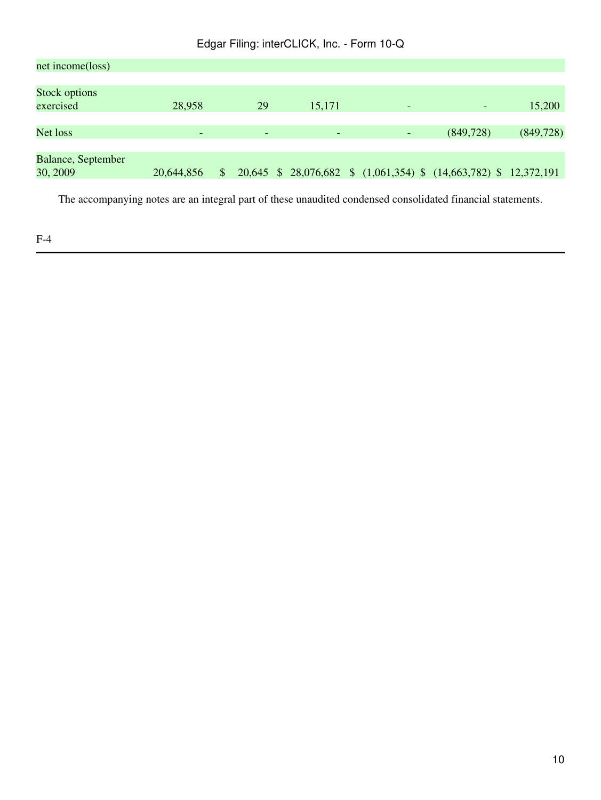| net income(loss)     |                          |              |                          |                              |                          |                                                                   |            |
|----------------------|--------------------------|--------------|--------------------------|------------------------------|--------------------------|-------------------------------------------------------------------|------------|
| <b>Stock options</b> |                          |              |                          |                              |                          |                                                                   |            |
| exercised            | 28,958                   |              | 29                       | 15,171                       | $\overline{\phantom{0}}$ | $\overline{\phantom{a}}$                                          | 15,200     |
|                      |                          |              |                          |                              |                          |                                                                   |            |
| Net loss             | $\overline{\phantom{0}}$ |              | $\overline{\phantom{a}}$ | $\qquad \qquad \blacksquare$ | -                        | (849, 728)                                                        | (849, 728) |
|                      |                          |              |                          |                              |                          |                                                                   |            |
| Balance, September   |                          |              |                          |                              |                          |                                                                   |            |
| 30, 2009             | 20,644,856               | $\mathbb{S}$ |                          |                              |                          | 20,645 \$ 28,076,682 \$ (1,061,354) \$ (14,663,782) \$ 12,372,191 |            |
|                      |                          |              |                          |                              |                          |                                                                   |            |

The accompanying notes are an integral part of these unaudited condensed consolidated financial statements.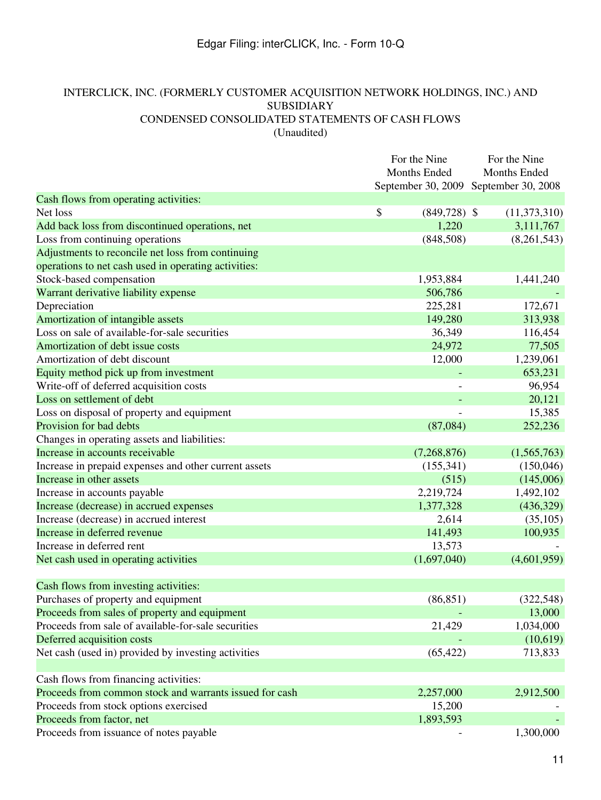# INTERCLICK, INC. (FORMERLY CUSTOMER ACQUISITION NETWORK HOLDINGS, INC.) AND SUBSIDIARY CONDENSED CONSOLIDATED STATEMENTS OF CASH FLOWS (Unaudited)

|                                                         | For the Nine |                     | For the Nine        |  |
|---------------------------------------------------------|--------------|---------------------|---------------------|--|
|                                                         |              | <b>Months Ended</b> | <b>Months Ended</b> |  |
|                                                         |              | September 30, 2009  | September 30, 2008  |  |
| Cash flows from operating activities:                   |              |                     |                     |  |
| Net loss                                                | \$           | $(849,728)$ \$      | (11,373,310)        |  |
| Add back loss from discontinued operations, net         |              | 1,220               | 3,111,767           |  |
| Loss from continuing operations                         |              | (848,508)           | (8,261,543)         |  |
| Adjustments to reconcile net loss from continuing       |              |                     |                     |  |
| operations to net cash used in operating activities:    |              |                     |                     |  |
| Stock-based compensation                                |              | 1,953,884           | 1,441,240           |  |
| Warrant derivative liability expense                    |              | 506,786             |                     |  |
| Depreciation                                            |              | 225,281             | 172,671             |  |
| Amortization of intangible assets                       |              | 149,280             | 313,938             |  |
| Loss on sale of available-for-sale securities           |              | 36,349              | 116,454             |  |
| Amortization of debt issue costs                        |              | 24,972              | 77,505              |  |
| Amortization of debt discount                           |              | 12,000              | 1,239,061           |  |
| Equity method pick up from investment                   |              |                     | 653,231             |  |
| Write-off of deferred acquisition costs                 |              |                     | 96,954              |  |
| Loss on settlement of debt                              |              |                     | 20,121              |  |
| Loss on disposal of property and equipment              |              |                     | 15,385              |  |
| Provision for bad debts                                 |              | (87,084)            | 252,236             |  |
| Changes in operating assets and liabilities:            |              |                     |                     |  |
| Increase in accounts receivable                         |              | (7,268,876)         | (1,565,763)         |  |
| Increase in prepaid expenses and other current assets   |              | (155,341)           | (150,046)           |  |
| Increase in other assets                                |              | (515)               | (145,006)           |  |
| Increase in accounts payable                            |              | 2,219,724           | 1,492,102           |  |
| Increase (decrease) in accrued expenses                 |              | 1,377,328           | (436, 329)          |  |
| Increase (decrease) in accrued interest                 |              | 2,614               | (35, 105)           |  |
| Increase in deferred revenue                            |              | 141,493             | 100,935             |  |
| Increase in deferred rent                               |              | 13,573              |                     |  |
| Net cash used in operating activities                   |              | (1,697,040)         | (4,601,959)         |  |
|                                                         |              |                     |                     |  |
| Cash flows from investing activities:                   |              |                     |                     |  |
| Purchases of property and equipment                     |              | (86, 851)           | (322, 548)          |  |
| Proceeds from sales of property and equipment           |              |                     | 13,000              |  |
| Proceeds from sale of available-for-sale securities     |              | 21,429              | 1,034,000           |  |
| Deferred acquisition costs                              |              |                     | (10,619)            |  |
| Net cash (used in) provided by investing activities     |              | (65, 422)           | 713,833             |  |
|                                                         |              |                     |                     |  |
| Cash flows from financing activities:                   |              |                     |                     |  |
| Proceeds from common stock and warrants issued for cash |              | 2,257,000           | 2,912,500           |  |
| Proceeds from stock options exercised                   |              | 15,200              |                     |  |
| Proceeds from factor, net                               |              | 1,893,593           |                     |  |
| Proceeds from issuance of notes payable                 |              |                     | 1,300,000           |  |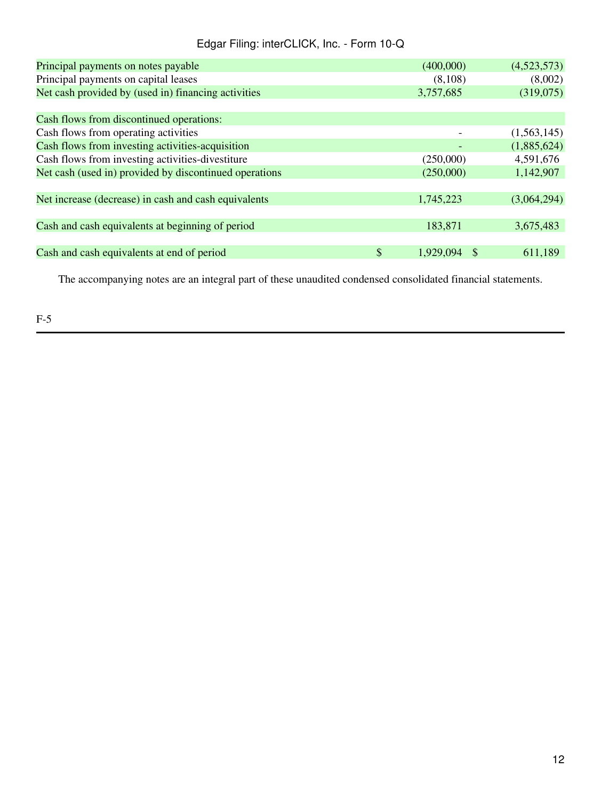| Principal payments on notes payable                    | (400,000)          | (4,523,573) |
|--------------------------------------------------------|--------------------|-------------|
| Principal payments on capital leases                   | (8,108)            | (8,002)     |
| Net cash provided by (used in) financing activities    | 3,757,685          | (319,075)   |
|                                                        |                    |             |
| Cash flows from discontinued operations:               |                    |             |
| Cash flows from operating activities                   |                    | (1,563,145) |
| Cash flows from investing activities-acquisition       |                    | (1,885,624) |
| Cash flows from investing activities-divestiture       | (250,000)          | 4,591,676   |
| Net cash (used in) provided by discontinued operations | (250,000)          | 1,142,907   |
|                                                        |                    |             |
| Net increase (decrease) in cash and cash equivalents   | 1,745,223          | (3,064,294) |
|                                                        |                    |             |
| Cash and cash equivalents at beginning of period       | 183,871            | 3,675,483   |
|                                                        |                    |             |
| Cash and cash equivalents at end of period             | \$<br>1,929,094 \$ | 611,189     |
|                                                        |                    |             |

The accompanying notes are an integral part of these unaudited condensed consolidated financial statements.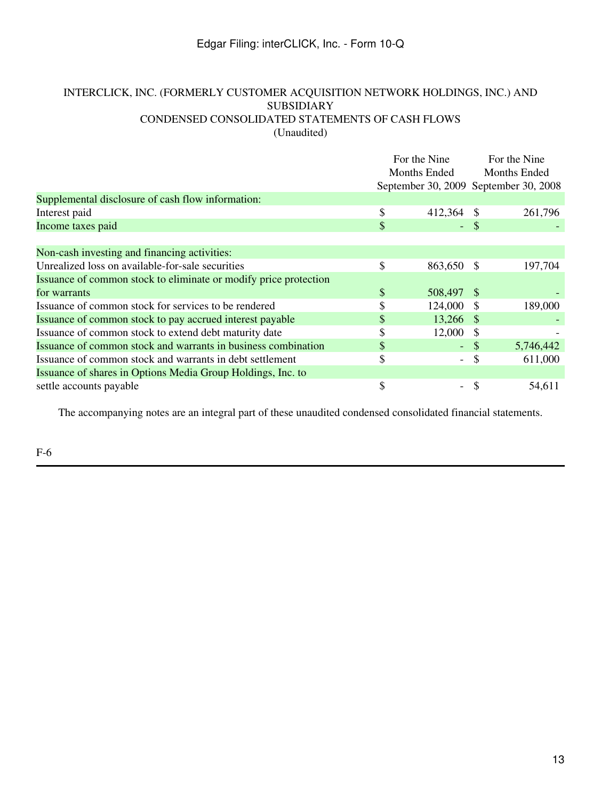## INTERCLICK, INC. (FORMERLY CUSTOMER ACQUISITION NETWORK HOLDINGS, INC.) AND SUBSIDIARY CONDENSED CONSOLIDATED STATEMENTS OF CASH FLOWS (Unaudited)

|                                                                  | For the Nine<br>Months Ended |                     | For the Nine<br>Months Ended |                                       |
|------------------------------------------------------------------|------------------------------|---------------------|------------------------------|---------------------------------------|
|                                                                  |                              |                     |                              | September 30, 2009 September 30, 2008 |
| Supplemental disclosure of cash flow information:                |                              |                     |                              |                                       |
| Interest paid                                                    | \$                           | 412,364             |                              | 261,796                               |
| Income taxes paid                                                | \$                           |                     | - \$                         |                                       |
|                                                                  |                              |                     |                              |                                       |
| Non-cash investing and financing activities:                     |                              |                     |                              |                                       |
| Unrealized loss on available-for-sale securities                 | \$                           | 863,650 \$          |                              | 197,704                               |
| Issuance of common stock to eliminate or modify price protection |                              |                     |                              |                                       |
| for warrants                                                     | \$                           | 508,497 \$          |                              |                                       |
| Issuance of common stock for services to be rendered             | \$                           | 124,000             | <sup>\$</sup>                | 189,000                               |
| Issuance of common stock to pay accrued interest payable         | S                            | 13,266 \$           |                              |                                       |
| Issuance of common stock to extend debt maturity date            | \$                           | 12,000              | S                            |                                       |
| Issuance of common stock and warrants in business combination    | S                            | $\omega_{\rm{eff}}$ | - \$                         | 5,746,442                             |
| Issuance of common stock and warrants in debt settlement         | \$                           | $-$                 | \$                           | 611,000                               |
| Issuance of shares in Options Media Group Holdings, Inc. to      |                              |                     |                              |                                       |
| settle accounts payable                                          | \$                           |                     | \$                           | 54,611                                |

The accompanying notes are an integral part of these unaudited condensed consolidated financial statements.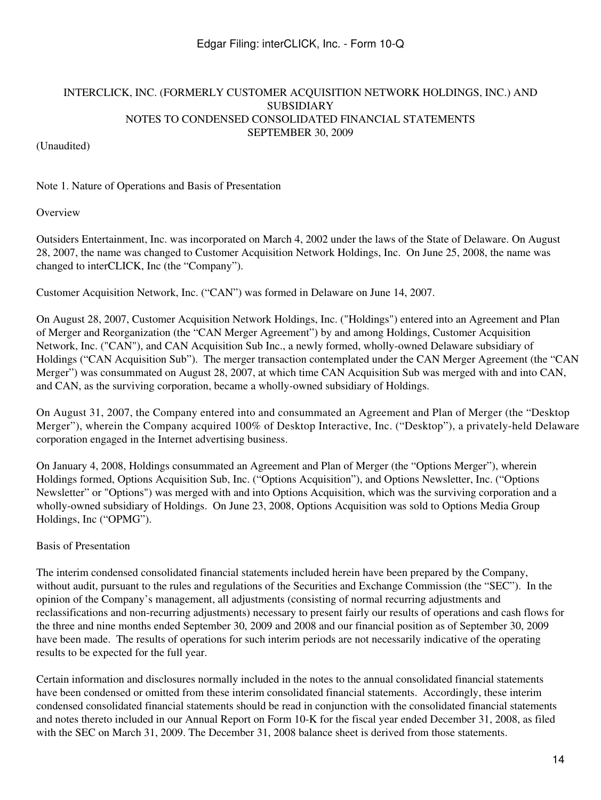### (Unaudited)

Note 1. Nature of Operations and Basis of Presentation

### **Overview**

Outsiders Entertainment, Inc. was incorporated on March 4, 2002 under the laws of the State of Delaware. On August 28, 2007, the name was changed to Customer Acquisition Network Holdings, Inc. On June 25, 2008, the name was changed to interCLICK, Inc (the "Company").

Customer Acquisition Network, Inc. ("CAN") was formed in Delaware on June 14, 2007.

On August 28, 2007, Customer Acquisition Network Holdings, Inc. ("Holdings") entered into an Agreement and Plan of Merger and Reorganization (the "CAN Merger Agreement") by and among Holdings, Customer Acquisition Network, Inc. ("CAN"), and CAN Acquisition Sub Inc., a newly formed, wholly-owned Delaware subsidiary of Holdings ("CAN Acquisition Sub"). The merger transaction contemplated under the CAN Merger Agreement (the "CAN Merger") was consummated on August 28, 2007, at which time CAN Acquisition Sub was merged with and into CAN, and CAN, as the surviving corporation, became a wholly-owned subsidiary of Holdings.

On August 31, 2007, the Company entered into and consummated an Agreement and Plan of Merger (the "Desktop Merger"), wherein the Company acquired 100% of Desktop Interactive, Inc. ("Desktop"), a privately-held Delaware corporation engaged in the Internet advertising business.

On January 4, 2008, Holdings consummated an Agreement and Plan of Merger (the "Options Merger"), wherein Holdings formed, Options Acquisition Sub, Inc. ("Options Acquisition"), and Options Newsletter, Inc. ("Options Newsletter" or "Options") was merged with and into Options Acquisition, which was the surviving corporation and a wholly-owned subsidiary of Holdings. On June 23, 2008, Options Acquisition was sold to Options Media Group Holdings, Inc ("OPMG").

## Basis of Presentation

The interim condensed consolidated financial statements included herein have been prepared by the Company, without audit, pursuant to the rules and regulations of the Securities and Exchange Commission (the "SEC"). In the opinion of the Company's management, all adjustments (consisting of normal recurring adjustments and reclassifications and non-recurring adjustments) necessary to present fairly our results of operations and cash flows for the three and nine months ended September 30, 2009 and 2008 and our financial position as of September 30, 2009 have been made. The results of operations for such interim periods are not necessarily indicative of the operating results to be expected for the full year.

Certain information and disclosures normally included in the notes to the annual consolidated financial statements have been condensed or omitted from these interim consolidated financial statements. Accordingly, these interim condensed consolidated financial statements should be read in conjunction with the consolidated financial statements and notes thereto included in our Annual Report on Form 10-K for the fiscal year ended December 31, 2008, as filed with the SEC on March 31, 2009. The December 31, 2008 balance sheet is derived from those statements.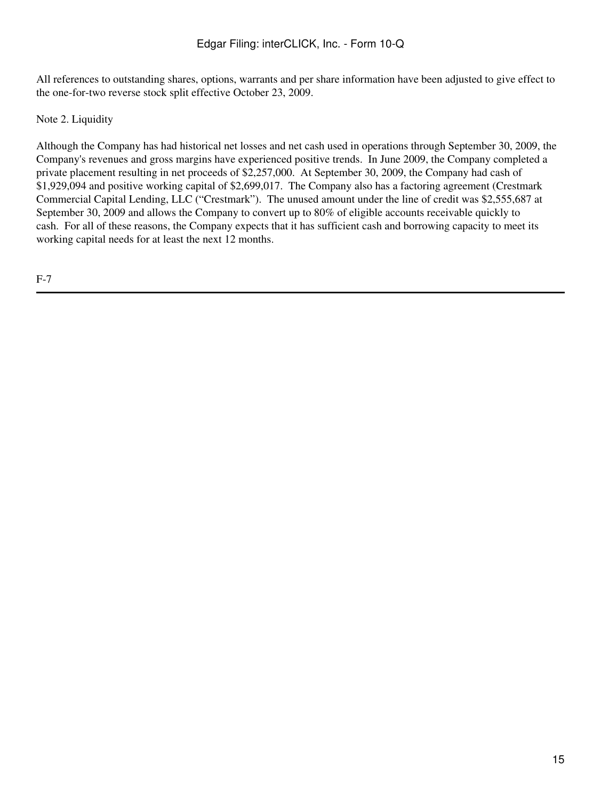All references to outstanding shares, options, warrants and per share information have been adjusted to give effect to the one-for-two reverse stock split effective October 23, 2009.

Note 2. Liquidity

Although the Company has had historical net losses and net cash used in operations through September 30, 2009, the Company's revenues and gross margins have experienced positive trends. In June 2009, the Company completed a private placement resulting in net proceeds of \$2,257,000. At September 30, 2009, the Company had cash of \$1,929,094 and positive working capital of \$2,699,017. The Company also has a factoring agreement (Crestmark Commercial Capital Lending, LLC ("Crestmark"). The unused amount under the line of credit was \$2,555,687 at September 30, 2009 and allows the Company to convert up to 80% of eligible accounts receivable quickly to cash. For all of these reasons, the Company expects that it has sufficient cash and borrowing capacity to meet its working capital needs for at least the next 12 months.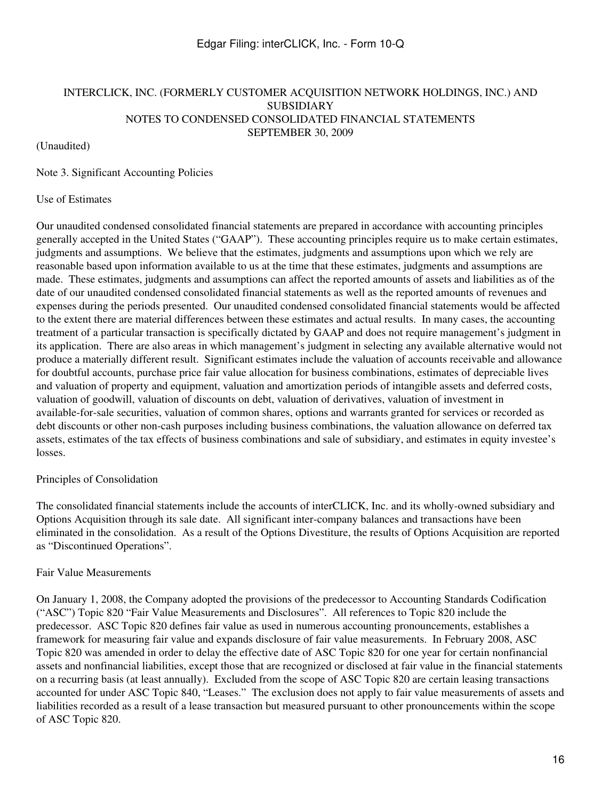#### (Unaudited)

Note 3. Significant Accounting Policies

#### Use of Estimates

Our unaudited condensed consolidated financial statements are prepared in accordance with accounting principles generally accepted in the United States ("GAAP"). These accounting principles require us to make certain estimates, judgments and assumptions. We believe that the estimates, judgments and assumptions upon which we rely are reasonable based upon information available to us at the time that these estimates, judgments and assumptions are made. These estimates, judgments and assumptions can affect the reported amounts of assets and liabilities as of the date of our unaudited condensed consolidated financial statements as well as the reported amounts of revenues and expenses during the periods presented. Our unaudited condensed consolidated financial statements would be affected to the extent there are material differences between these estimates and actual results. In many cases, the accounting treatment of a particular transaction is specifically dictated by GAAP and does not require management's judgment in its application. There are also areas in which management's judgment in selecting any available alternative would not produce a materially different result. Significant estimates include the valuation of accounts receivable and allowance for doubtful accounts, purchase price fair value allocation for business combinations, estimates of depreciable lives and valuation of property and equipment, valuation and amortization periods of intangible assets and deferred costs, valuation of goodwill, valuation of discounts on debt, valuation of derivatives, valuation of investment in available-for-sale securities, valuation of common shares, options and warrants granted for services or recorded as debt discounts or other non-cash purposes including business combinations, the valuation allowance on deferred tax assets, estimates of the tax effects of business combinations and sale of subsidiary, and estimates in equity investee's losses.

### Principles of Consolidation

The consolidated financial statements include the accounts of interCLICK, Inc. and its wholly-owned subsidiary and Options Acquisition through its sale date. All significant inter-company balances and transactions have been eliminated in the consolidation. As a result of the Options Divestiture, the results of Options Acquisition are reported as "Discontinued Operations".

### Fair Value Measurements

On January 1, 2008, the Company adopted the provisions of the predecessor to Accounting Standards Codification ("ASC") Topic 820 "Fair Value Measurements and Disclosures". All references to Topic 820 include the predecessor. ASC Topic 820 defines fair value as used in numerous accounting pronouncements, establishes a framework for measuring fair value and expands disclosure of fair value measurements. In February 2008, ASC Topic 820 was amended in order to delay the effective date of ASC Topic 820 for one year for certain nonfinancial assets and nonfinancial liabilities, except those that are recognized or disclosed at fair value in the financial statements on a recurring basis (at least annually). Excluded from the scope of ASC Topic 820 are certain leasing transactions accounted for under ASC Topic 840, "Leases." The exclusion does not apply to fair value measurements of assets and liabilities recorded as a result of a lease transaction but measured pursuant to other pronouncements within the scope of ASC Topic 820.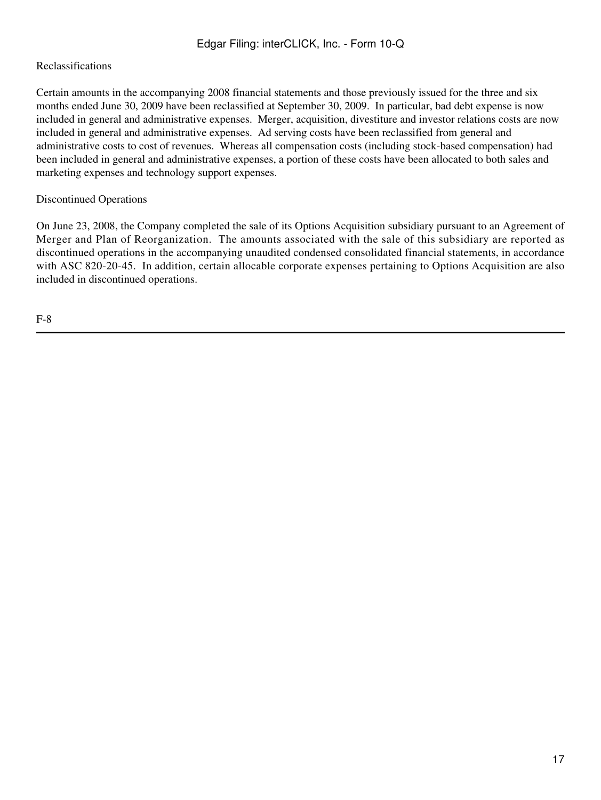## Reclassifications

Certain amounts in the accompanying 2008 financial statements and those previously issued for the three and six months ended June 30, 2009 have been reclassified at September 30, 2009. In particular, bad debt expense is now included in general and administrative expenses. Merger, acquisition, divestiture and investor relations costs are now included in general and administrative expenses. Ad serving costs have been reclassified from general and administrative costs to cost of revenues. Whereas all compensation costs (including stock-based compensation) had been included in general and administrative expenses, a portion of these costs have been allocated to both sales and marketing expenses and technology support expenses.

# Discontinued Operations

On June 23, 2008, the Company completed the sale of its Options Acquisition subsidiary pursuant to an Agreement of Merger and Plan of Reorganization. The amounts associated with the sale of this subsidiary are reported as discontinued operations in the accompanying unaudited condensed consolidated financial statements, in accordance with ASC 820-20-45. In addition, certain allocable corporate expenses pertaining to Options Acquisition are also included in discontinued operations.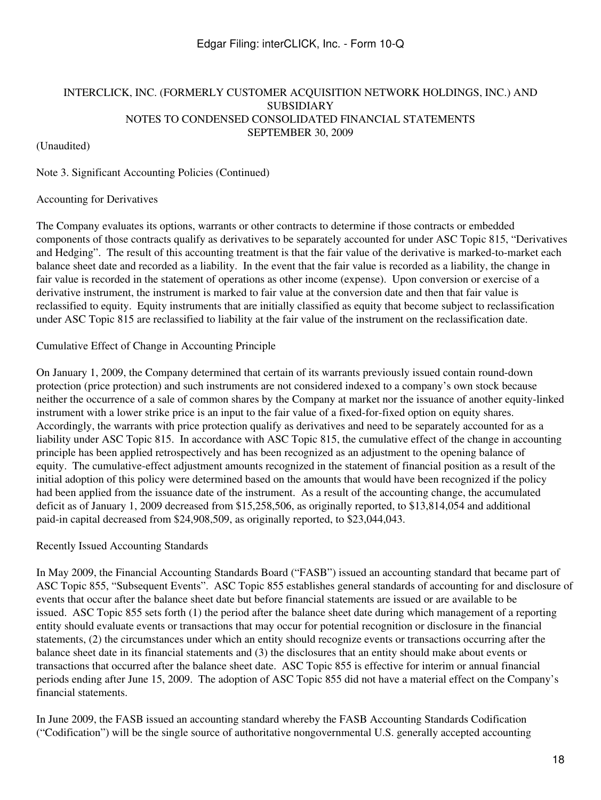(Unaudited)

Note 3. Significant Accounting Policies (Continued)

### Accounting for Derivatives

The Company evaluates its options, warrants or other contracts to determine if those contracts or embedded components of those contracts qualify as derivatives to be separately accounted for under ASC Topic 815, "Derivatives and Hedging". The result of this accounting treatment is that the fair value of the derivative is marked-to-market each balance sheet date and recorded as a liability. In the event that the fair value is recorded as a liability, the change in fair value is recorded in the statement of operations as other income (expense). Upon conversion or exercise of a derivative instrument, the instrument is marked to fair value at the conversion date and then that fair value is reclassified to equity. Equity instruments that are initially classified as equity that become subject to reclassification under ASC Topic 815 are reclassified to liability at the fair value of the instrument on the reclassification date.

### Cumulative Effect of Change in Accounting Principle

On January 1, 2009, the Company determined that certain of its warrants previously issued contain round-down protection (price protection) and such instruments are not considered indexed to a company's own stock because neither the occurrence of a sale of common shares by the Company at market nor the issuance of another equity-linked instrument with a lower strike price is an input to the fair value of a fixed-for-fixed option on equity shares. Accordingly, the warrants with price protection qualify as derivatives and need to be separately accounted for as a liability under ASC Topic 815. In accordance with ASC Topic 815, the cumulative effect of the change in accounting principle has been applied retrospectively and has been recognized as an adjustment to the opening balance of equity. The cumulative-effect adjustment amounts recognized in the statement of financial position as a result of the initial adoption of this policy were determined based on the amounts that would have been recognized if the policy had been applied from the issuance date of the instrument. As a result of the accounting change, the accumulated deficit as of January 1, 2009 decreased from \$15,258,506, as originally reported, to \$13,814,054 and additional paid-in capital decreased from \$24,908,509, as originally reported, to \$23,044,043.

### Recently Issued Accounting Standards

In May 2009, the Financial Accounting Standards Board ("FASB") issued an accounting standard that became part of ASC Topic 855, "Subsequent Events". ASC Topic 855 establishes general standards of accounting for and disclosure of events that occur after the balance sheet date but before financial statements are issued or are available to be issued. ASC Topic 855 sets forth (1) the period after the balance sheet date during which management of a reporting entity should evaluate events or transactions that may occur for potential recognition or disclosure in the financial statements, (2) the circumstances under which an entity should recognize events or transactions occurring after the balance sheet date in its financial statements and (3) the disclosures that an entity should make about events or transactions that occurred after the balance sheet date. ASC Topic 855 is effective for interim or annual financial periods ending after June 15, 2009. The adoption of ASC Topic 855 did not have a material effect on the Company's financial statements.

In June 2009, the FASB issued an accounting standard whereby the FASB Accounting Standards Codification ("Codification") will be the single source of authoritative nongovernmental U.S. generally accepted accounting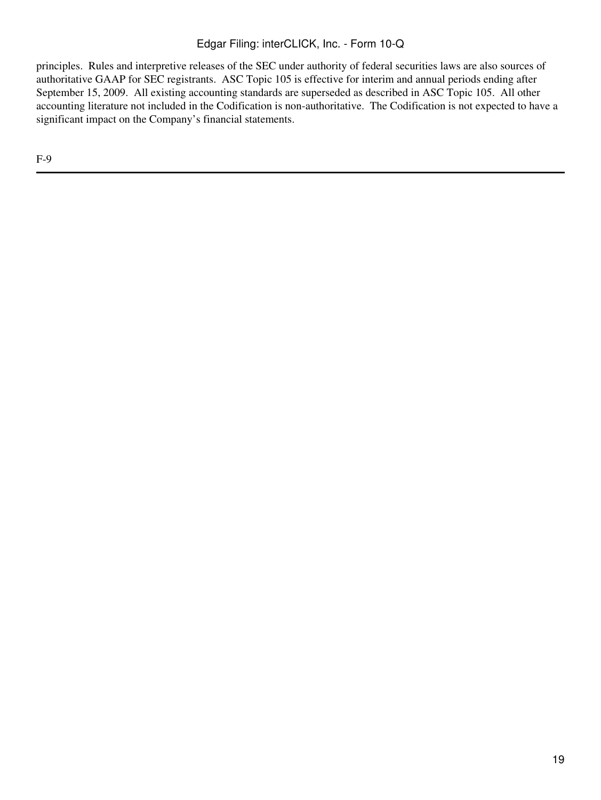principles. Rules and interpretive releases of the SEC under authority of federal securities laws are also sources of authoritative GAAP for SEC registrants. ASC Topic 105 is effective for interim and annual periods ending after September 15, 2009. All existing accounting standards are superseded as described in ASC Topic 105. All other accounting literature not included in the Codification is non-authoritative. The Codification is not expected to have a significant impact on the Company's financial statements.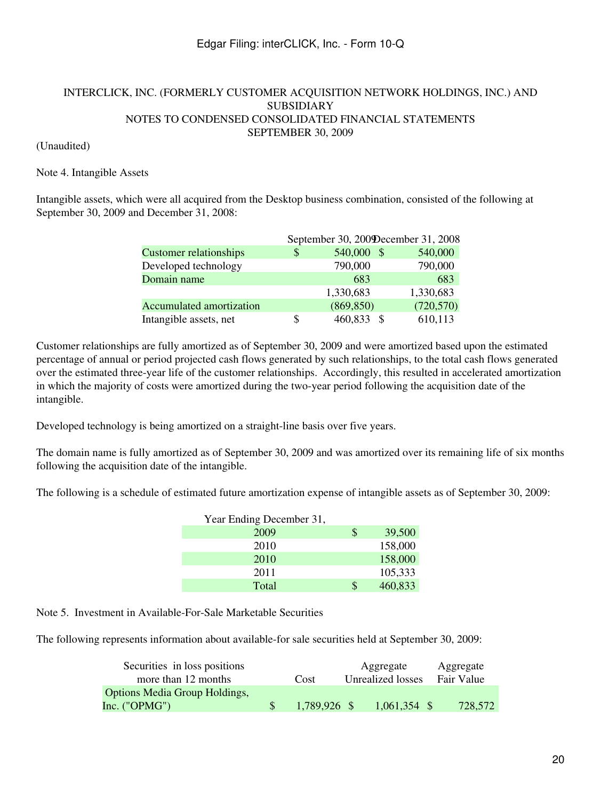### (Unaudited)

### Note 4. Intangible Assets

Intangible assets, which were all acquired from the Desktop business combination, consisted of the following at September 30, 2009 and December 31, 2008:

|                               |    | September 30, 200 December 31, 2008 |            |
|-------------------------------|----|-------------------------------------|------------|
| <b>Customer relationships</b> | \$ | 540,000 \$                          | 540,000    |
| Developed technology          |    | 790,000                             | 790,000    |
| Domain name                   |    | 683                                 | 683        |
|                               |    | 1,330,683                           | 1,330,683  |
| Accumulated amortization      |    | (869, 850)                          | (720, 570) |
| Intangible assets, net        | S  | 460,833                             | 610,113    |

Customer relationships are fully amortized as of September 30, 2009 and were amortized based upon the estimated percentage of annual or period projected cash flows generated by such relationships, to the total cash flows generated over the estimated three-year life of the customer relationships. Accordingly, this resulted in accelerated amortization in which the majority of costs were amortized during the two-year period following the acquisition date of the intangible.

Developed technology is being amortized on a straight-line basis over five years.

The domain name is fully amortized as of September 30, 2009 and was amortized over its remaining life of six months following the acquisition date of the intangible.

The following is a schedule of estimated future amortization expense of intangible assets as of September 30, 2009:

| Year Ending December 31, |    |         |
|--------------------------|----|---------|
| 2009                     | \$ | 39,500  |
| 2010                     |    | 158,000 |
| 2010                     |    | 158,000 |
| 2011                     |    | 105,333 |
| Total                    | S  | 460,833 |

Note 5. Investment in Available-For-Sale Marketable Securities

The following represents information about available-for sale securities held at September 30, 2009:

| Securities in loss positions<br>more than 12 months     | Cost         | Aggregate<br>Unrealized losses | Aggregate<br>Fair Value |
|---------------------------------------------------------|--------------|--------------------------------|-------------------------|
| <b>Options Media Group Holdings,</b><br>Inc. $("OPMG")$ | 1,789,926 \$ | $1,061,354$ \$                 | 728,572                 |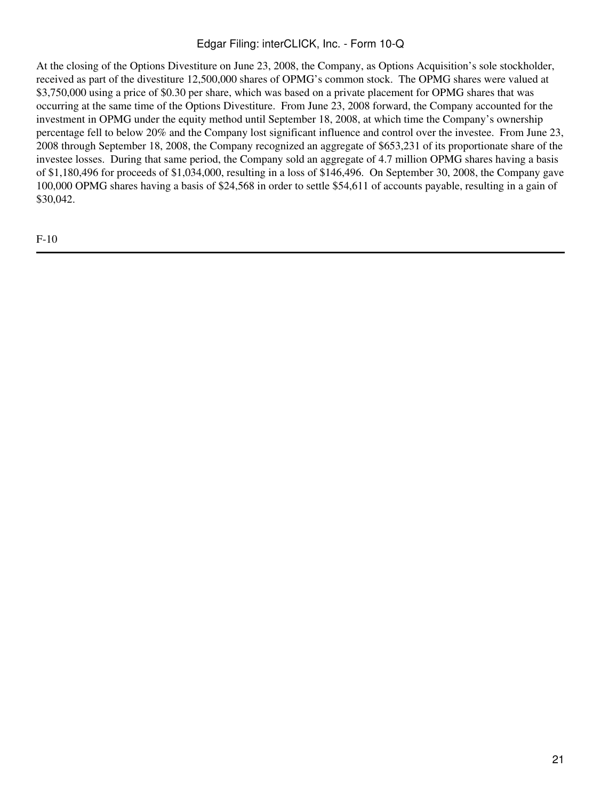At the closing of the Options Divestiture on June 23, 2008, the Company, as Options Acquisition's sole stockholder, received as part of the divestiture 12,500,000 shares of OPMG's common stock. The OPMG shares were valued at \$3,750,000 using a price of \$0.30 per share, which was based on a private placement for OPMG shares that was occurring at the same time of the Options Divestiture. From June 23, 2008 forward, the Company accounted for the investment in OPMG under the equity method until September 18, 2008, at which time the Company's ownership percentage fell to below 20% and the Company lost significant influence and control over the investee. From June 23, 2008 through September 18, 2008, the Company recognized an aggregate of \$653,231 of its proportionate share of the investee losses. During that same period, the Company sold an aggregate of 4.7 million OPMG shares having a basis of \$1,180,496 for proceeds of \$1,034,000, resulting in a loss of \$146,496. On September 30, 2008, the Company gave 100,000 OPMG shares having a basis of \$24,568 in order to settle \$54,611 of accounts payable, resulting in a gain of \$30,042.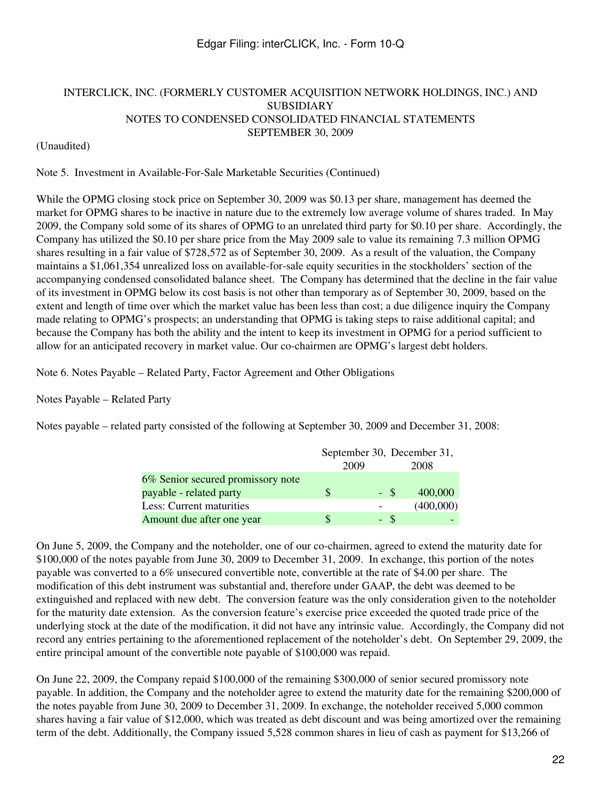### INTERCLICK, INC. (FORMERLY CUSTOMER ACQUISITION NETWORK HOLDINGS, INC.) AND SUBSIDIARY NOTES TO CONDENSED CONSOLIDATED FINANCIAL STATEMENTS SEPTEMBER 30, 2009

### (Unaudited)

Note 5. Investment in Available-For-Sale Marketable Securities (Continued)

While the OPMG closing stock price on September 30, 2009 was \$0.13 per share, management has deemed the market for OPMG shares to be inactive in nature due to the extremely low average volume of shares traded. In May 2009, the Company sold some of its shares of OPMG to an unrelated third party for \$0.10 per share. Accordingly, the Company has utilized the \$0.10 per share price from the May 2009 sale to value its remaining 7.3 million OPMG shares resulting in a fair value of \$728,572 as of September 30, 2009. As a result of the valuation, the Company maintains a \$1,061,354 unrealized loss on available-for-sale equity securities in the stockholders' section of the accompanying condensed consolidated balance sheet. The Company has determined that the decline in the fair value of its investment in OPMG below its cost basis is not other than temporary as of September 30, 2009, based on the extent and length of time over which the market value has been less than cost; a due diligence inquiry the Company made relating to OPMG's prospects; an understanding that OPMG is taking steps to raise additional capital; and because the Company has both the ability and the intent to keep its investment in OPMG for a period sufficient to allow for an anticipated recovery in market value. Our co-chairmen are OPMG's largest debt holders.

Note 6. Notes Payable – Related Party, Factor Agreement and Other Obligations

Notes Payable – Related Party

Notes payable – related party consisted of the following at September 30, 2009 and December 31, 2008:

|                                   |      |     | September 30, December 31, |
|-----------------------------------|------|-----|----------------------------|
|                                   | 2009 |     | 2008                       |
| 6% Senior secured promissory note |      |     |                            |
| payable - related party           |      | - S | 400,000                    |
| Less: Current maturities          |      |     | (400,000)                  |
| Amount due after one year         |      | - S |                            |

On June 5, 2009, the Company and the noteholder, one of our co-chairmen, agreed to extend the maturity date for \$100,000 of the notes payable from June 30, 2009 to December 31, 2009. In exchange, this portion of the notes payable was converted to a 6% unsecured convertible note, convertible at the rate of \$4.00 per share. The modification of this debt instrument was substantial and, therefore under GAAP, the debt was deemed to be extinguished and replaced with new debt. The conversion feature was the only consideration given to the noteholder for the maturity date extension. As the conversion feature's exercise price exceeded the quoted trade price of the underlying stock at the date of the modification, it did not have any intrinsic value. Accordingly, the Company did not record any entries pertaining to the aforementioned replacement of the noteholder's debt. On September 29, 2009, the entire principal amount of the convertible note payable of \$100,000 was repaid.

On June 22, 2009, the Company repaid \$100,000 of the remaining \$300,000 of senior secured promissory note payable. In addition, the Company and the noteholder agree to extend the maturity date for the remaining \$200,000 of the notes payable from June 30, 2009 to December 31, 2009. In exchange, the noteholder received 5,000 common shares having a fair value of \$12,000, which was treated as debt discount and was being amortized over the remaining term of the debt. Additionally, the Company issued 5,528 common shares in lieu of cash as payment for \$13,266 of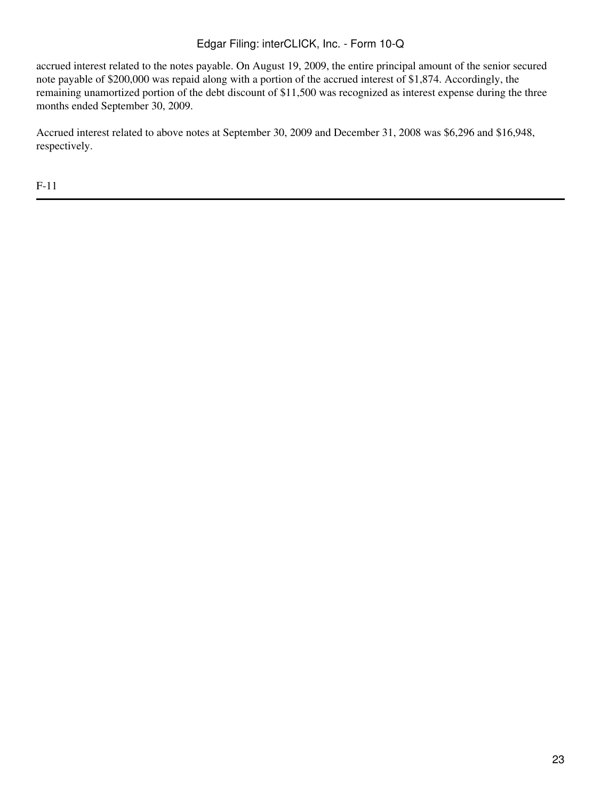accrued interest related to the notes payable. On August 19, 2009, the entire principal amount of the senior secured note payable of \$200,000 was repaid along with a portion of the accrued interest of \$1,874. Accordingly, the remaining unamortized portion of the debt discount of \$11,500 was recognized as interest expense during the three months ended September 30, 2009.

Accrued interest related to above notes at September 30, 2009 and December 31, 2008 was \$6,296 and \$16,948, respectively.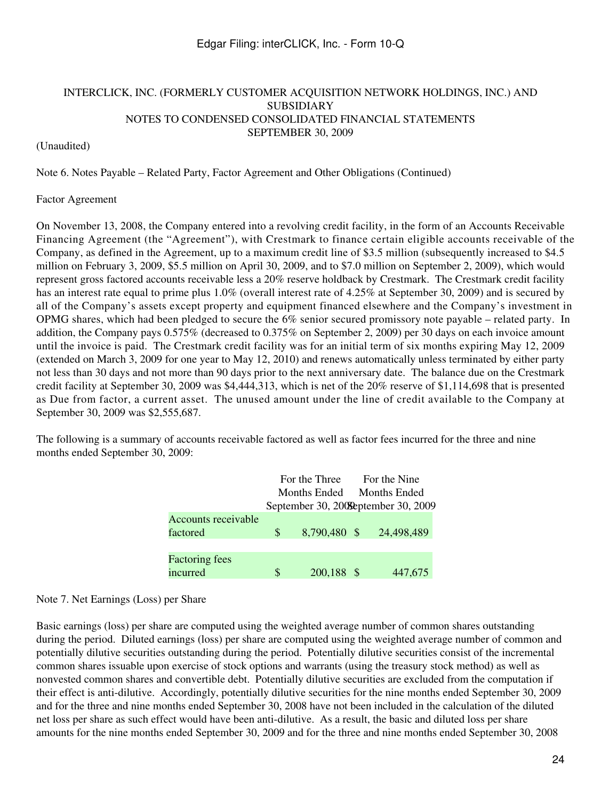### (Unaudited)

Note 6. Notes Payable – Related Party, Factor Agreement and Other Obligations (Continued)

#### Factor Agreement

On November 13, 2008, the Company entered into a revolving credit facility, in the form of an Accounts Receivable Financing Agreement (the "Agreement"), with Crestmark to finance certain eligible accounts receivable of the Company, as defined in the Agreement, up to a maximum credit line of \$3.5 million (subsequently increased to \$4.5 million on February 3, 2009, \$5.5 million on April 30, 2009, and to \$7.0 million on September 2, 2009), which would represent gross factored accounts receivable less a 20% reserve holdback by Crestmark. The Crestmark credit facility has an interest rate equal to prime plus 1.0% (overall interest rate of 4.25% at September 30, 2009) and is secured by all of the Company's assets except property and equipment financed elsewhere and the Company's investment in OPMG shares, which had been pledged to secure the 6% senior secured promissory note payable – related party. In addition, the Company pays 0.575% (decreased to 0.375% on September 2, 2009) per 30 days on each invoice amount until the invoice is paid. The Crestmark credit facility was for an initial term of six months expiring May 12, 2009 (extended on March 3, 2009 for one year to May 12, 2010) and renews automatically unless terminated by either party not less than 30 days and not more than 90 days prior to the next anniversary date. The balance due on the Crestmark credit facility at September 30, 2009 was \$4,444,313, which is net of the 20% reserve of \$1,114,698 that is presented as Due from factor, a current asset. The unused amount under the line of credit available to the Company at September 30, 2009 was \$2,555,687.

The following is a summary of accounts receivable factored as well as factor fees incurred for the three and nine months ended September 30, 2009:

|                            | For the Three |              |  | For the Nine                          |  |  |  |
|----------------------------|---------------|--------------|--|---------------------------------------|--|--|--|
|                            | Months Ended  |              |  | <b>Months Ended</b>                   |  |  |  |
|                            |               |              |  | September 30, 2009 September 30, 2009 |  |  |  |
| <b>Accounts receivable</b> |               |              |  |                                       |  |  |  |
| factored                   | S.            | 8,790,480 \$ |  | 24,498,489                            |  |  |  |
|                            |               |              |  |                                       |  |  |  |
| <b>Factoring fees</b>      |               |              |  |                                       |  |  |  |
| incurred                   | S             | 200,188 \$   |  | 447,675                               |  |  |  |

#### Note 7. Net Earnings (Loss) per Share

Basic earnings (loss) per share are computed using the weighted average number of common shares outstanding during the period. Diluted earnings (loss) per share are computed using the weighted average number of common and potentially dilutive securities outstanding during the period. Potentially dilutive securities consist of the incremental common shares issuable upon exercise of stock options and warrants (using the treasury stock method) as well as nonvested common shares and convertible debt. Potentially dilutive securities are excluded from the computation if their effect is anti-dilutive. Accordingly, potentially dilutive securities for the nine months ended September 30, 2009 and for the three and nine months ended September 30, 2008 have not been included in the calculation of the diluted net loss per share as such effect would have been anti-dilutive. As a result, the basic and diluted loss per share amounts for the nine months ended September 30, 2009 and for the three and nine months ended September 30, 2008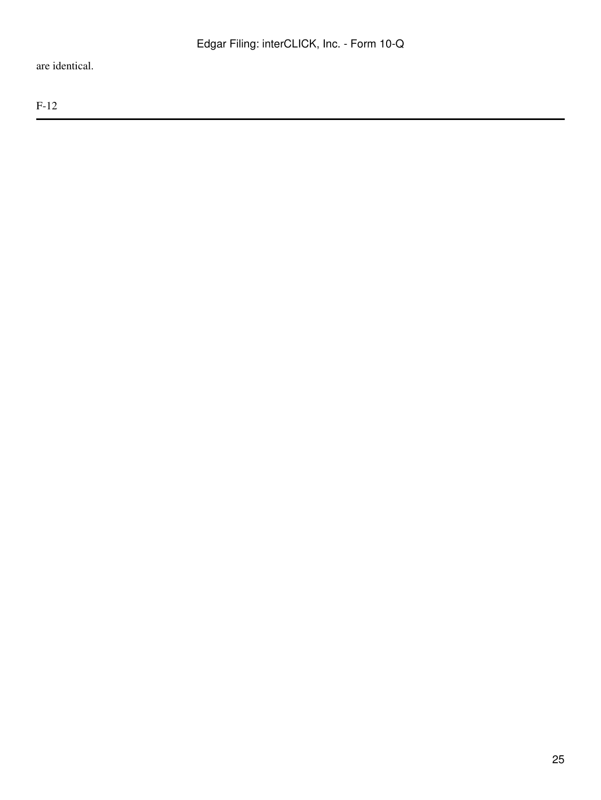are identical.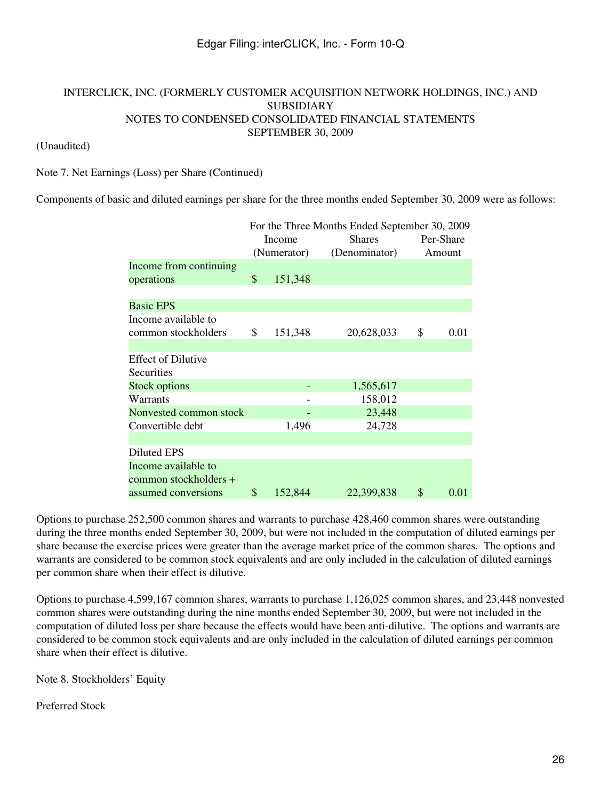### (Unaudited)

Note 7. Net Earnings (Loss) per Share (Continued)

Components of basic and diluted earnings per share for the three months ended September 30, 2009 were as follows:

|                           | For the Three Months Ended September 30, 2009 |             |               |           |        |  |
|---------------------------|-----------------------------------------------|-------------|---------------|-----------|--------|--|
|                           |                                               | Income      | <b>Shares</b> | Per-Share |        |  |
|                           |                                               | (Numerator) | (Denominator) |           | Amount |  |
| Income from continuing    |                                               |             |               |           |        |  |
| operations                | \$                                            | 151,348     |               |           |        |  |
|                           |                                               |             |               |           |        |  |
| <b>Basic EPS</b>          |                                               |             |               |           |        |  |
| Income available to       |                                               |             |               |           |        |  |
| common stockholders       | \$                                            | 151,348     | 20,628,033    | \$        | 0.01   |  |
|                           |                                               |             |               |           |        |  |
| <b>Effect of Dilutive</b> |                                               |             |               |           |        |  |
| Securities                |                                               |             |               |           |        |  |
| <b>Stock options</b>      |                                               |             | 1,565,617     |           |        |  |
| Warrants                  |                                               |             | 158,012       |           |        |  |
| Nonvested common stock    |                                               |             | 23,448        |           |        |  |
| Convertible debt          |                                               | 1,496       | 24,728        |           |        |  |
|                           |                                               |             |               |           |        |  |
| <b>Diluted EPS</b>        |                                               |             |               |           |        |  |
| Income available to       |                                               |             |               |           |        |  |
| common stockholders +     |                                               |             |               |           |        |  |
| assumed conversions       | \$                                            | 152,844     | 22,399,838    | \$        | 0.01   |  |

Options to purchase 252,500 common shares and warrants to purchase 428,460 common shares were outstanding during the three months ended September 30, 2009, but were not included in the computation of diluted earnings per share because the exercise prices were greater than the average market price of the common shares. The options and warrants are considered to be common stock equivalents and are only included in the calculation of diluted earnings per common share when their effect is dilutive.

Options to purchase 4,599,167 common shares, warrants to purchase 1,126,025 common shares, and 23,448 nonvested common shares were outstanding during the nine months ended September 30, 2009, but were not included in the computation of diluted loss per share because the effects would have been anti-dilutive. The options and warrants are considered to be common stock equivalents and are only included in the calculation of diluted earnings per common share when their effect is dilutive.

Note 8. Stockholders' Equity

Preferred Stock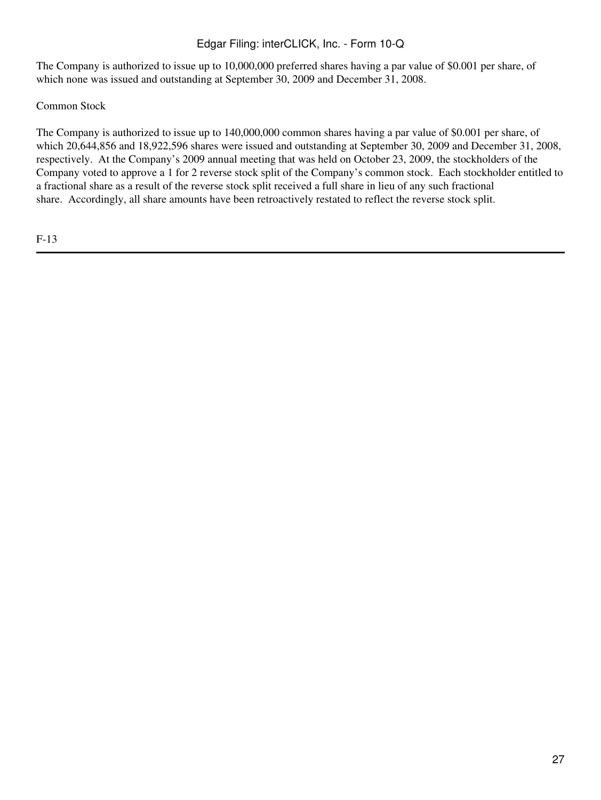The Company is authorized to issue up to 10,000,000 preferred shares having a par value of \$0.001 per share, of which none was issued and outstanding at September 30, 2009 and December 31, 2008.

Common Stock

The Company is authorized to issue up to 140,000,000 common shares having a par value of \$0.001 per share, of which 20,644,856 and 18,922,596 shares were issued and outstanding at September 30, 2009 and December 31, 2008, respectively. At the Company's 2009 annual meeting that was held on October 23, 2009, the stockholders of the Company voted to approve a 1 for 2 reverse stock split of the Company's common stock. Each stockholder entitled to a fractional share as a result of the reverse stock split received a full share in lieu of any such fractional share. Accordingly, all share amounts have been retroactively restated to reflect the reverse stock split.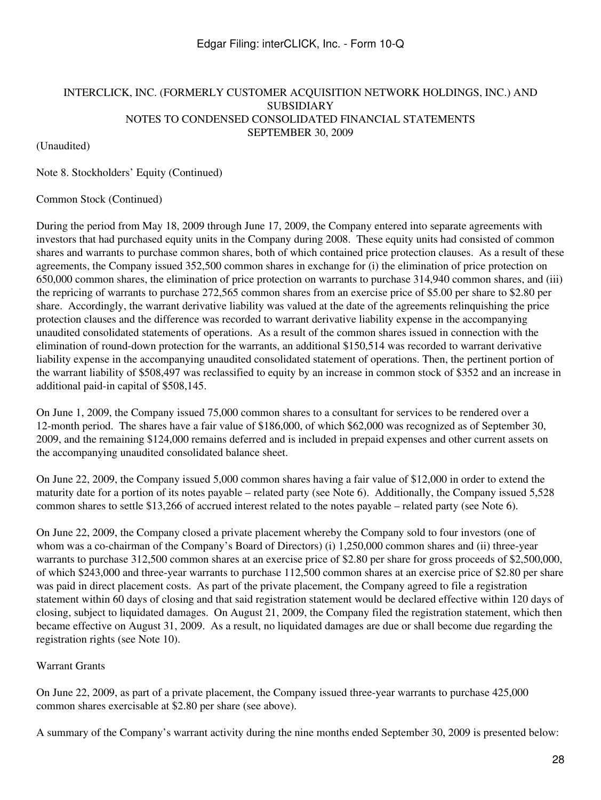(Unaudited)

Note 8. Stockholders' Equity (Continued)

### Common Stock (Continued)

During the period from May 18, 2009 through June 17, 2009, the Company entered into separate agreements with investors that had purchased equity units in the Company during 2008. These equity units had consisted of common shares and warrants to purchase common shares, both of which contained price protection clauses. As a result of these agreements, the Company issued 352,500 common shares in exchange for (i) the elimination of price protection on 650,000 common shares, the elimination of price protection on warrants to purchase 314,940 common shares, and (iii) the repricing of warrants to purchase 272,565 common shares from an exercise price of \$5.00 per share to \$2.80 per share. Accordingly, the warrant derivative liability was valued at the date of the agreements relinquishing the price protection clauses and the difference was recorded to warrant derivative liability expense in the accompanying unaudited consolidated statements of operations. As a result of the common shares issued in connection with the elimination of round-down protection for the warrants, an additional \$150,514 was recorded to warrant derivative liability expense in the accompanying unaudited consolidated statement of operations. Then, the pertinent portion of the warrant liability of \$508,497 was reclassified to equity by an increase in common stock of \$352 and an increase in additional paid-in capital of \$508,145.

On June 1, 2009, the Company issued 75,000 common shares to a consultant for services to be rendered over a 12-month period. The shares have a fair value of \$186,000, of which \$62,000 was recognized as of September 30, 2009, and the remaining \$124,000 remains deferred and is included in prepaid expenses and other current assets on the accompanying unaudited consolidated balance sheet.

On June 22, 2009, the Company issued 5,000 common shares having a fair value of \$12,000 in order to extend the maturity date for a portion of its notes payable – related party (see Note 6). Additionally, the Company issued 5,528 common shares to settle \$13,266 of accrued interest related to the notes payable – related party (see Note 6).

On June 22, 2009, the Company closed a private placement whereby the Company sold to four investors (one of whom was a co-chairman of the Company's Board of Directors) (i) 1,250,000 common shares and (ii) three-year warrants to purchase 312,500 common shares at an exercise price of \$2.80 per share for gross proceeds of \$2,500,000, of which \$243,000 and three-year warrants to purchase 112,500 common shares at an exercise price of \$2.80 per share was paid in direct placement costs. As part of the private placement, the Company agreed to file a registration statement within 60 days of closing and that said registration statement would be declared effective within 120 days of closing, subject to liquidated damages. On August 21, 2009, the Company filed the registration statement, which then became effective on August 31, 2009. As a result, no liquidated damages are due or shall become due regarding the registration rights (see Note 10).

## Warrant Grants

On June 22, 2009, as part of a private placement, the Company issued three-year warrants to purchase 425,000 common shares exercisable at \$2.80 per share (see above).

A summary of the Company's warrant activity during the nine months ended September 30, 2009 is presented below: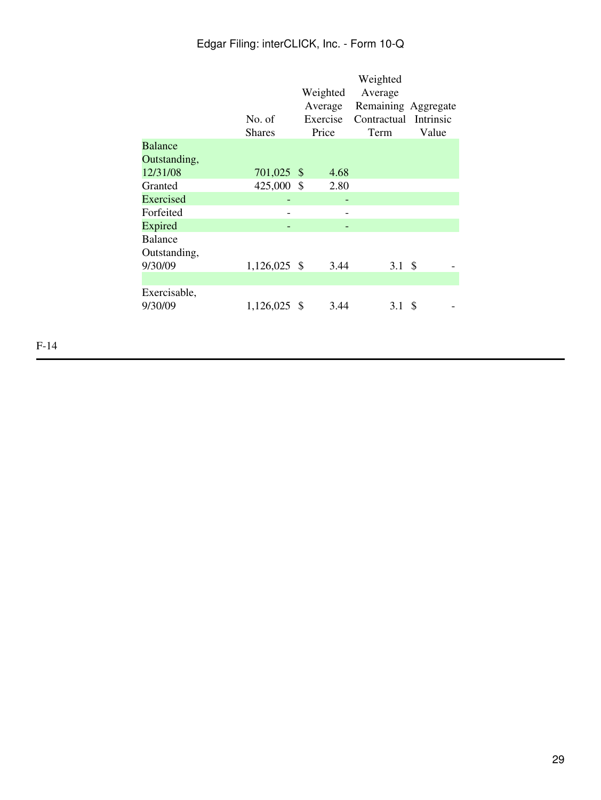|                                    | No. of<br><b>Shares</b> | Weighted<br>Average<br>Exercise<br>Price |      | Weighted<br>Average<br>Remaining Aggregate<br>Contractual Intrinsic<br>Term | Value |  |
|------------------------------------|-------------------------|------------------------------------------|------|-----------------------------------------------------------------------------|-------|--|
| <b>Balance</b>                     |                         |                                          |      |                                                                             |       |  |
| Outstanding,                       |                         |                                          |      |                                                                             |       |  |
| 12/31/08                           | 701,025 \$              |                                          | 4.68 |                                                                             |       |  |
| Granted                            | 425,000 \$              |                                          | 2.80 |                                                                             |       |  |
| Exercised                          |                         |                                          |      |                                                                             |       |  |
| Forfeited                          |                         |                                          |      |                                                                             |       |  |
| Expired                            |                         |                                          |      |                                                                             |       |  |
| Balance<br>Outstanding,<br>9/30/09 | $1,126,025$ \$          |                                          | 3.44 | 3.1 \$                                                                      |       |  |
|                                    |                         |                                          |      |                                                                             |       |  |
| Exercisable,<br>9/30/09            | 1,126,025 \$            |                                          | 3.44 | 3.1                                                                         | -S    |  |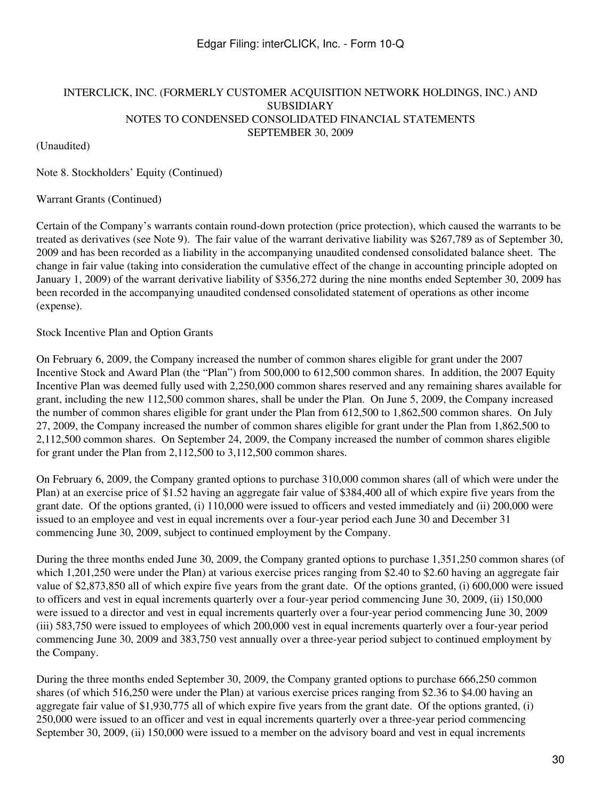(Unaudited)

Note 8. Stockholders' Equity (Continued)

### Warrant Grants (Continued)

Certain of the Company's warrants contain round-down protection (price protection), which caused the warrants to be treated as derivatives (see Note 9). The fair value of the warrant derivative liability was \$267,789 as of September 30, 2009 and has been recorded as a liability in the accompanying unaudited condensed consolidated balance sheet. The change in fair value (taking into consideration the cumulative effect of the change in accounting principle adopted on January 1, 2009) of the warrant derivative liability of \$356,272 during the nine months ended September 30, 2009 has been recorded in the accompanying unaudited condensed consolidated statement of operations as other income (expense).

### Stock Incentive Plan and Option Grants

On February 6, 2009, the Company increased the number of common shares eligible for grant under the 2007 Incentive Stock and Award Plan (the "Plan") from 500,000 to 612,500 common shares. In addition, the 2007 Equity Incentive Plan was deemed fully used with 2,250,000 common shares reserved and any remaining shares available for grant, including the new 112,500 common shares, shall be under the Plan. On June 5, 2009, the Company increased the number of common shares eligible for grant under the Plan from 612,500 to 1,862,500 common shares. On July 27, 2009, the Company increased the number of common shares eligible for grant under the Plan from 1,862,500 to 2,112,500 common shares. On September 24, 2009, the Company increased the number of common shares eligible for grant under the Plan from 2,112,500 to 3,112,500 common shares.

On February 6, 2009, the Company granted options to purchase 310,000 common shares (all of which were under the Plan) at an exercise price of \$1.52 having an aggregate fair value of \$384,400 all of which expire five years from the grant date. Of the options granted, (i) 110,000 were issued to officers and vested immediately and (ii) 200,000 were issued to an employee and vest in equal increments over a four-year period each June 30 and December 31 commencing June 30, 2009, subject to continued employment by the Company.

During the three months ended June 30, 2009, the Company granted options to purchase 1,351,250 common shares (of which 1,201,250 were under the Plan) at various exercise prices ranging from \$2.40 to \$2.60 having an aggregate fair value of \$2,873,850 all of which expire five years from the grant date. Of the options granted, (i) 600,000 were issued to officers and vest in equal increments quarterly over a four-year period commencing June 30, 2009, (ii) 150,000 were issued to a director and vest in equal increments quarterly over a four-year period commencing June 30, 2009 (iii) 583,750 were issued to employees of which 200,000 vest in equal increments quarterly over a four-year period commencing June 30, 2009 and 383,750 vest annually over a three-year period subject to continued employment by the Company.

During the three months ended September 30, 2009, the Company granted options to purchase 666,250 common shares (of which 516,250 were under the Plan) at various exercise prices ranging from \$2.36 to \$4.00 having an aggregate fair value of \$1,930,775 all of which expire five years from the grant date. Of the options granted, (i) 250,000 were issued to an officer and vest in equal increments quarterly over a three-year period commencing September 30, 2009, (ii) 150,000 were issued to a member on the advisory board and vest in equal increments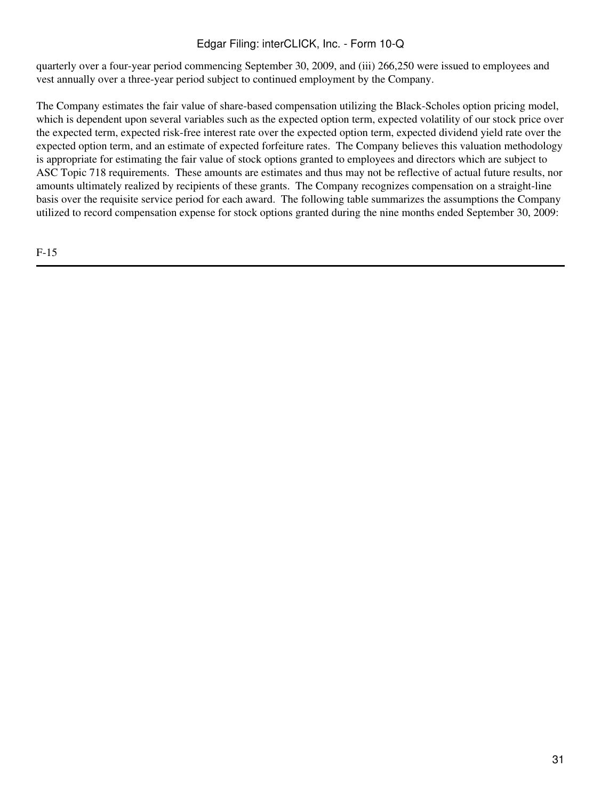quarterly over a four-year period commencing September 30, 2009, and (iii) 266,250 were issued to employees and vest annually over a three-year period subject to continued employment by the Company.

The Company estimates the fair value of share-based compensation utilizing the Black-Scholes option pricing model, which is dependent upon several variables such as the expected option term, expected volatility of our stock price over the expected term, expected risk-free interest rate over the expected option term, expected dividend yield rate over the expected option term, and an estimate of expected forfeiture rates. The Company believes this valuation methodology is appropriate for estimating the fair value of stock options granted to employees and directors which are subject to ASC Topic 718 requirements. These amounts are estimates and thus may not be reflective of actual future results, nor amounts ultimately realized by recipients of these grants. The Company recognizes compensation on a straight-line basis over the requisite service period for each award. The following table summarizes the assumptions the Company utilized to record compensation expense for stock options granted during the nine months ended September 30, 2009: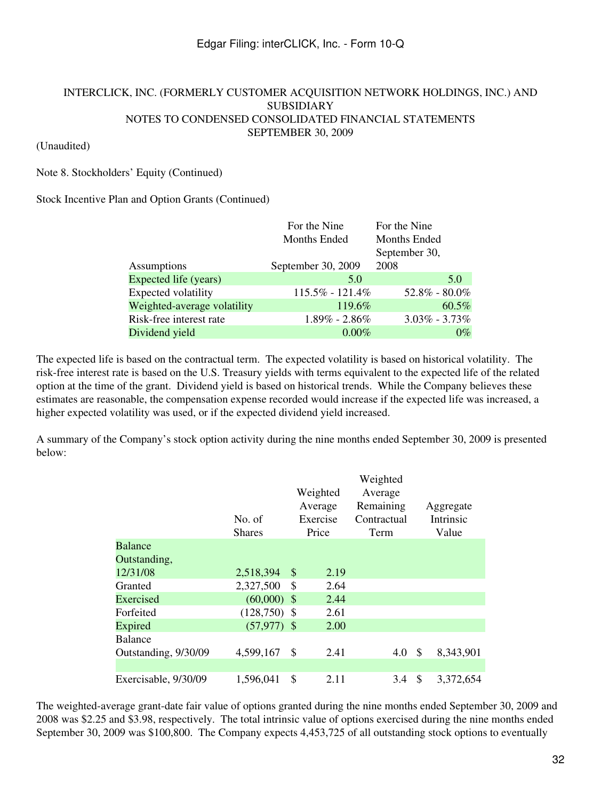### (Unaudited)

### Note 8. Stockholders' Equity (Continued)

### Stock Incentive Plan and Option Grants (Continued)

|                             | For the Nine        | For the Nine      |
|-----------------------------|---------------------|-------------------|
|                             | <b>Months Ended</b> | Months Ended      |
|                             |                     | September 30,     |
| Assumptions                 | September 30, 2009  | 2008              |
| Expected life (years)       | 5.0                 | 5.0               |
| Expected volatility         | $115.5\% - 121.4\%$ | $52.8\% - 80.0\%$ |
| Weighted-average volatility | 119.6%              | $60.5\%$          |
| Risk-free interest rate     | $1.89\% - 2.86\%$   | $3.03\% - 3.73\%$ |
| Dividend yield              | $0.00\%$            | $0\%$             |

The expected life is based on the contractual term. The expected volatility is based on historical volatility. The risk-free interest rate is based on the U.S. Treasury yields with terms equivalent to the expected life of the related option at the time of the grant. Dividend yield is based on historical trends. While the Company believes these estimates are reasonable, the compensation expense recorded would increase if the expected life was increased, a higher expected volatility was used, or if the expected dividend yield increased.

A summary of the Company's stock option activity during the nine months ended September 30, 2009 is presented below:

|                      |                |            | Weighted    |                 |
|----------------------|----------------|------------|-------------|-----------------|
|                      |                | Weighted   | Average     |                 |
|                      |                | Average    | Remaining   | Aggregate       |
|                      | No. of         | Exercise   | Contractual | Intrinsic       |
|                      | <b>Shares</b>  | Price      | Term        | Value           |
| <b>Balance</b>       |                |            |             |                 |
| Outstanding,         |                |            |             |                 |
| 12/31/08             | 2,518,394      | \$<br>2.19 |             |                 |
| Granted              | 2,327,500      | \$<br>2.64 |             |                 |
| Exercised            | $(60,000)$ \$  | 2.44       |             |                 |
| Forfeited            | $(128,750)$ \$ | 2.61       |             |                 |
| Expired              | $(57,977)$ \$  | 2.00       |             |                 |
| <b>Balance</b>       |                |            |             |                 |
| Outstanding, 9/30/09 | 4,599,167      | \$<br>2.41 | 4.0         | \$<br>8,343,901 |
|                      |                |            |             |                 |
| Exercisable, 9/30/09 | 1,596,041      | \$<br>2.11 | 3.4         | \$<br>3,372,654 |

The weighted-average grant-date fair value of options granted during the nine months ended September 30, 2009 and 2008 was \$2.25 and \$3.98, respectively. The total intrinsic value of options exercised during the nine months ended September 30, 2009 was \$100,800. The Company expects 4,453,725 of all outstanding stock options to eventually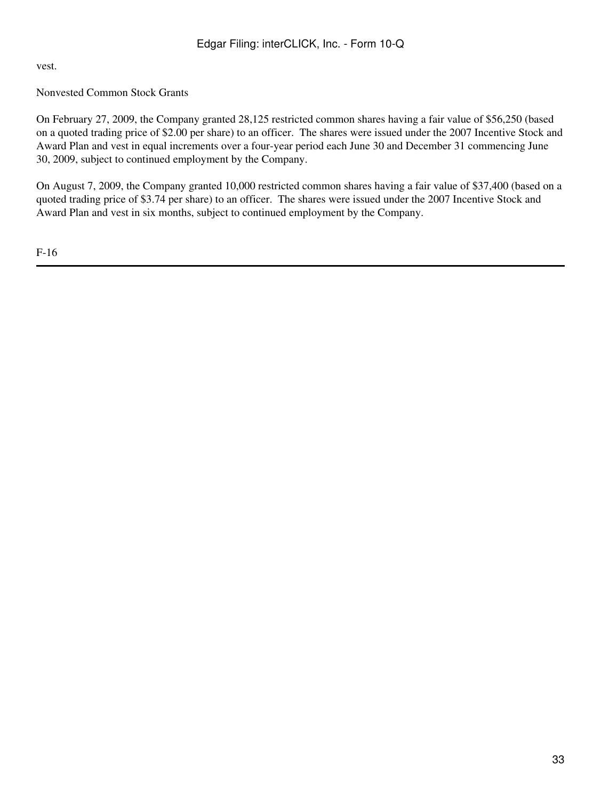vest.

# Nonvested Common Stock Grants

On February 27, 2009, the Company granted 28,125 restricted common shares having a fair value of \$56,250 (based on a quoted trading price of \$2.00 per share) to an officer. The shares were issued under the 2007 Incentive Stock and Award Plan and vest in equal increments over a four-year period each June 30 and December 31 commencing June 30, 2009, subject to continued employment by the Company.

On August 7, 2009, the Company granted 10,000 restricted common shares having a fair value of \$37,400 (based on a quoted trading price of \$3.74 per share) to an officer. The shares were issued under the 2007 Incentive Stock and Award Plan and vest in six months, subject to continued employment by the Company.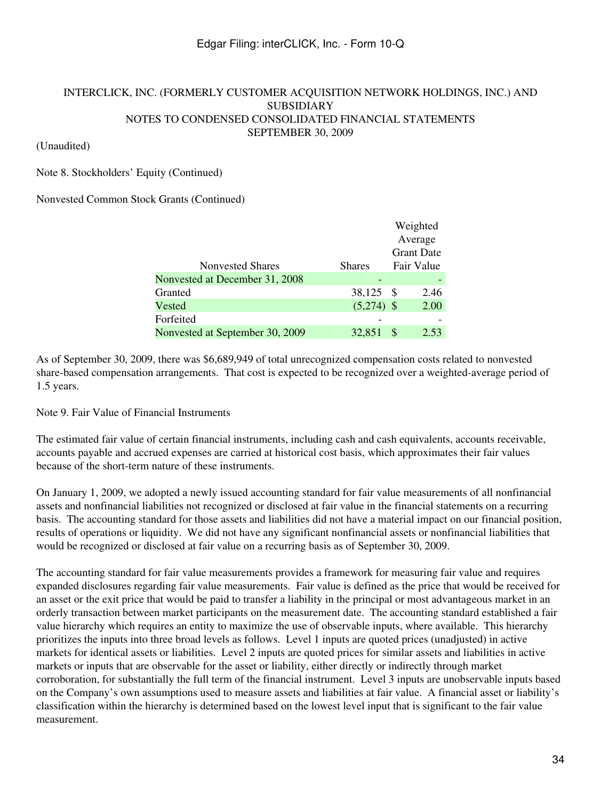### (Unaudited)

### Note 8. Stockholders' Equity (Continued)

### Nonvested Common Stock Grants (Continued)

|                                 |               | Weighted          |      |
|---------------------------------|---------------|-------------------|------|
|                                 |               | Average           |      |
|                                 |               | <b>Grant Date</b> |      |
| <b>Nonvested Shares</b>         | <b>Shares</b> | Fair Value        |      |
| Nonvested at December 31, 2008  |               |                   |      |
| Granted                         | 38,125 \$     |                   | 2.46 |
| Vested                          | $(5,274)$ \$  |                   | 2.00 |
| Forfeited                       |               |                   |      |
| Nonvested at September 30, 2009 | 32,851        | S                 | 2.53 |

As of September 30, 2009, there was \$6,689,949 of total unrecognized compensation costs related to nonvested share-based compensation arrangements. That cost is expected to be recognized over a weighted-average period of 1.5 years.

Note 9. Fair Value of Financial Instruments

The estimated fair value of certain financial instruments, including cash and cash equivalents, accounts receivable, accounts payable and accrued expenses are carried at historical cost basis, which approximates their fair values because of the short-term nature of these instruments.

On January 1, 2009, we adopted a newly issued accounting standard for fair value measurements of all nonfinancial assets and nonfinancial liabilities not recognized or disclosed at fair value in the financial statements on a recurring basis. The accounting standard for those assets and liabilities did not have a material impact on our financial position, results of operations or liquidity. We did not have any significant nonfinancial assets or nonfinancial liabilities that would be recognized or disclosed at fair value on a recurring basis as of September 30, 2009.

The accounting standard for fair value measurements provides a framework for measuring fair value and requires expanded disclosures regarding fair value measurements. Fair value is defined as the price that would be received for an asset or the exit price that would be paid to transfer a liability in the principal or most advantageous market in an orderly transaction between market participants on the measurement date. The accounting standard established a fair value hierarchy which requires an entity to maximize the use of observable inputs, where available. This hierarchy prioritizes the inputs into three broad levels as follows. Level 1 inputs are quoted prices (unadjusted) in active markets for identical assets or liabilities. Level 2 inputs are quoted prices for similar assets and liabilities in active markets or inputs that are observable for the asset or liability, either directly or indirectly through market corroboration, for substantially the full term of the financial instrument. Level 3 inputs are unobservable inputs based on the Company's own assumptions used to measure assets and liabilities at fair value. A financial asset or liability's classification within the hierarchy is determined based on the lowest level input that is significant to the fair value measurement.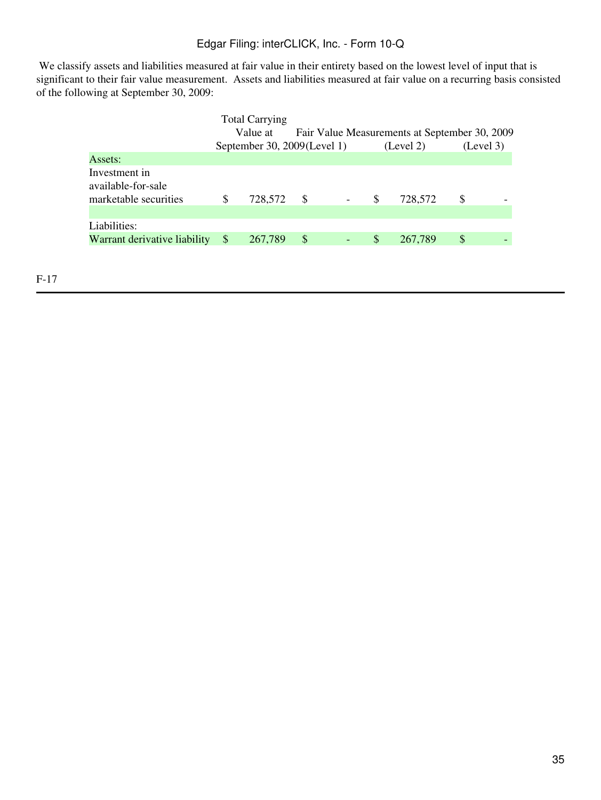We classify assets and liabilities measured at fair value in their entirety based on the lowest level of input that is significant to their fair value measurement. Assets and liabilities measured at fair value on a recurring basis consisted of the following at September 30, 2009:

|                                                              |    | <b>Total Carrying</b><br>Value at |     |                          |    | Fair Value Measurements at September 30, 2009 |               |  |
|--------------------------------------------------------------|----|-----------------------------------|-----|--------------------------|----|-----------------------------------------------|---------------|--|
|                                                              |    | September 30, 2009(Level 1)       |     |                          |    | (Level 2)                                     | (Level 3)     |  |
| Assets:                                                      |    |                                   |     |                          |    |                                               |               |  |
| Investment in<br>available-for-sale<br>marketable securities | \$ | 728,572                           | - S | $\overline{\phantom{a}}$ | S  | 728,572                                       | S             |  |
| Liabilities:                                                 |    |                                   |     |                          |    |                                               |               |  |
| Warrant derivative liability                                 | -S | 267,789                           | \$  |                          | \$ | 267,789                                       | <sup>\$</sup> |  |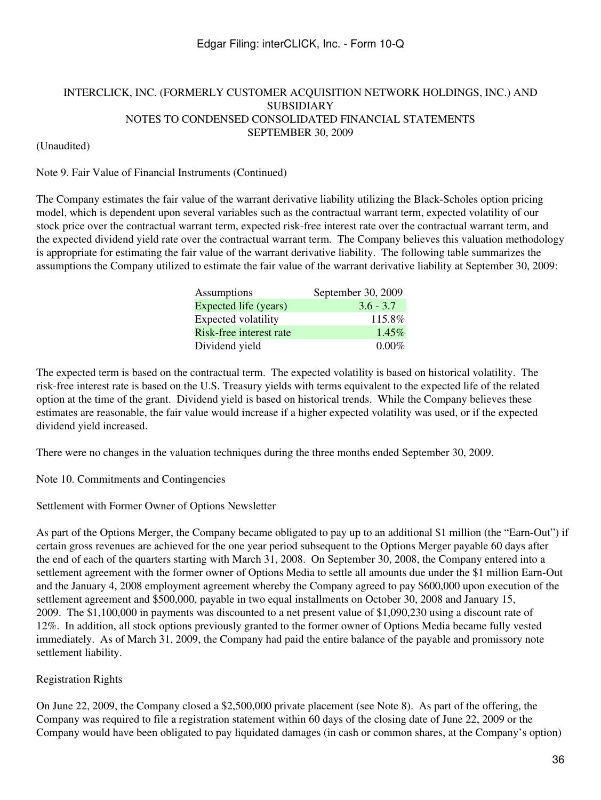### (Unaudited)

### Note 9. Fair Value of Financial Instruments (Continued)

The Company estimates the fair value of the warrant derivative liability utilizing the Black-Scholes option pricing model, which is dependent upon several variables such as the contractual warrant term, expected volatility of our stock price over the contractual warrant term, expected risk-free interest rate over the contractual warrant term, and the expected dividend yield rate over the contractual warrant term. The Company believes this valuation methodology is appropriate for estimating the fair value of the warrant derivative liability. The following table summarizes the assumptions the Company utilized to estimate the fair value of the warrant derivative liability at September 30, 2009:

| Assumptions             | September 30, 2009 |
|-------------------------|--------------------|
| Expected life (years)   | $3.6 - 3.7$        |
| Expected volatility     | 115.8%             |
| Risk-free interest rate | $1.45\%$           |
| Dividend yield          | $0.00\%$           |

The expected term is based on the contractual term. The expected volatility is based on historical volatility. The risk-free interest rate is based on the U.S. Treasury yields with terms equivalent to the expected life of the related option at the time of the grant. Dividend yield is based on historical trends. While the Company believes these estimates are reasonable, the fair value would increase if a higher expected volatility was used, or if the expected dividend yield increased.

There were no changes in the valuation techniques during the three months ended September 30, 2009.

Note 10. Commitments and Contingencies

Settlement with Former Owner of Options Newsletter

As part of the Options Merger, the Company became obligated to pay up to an additional \$1 million (the "Earn-Out") if certain gross revenues are achieved for the one year period subsequent to the Options Merger payable 60 days after the end of each of the quarters starting with March 31, 2008. On September 30, 2008, the Company entered into a settlement agreement with the former owner of Options Media to settle all amounts due under the \$1 million Earn-Out and the January 4, 2008 employment agreement whereby the Company agreed to pay \$600,000 upon execution of the settlement agreement and \$500,000, payable in two equal installments on October 30, 2008 and January 15, 2009. The \$1,100,000 in payments was discounted to a net present value of \$1,090,230 using a discount rate of 12%. In addition, all stock options previously granted to the former owner of Options Media became fully vested immediately. As of March 31, 2009, the Company had paid the entire balance of the payable and promissory note settlement liability.

## Registration Rights

On June 22, 2009, the Company closed a \$2,500,000 private placement (see Note 8). As part of the offering, the Company was required to file a registration statement within 60 days of the closing date of June 22, 2009 or the Company would have been obligated to pay liquidated damages (in cash or common shares, at the Company's option)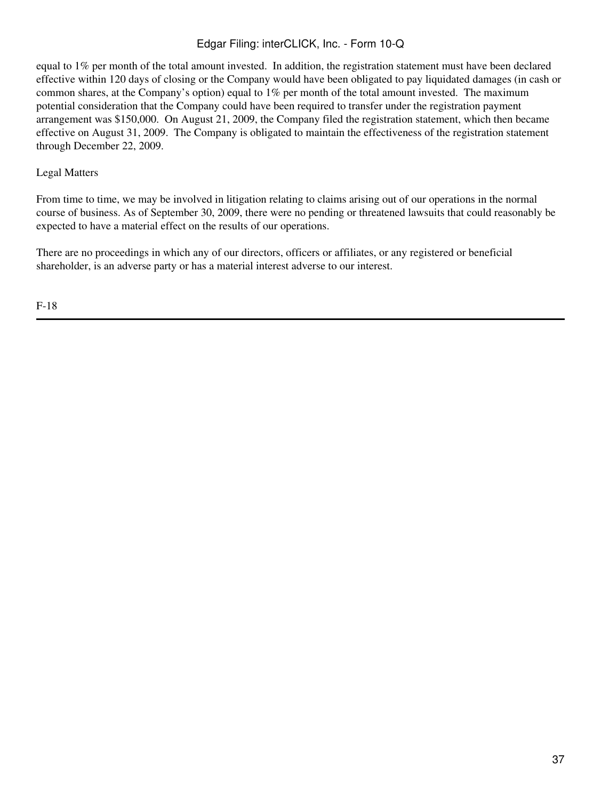equal to 1% per month of the total amount invested. In addition, the registration statement must have been declared effective within 120 days of closing or the Company would have been obligated to pay liquidated damages (in cash or common shares, at the Company's option) equal to 1% per month of the total amount invested. The maximum potential consideration that the Company could have been required to transfer under the registration payment arrangement was \$150,000. On August 21, 2009, the Company filed the registration statement, which then became effective on August 31, 2009. The Company is obligated to maintain the effectiveness of the registration statement through December 22, 2009.

#### Legal Matters

From time to time, we may be involved in litigation relating to claims arising out of our operations in the normal course of business. As of September 30, 2009, there were no pending or threatened lawsuits that could reasonably be expected to have a material effect on the results of our operations.

There are no proceedings in which any of our directors, officers or affiliates, or any registered or beneficial shareholder, is an adverse party or has a material interest adverse to our interest.

F-18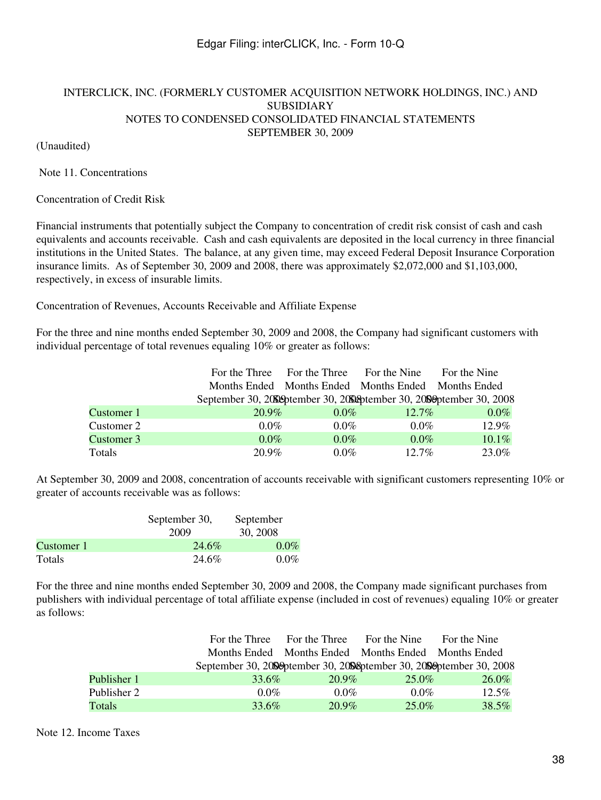### INTERCLICK, INC. (FORMERLY CUSTOMER ACQUISITION NETWORK HOLDINGS, INC.) AND SUBSIDIARY NOTES TO CONDENSED CONSOLIDATED FINANCIAL STATEMENTS SEPTEMBER 30, 2009

(Unaudited)

Note 11. Concentrations

Concentration of Credit Risk

Financial instruments that potentially subject the Company to concentration of credit risk consist of cash and cash equivalents and accounts receivable. Cash and cash equivalents are deposited in the local currency in three financial institutions in the United States. The balance, at any given time, may exceed Federal Deposit Insurance Corporation insurance limits. As of September 30, 2009 and 2008, there was approximately \$2,072,000 and \$1,103,000, respectively, in excess of insurable limits.

Concentration of Revenues, Accounts Receivable and Affiliate Expense

For the three and nine months ended September 30, 2009 and 2008, the Company had significant customers with individual percentage of total revenues equaling 10% or greater as follows:

|            |                                                                       | For the Three For the Three | For the Nine                                        | For the Nine |  |
|------------|-----------------------------------------------------------------------|-----------------------------|-----------------------------------------------------|--------------|--|
|            |                                                                       |                             | Months Ended Months Ended Months Ended Months Ended |              |  |
|            | September 30, 2009 between 30, 2009 between 30, 2009 between 30, 2008 |                             |                                                     |              |  |
| Customer 1 | $20.9\%$                                                              | $0.0\%$                     | $12.7\%$                                            | $0.0\%$      |  |
| Customer 2 | $0.0\%$                                                               | $0.0\%$                     | $0.0\%$                                             | 12.9%        |  |
| Customer 3 | $0.0\%$                                                               | $0.0\%$                     | $0.0\%$                                             | 10.1%        |  |
| Totals     | 20.9%                                                                 | $0.0\%$                     | $12.7\%$                                            | 23.0%        |  |

At September 30, 2009 and 2008, concentration of accounts receivable with significant customers representing 10% or greater of accounts receivable was as follows:

|            | September 30, | September |  |  |
|------------|---------------|-----------|--|--|
|            | 2009          | 30, 2008  |  |  |
| Customer 1 | 24.6%         | $0.0\%$   |  |  |
| Totals     | 24.6%         | $0.0\%$   |  |  |

For the three and nine months ended September 30, 2009 and 2008, the Company made significant purchases from publishers with individual percentage of total affiliate expense (included in cost of revenues) equaling 10% or greater as follows:

|             |                                                                       |          | For the Three For the Three For the Nine For the Nine |          |
|-------------|-----------------------------------------------------------------------|----------|-------------------------------------------------------|----------|
|             |                                                                       |          | Months Ended Months Ended Months Ended Months Ended   |          |
|             | September 30, 2009 ptember 30, 2008 ptember 30, 2009 ptember 30, 2008 |          |                                                       |          |
| Publisher 1 | 33.6%                                                                 | 20.9%    | 25.0%                                                 | $26.0\%$ |
| Publisher 2 | $0.0\%$                                                               | $0.0\%$  | $0.0\%$                                               | $12.5\%$ |
| Totals      | 33.6%                                                                 | $20.9\%$ | $25.0\%$                                              | 38.5%    |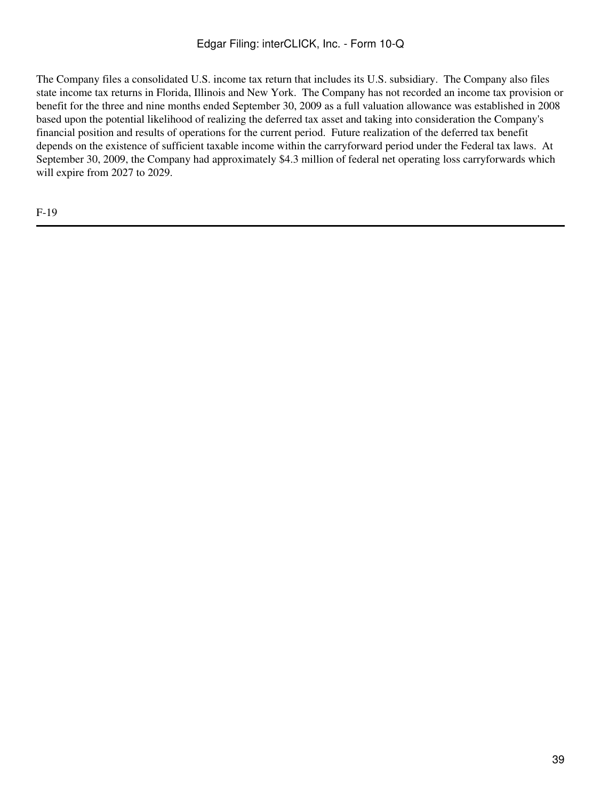The Company files a consolidated U.S. income tax return that includes its U.S. subsidiary. The Company also files state income tax returns in Florida, Illinois and New York. The Company has not recorded an income tax provision or benefit for the three and nine months ended September 30, 2009 as a full valuation allowance was established in 2008 based upon the potential likelihood of realizing the deferred tax asset and taking into consideration the Company's financial position and results of operations for the current period. Future realization of the deferred tax benefit depends on the existence of sufficient taxable income within the carryforward period under the Federal tax laws. At September 30, 2009, the Company had approximately \$4.3 million of federal net operating loss carryforwards which will expire from 2027 to 2029.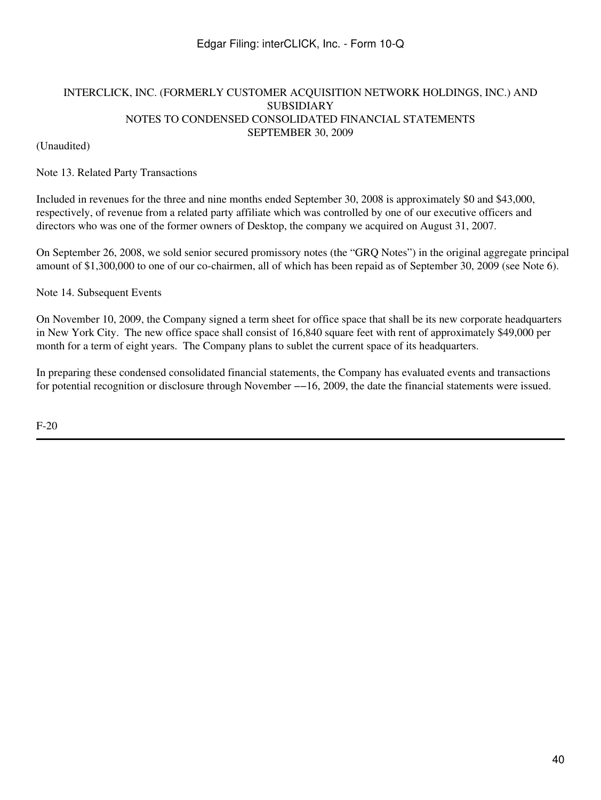### INTERCLICK, INC. (FORMERLY CUSTOMER ACQUISITION NETWORK HOLDINGS, INC.) AND SUBSIDIARY NOTES TO CONDENSED CONSOLIDATED FINANCIAL STATEMENTS SEPTEMBER 30, 2009

(Unaudited)

#### Note 13. Related Party Transactions

Included in revenues for the three and nine months ended September 30, 2008 is approximately \$0 and \$43,000, respectively, of revenue from a related party affiliate which was controlled by one of our executive officers and directors who was one of the former owners of Desktop, the company we acquired on August 31, 2007.

On September 26, 2008, we sold senior secured promissory notes (the "GRQ Notes") in the original aggregate principal amount of \$1,300,000 to one of our co-chairmen, all of which has been repaid as of September 30, 2009 (see Note 6).

Note 14. Subsequent Events

On November 10, 2009, the Company signed a term sheet for office space that shall be its new corporate headquarters in New York City. The new office space shall consist of 16,840 square feet with rent of approximately \$49,000 per month for a term of eight years. The Company plans to sublet the current space of its headquarters.

In preparing these condensed consolidated financial statements, the Company has evaluated events and transactions for potential recognition or disclosure through November −−16, 2009, the date the financial statements were issued.

F-20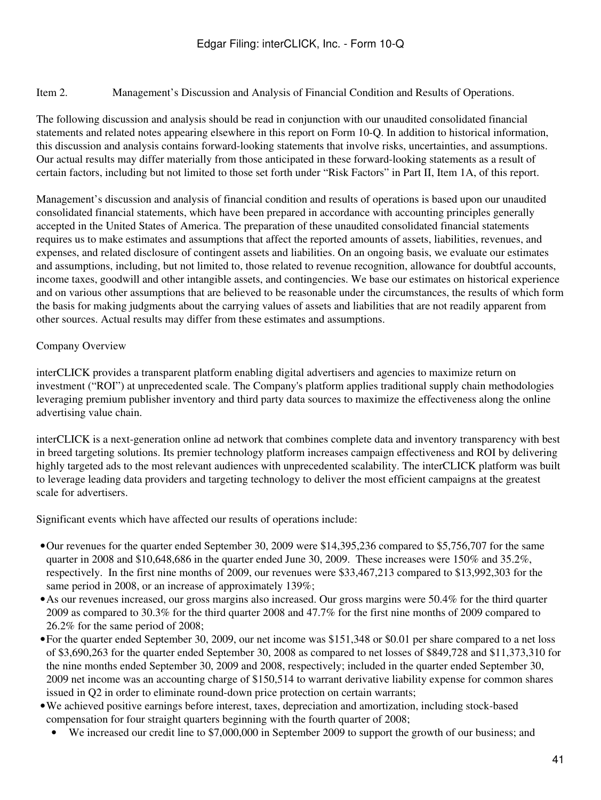Item 2. Management's Discussion and Analysis of Financial Condition and Results of Operations.

The following discussion and analysis should be read in conjunction with our unaudited consolidated financial statements and related notes appearing elsewhere in this report on Form 10-Q. In addition to historical information, this discussion and analysis contains forward-looking statements that involve risks, uncertainties, and assumptions. Our actual results may differ materially from those anticipated in these forward-looking statements as a result of certain factors, including but not limited to those set forth under "Risk Factors" in Part II, Item 1A, of this report.

Management's discussion and analysis of financial condition and results of operations is based upon our unaudited consolidated financial statements, which have been prepared in accordance with accounting principles generally accepted in the United States of America. The preparation of these unaudited consolidated financial statements requires us to make estimates and assumptions that affect the reported amounts of assets, liabilities, revenues, and expenses, and related disclosure of contingent assets and liabilities. On an ongoing basis, we evaluate our estimates and assumptions, including, but not limited to, those related to revenue recognition, allowance for doubtful accounts, income taxes, goodwill and other intangible assets, and contingencies. We base our estimates on historical experience and on various other assumptions that are believed to be reasonable under the circumstances, the results of which form the basis for making judgments about the carrying values of assets and liabilities that are not readily apparent from other sources. Actual results may differ from these estimates and assumptions.

### Company Overview

interCLICK provides a transparent platform enabling digital advertisers and agencies to maximize return on investment ("ROI") at unprecedented scale. The Company's platform applies traditional supply chain methodologies leveraging premium publisher inventory and third party data sources to maximize the effectiveness along the online advertising value chain.

interCLICK is a next-generation online ad network that combines complete data and inventory transparency with best in breed targeting solutions. Its premier technology platform increases campaign effectiveness and ROI by delivering highly targeted ads to the most relevant audiences with unprecedented scalability. The interCLICK platform was built to leverage leading data providers and targeting technology to deliver the most efficient campaigns at the greatest scale for advertisers.

Significant events which have affected our results of operations include:

- •Our revenues for the quarter ended September 30, 2009 were \$14,395,236 compared to \$5,756,707 for the same quarter in 2008 and \$10,648,686 in the quarter ended June 30, 2009. These increases were 150% and 35.2%, respectively. In the first nine months of 2009, our revenues were \$33,467,213 compared to \$13,992,303 for the same period in 2008, or an increase of approximately 139%;
- •As our revenues increased, our gross margins also increased. Our gross margins were 50.4% for the third quarter 2009 as compared to 30.3% for the third quarter 2008 and 47.7% for the first nine months of 2009 compared to 26.2% for the same period of 2008;
- •For the quarter ended September 30, 2009, our net income was \$151,348 or \$0.01 per share compared to a net loss of \$3,690,263 for the quarter ended September 30, 2008 as compared to net losses of \$849,728 and \$11,373,310 for the nine months ended September 30, 2009 and 2008, respectively; included in the quarter ended September 30, 2009 net income was an accounting charge of \$150,514 to warrant derivative liability expense for common shares issued in Q2 in order to eliminate round-down price protection on certain warrants;
- •We achieved positive earnings before interest, taxes, depreciation and amortization, including stock-based compensation for four straight quarters beginning with the fourth quarter of 2008;
	- We increased our credit line to \$7,000,000 in September 2009 to support the growth of our business; and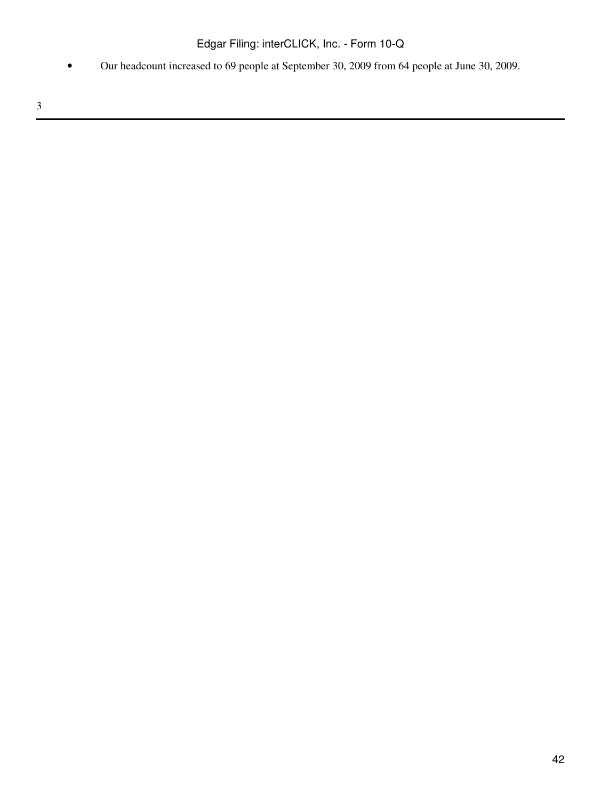• Our headcount increased to 69 people at September 30, 2009 from 64 people at June 30, 2009.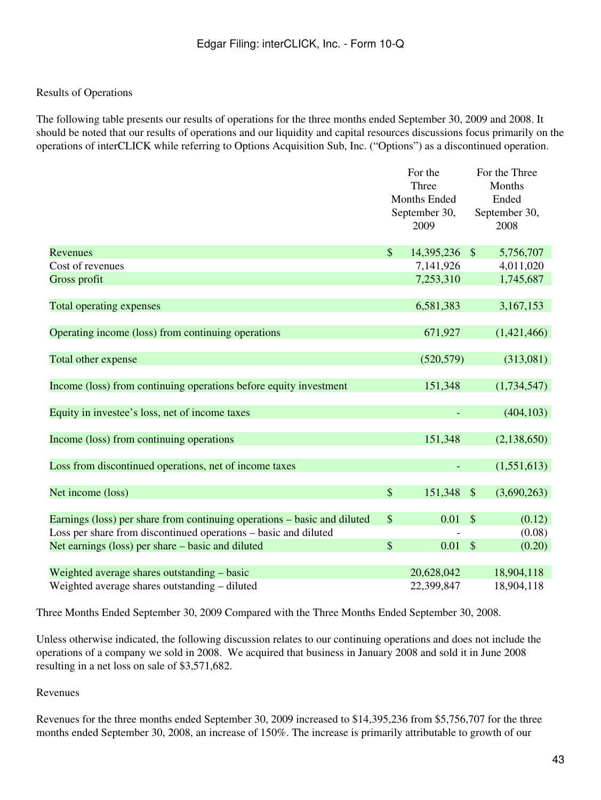### Results of Operations

The following table presents our results of operations for the three months ended September 30, 2009 and 2008. It should be noted that our results of operations and our liquidity and capital resources discussions focus primarily on the operations of interCLICK while referring to Options Acquisition Sub, Inc. ("Options") as a discontinued operation.

|                                                                          |                              | For the       |                         | For the Three |
|--------------------------------------------------------------------------|------------------------------|---------------|-------------------------|---------------|
|                                                                          | Three<br><b>Months Ended</b> |               | Months<br>Ended         |               |
|                                                                          |                              | September 30, |                         | September 30, |
|                                                                          |                              | 2009          |                         | 2008          |
| Revenues                                                                 | $\mathcal{S}$                | 14,395,236    | $\mathcal{S}$           | 5,756,707     |
| Cost of revenues                                                         |                              | 7,141,926     |                         | 4,011,020     |
| Gross profit                                                             |                              | 7,253,310     |                         | 1,745,687     |
| Total operating expenses                                                 |                              | 6,581,383     |                         | 3,167,153     |
| Operating income (loss) from continuing operations                       |                              | 671,927       |                         | (1,421,466)   |
|                                                                          |                              |               |                         |               |
| Total other expense                                                      |                              | (520, 579)    |                         | (313,081)     |
| Income (loss) from continuing operations before equity investment        |                              | 151,348       |                         | (1,734,547)   |
| Equity in investee's loss, net of income taxes                           |                              |               |                         | (404, 103)    |
| Income (loss) from continuing operations                                 |                              | 151,348       |                         | (2, 138, 650) |
| Loss from discontinued operations, net of income taxes                   |                              |               |                         | (1,551,613)   |
| Net income (loss)                                                        | $\mathcal{S}$                | 151,348       | $\mathcal{S}$           | (3,690,263)   |
| Earnings (loss) per share from continuing operations - basic and diluted | $\mathcal{S}$                | 0.01          | $\sqrt[6]{\frac{1}{2}}$ | (0.12)        |
| Loss per share from discontinued operations – basic and diluted          |                              |               |                         | (0.08)        |
| Net earnings (loss) per share – basic and diluted                        | \$                           | 0.01          | $\mathcal{S}$           | (0.20)        |
| Weighted average shares outstanding – basic                              |                              | 20,628,042    |                         | 18,904,118    |
| Weighted average shares outstanding – diluted                            |                              | 22,399,847    |                         | 18,904,118    |

Three Months Ended September 30, 2009 Compared with the Three Months Ended September 30, 2008.

Unless otherwise indicated, the following discussion relates to our continuing operations and does not include the operations of a company we sold in 2008. We acquired that business in January 2008 and sold it in June 2008 resulting in a net loss on sale of \$3,571,682.

Revenues

Revenues for the three months ended September 30, 2009 increased to \$14,395,236 from \$5,756,707 for the three months ended September 30, 2008, an increase of 150%. The increase is primarily attributable to growth of our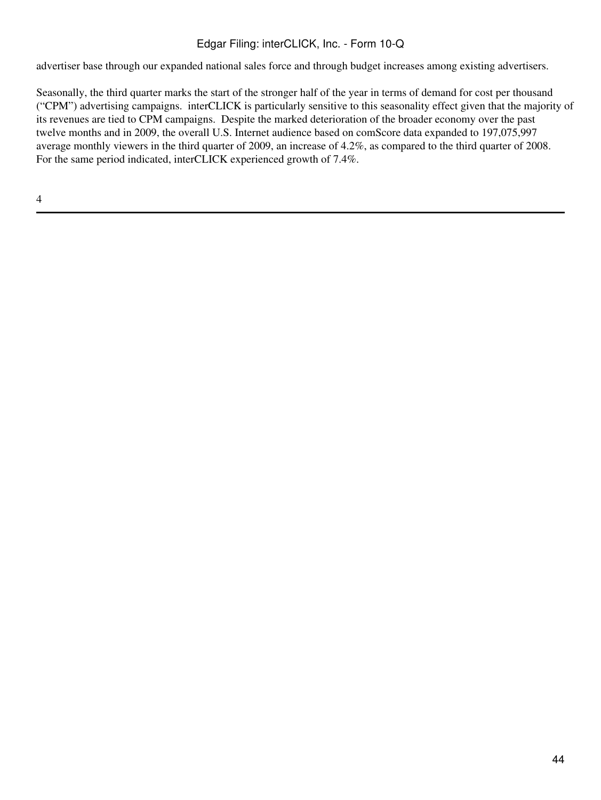advertiser base through our expanded national sales force and through budget increases among existing advertisers.

Seasonally, the third quarter marks the start of the stronger half of the year in terms of demand for cost per thousand ("CPM") advertising campaigns. interCLICK is particularly sensitive to this seasonality effect given that the majority of its revenues are tied to CPM campaigns. Despite the marked deterioration of the broader economy over the past twelve months and in 2009, the overall U.S. Internet audience based on comScore data expanded to 197,075,997 average monthly viewers in the third quarter of 2009, an increase of 4.2%, as compared to the third quarter of 2008. For the same period indicated, interCLICK experienced growth of 7.4%.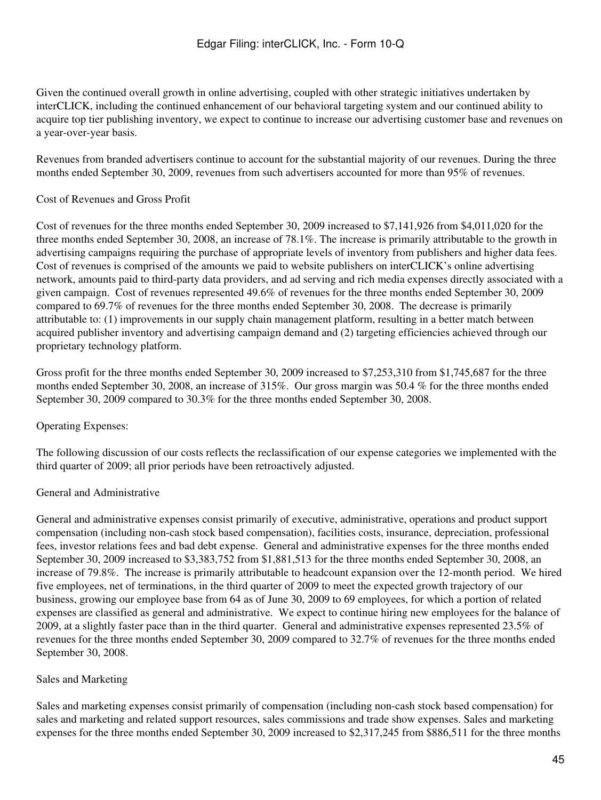Given the continued overall growth in online advertising, coupled with other strategic initiatives undertaken by interCLICK, including the continued enhancement of our behavioral targeting system and our continued ability to acquire top tier publishing inventory, we expect to continue to increase our advertising customer base and revenues on a year-over-year basis.

Revenues from branded advertisers continue to account for the substantial majority of our revenues. During the three months ended September 30, 2009, revenues from such advertisers accounted for more than 95% of revenues.

### Cost of Revenues and Gross Profit

Cost of revenues for the three months ended September 30, 2009 increased to \$7,141,926 from \$4,011,020 for the three months ended September 30, 2008, an increase of 78.1%. The increase is primarily attributable to the growth in advertising campaigns requiring the purchase of appropriate levels of inventory from publishers and higher data fees. Cost of revenues is comprised of the amounts we paid to website publishers on interCLICK's online advertising network, amounts paid to third-party data providers, and ad serving and rich media expenses directly associated with a given campaign. Cost of revenues represented 49.6% of revenues for the three months ended September 30, 2009 compared to 69.7% of revenues for the three months ended September 30, 2008. The decrease is primarily attributable to: (1) improvements in our supply chain management platform, resulting in a better match between acquired publisher inventory and advertising campaign demand and (2) targeting efficiencies achieved through our proprietary technology platform.

Gross profit for the three months ended September 30, 2009 increased to \$7,253,310 from \$1,745,687 for the three months ended September 30, 2008, an increase of 315%. Our gross margin was 50.4 % for the three months ended September 30, 2009 compared to 30.3% for the three months ended September 30, 2008.

### Operating Expenses:

The following discussion of our costs reflects the reclassification of our expense categories we implemented with the third quarter of 2009; all prior periods have been retroactively adjusted.

### General and Administrative

General and administrative expenses consist primarily of executive, administrative, operations and product support compensation (including non-cash stock based compensation), facilities costs, insurance, depreciation, professional fees, investor relations fees and bad debt expense. General and administrative expenses for the three months ended September 30, 2009 increased to \$3,383,752 from \$1,881,513 for the three months ended September 30, 2008, an increase of 79.8%. The increase is primarily attributable to headcount expansion over the 12-month period. We hired five employees, net of terminations, in the third quarter of 2009 to meet the expected growth trajectory of our business, growing our employee base from 64 as of June 30, 2009 to 69 employees, for which a portion of related expenses are classified as general and administrative. We expect to continue hiring new employees for the balance of 2009, at a slightly faster pace than in the third quarter. General and administrative expenses represented 23.5% of revenues for the three months ended September 30, 2009 compared to 32.7% of revenues for the three months ended September 30, 2008.

### Sales and Marketing

Sales and marketing expenses consist primarily of compensation (including non-cash stock based compensation) for sales and marketing and related support resources, sales commissions and trade show expenses. Sales and marketing expenses for the three months ended September 30, 2009 increased to \$2,317,245 from \$886,511 for the three months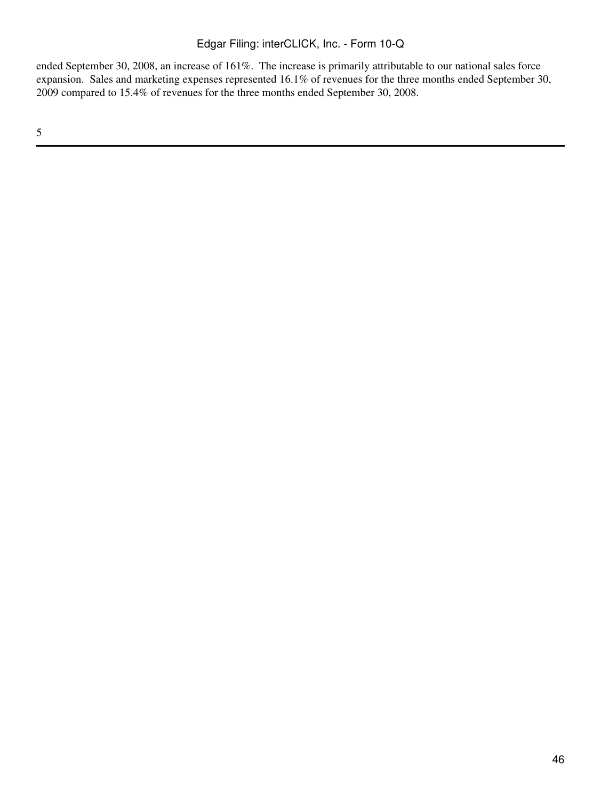ended September 30, 2008, an increase of 161%. The increase is primarily attributable to our national sales force expansion. Sales and marketing expenses represented 16.1% of revenues for the three months ended September 30, 2009 compared to 15.4% of revenues for the three months ended September 30, 2008.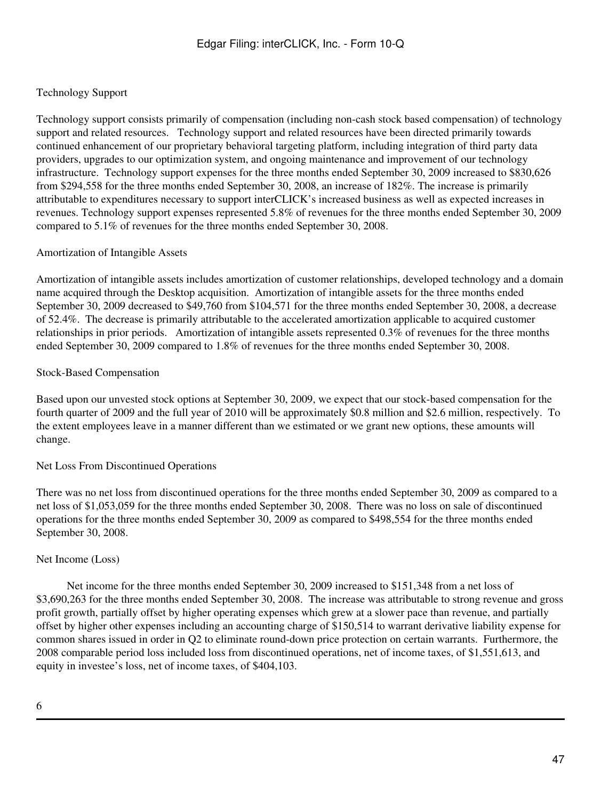### Technology Support

Technology support consists primarily of compensation (including non-cash stock based compensation) of technology support and related resources. Technology support and related resources have been directed primarily towards continued enhancement of our proprietary behavioral targeting platform, including integration of third party data providers, upgrades to our optimization system, and ongoing maintenance and improvement of our technology infrastructure. Technology support expenses for the three months ended September 30, 2009 increased to \$830,626 from \$294,558 for the three months ended September 30, 2008, an increase of 182%. The increase is primarily attributable to expenditures necessary to support interCLICK's increased business as well as expected increases in revenues. Technology support expenses represented 5.8% of revenues for the three months ended September 30, 2009 compared to 5.1% of revenues for the three months ended September 30, 2008.

### Amortization of Intangible Assets

Amortization of intangible assets includes amortization of customer relationships, developed technology and a domain name acquired through the Desktop acquisition. Amortization of intangible assets for the three months ended September 30, 2009 decreased to \$49,760 from \$104,571 for the three months ended September 30, 2008, a decrease of 52.4%. The decrease is primarily attributable to the accelerated amortization applicable to acquired customer relationships in prior periods. Amortization of intangible assets represented 0.3% of revenues for the three months ended September 30, 2009 compared to 1.8% of revenues for the three months ended September 30, 2008.

#### Stock-Based Compensation

Based upon our unvested stock options at September 30, 2009, we expect that our stock-based compensation for the fourth quarter of 2009 and the full year of 2010 will be approximately \$0.8 million and \$2.6 million, respectively. To the extent employees leave in a manner different than we estimated or we grant new options, these amounts will change.

#### Net Loss From Discontinued Operations

There was no net loss from discontinued operations for the three months ended September 30, 2009 as compared to a net loss of \$1,053,059 for the three months ended September 30, 2008. There was no loss on sale of discontinued operations for the three months ended September 30, 2009 as compared to \$498,554 for the three months ended September 30, 2008.

#### Net Income (Loss)

 Net income for the three months ended September 30, 2009 increased to \$151,348 from a net loss of \$3,690,263 for the three months ended September 30, 2008. The increase was attributable to strong revenue and gross profit growth, partially offset by higher operating expenses which grew at a slower pace than revenue, and partially offset by higher other expenses including an accounting charge of \$150,514 to warrant derivative liability expense for common shares issued in order in Q2 to eliminate round-down price protection on certain warrants. Furthermore, the 2008 comparable period loss included loss from discontinued operations, net of income taxes, of \$1,551,613, and equity in investee's loss, net of income taxes, of \$404,103.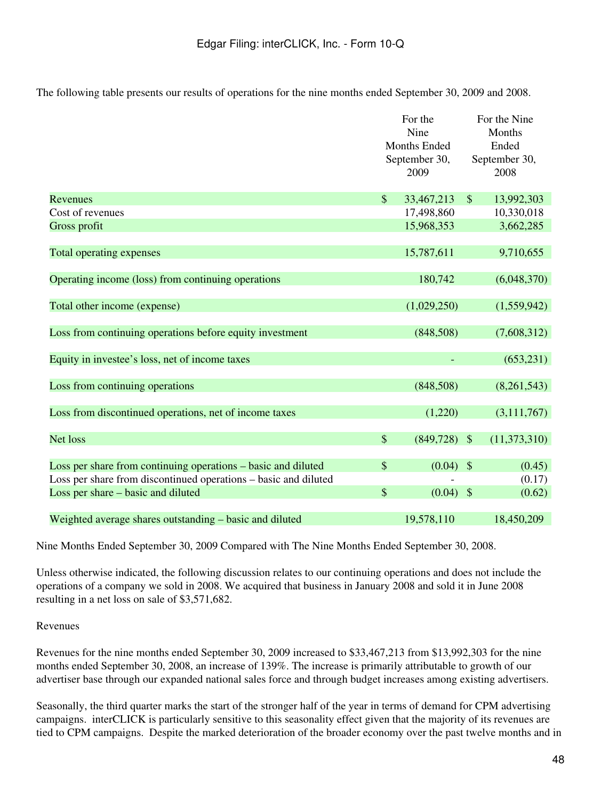The following table presents our results of operations for the nine months ended September 30, 2009 and 2008.

|                                                                 |                           | For the<br>Nine<br><b>Months Ended</b><br>September 30,<br>2009 |               | For the Nine<br>Months<br>Ended<br>September 30,<br>2008 |
|-----------------------------------------------------------------|---------------------------|-----------------------------------------------------------------|---------------|----------------------------------------------------------|
| Revenues                                                        | $\$\$                     | 33,467,213                                                      | $\mathcal{S}$ | 13,992,303                                               |
| Cost of revenues                                                |                           | 17,498,860                                                      |               | 10,330,018                                               |
| Gross profit                                                    |                           | 15,968,353                                                      |               | 3,662,285                                                |
| Total operating expenses                                        |                           | 15,787,611                                                      |               | 9,710,655                                                |
| Operating income (loss) from continuing operations              |                           | 180,742                                                         |               | (6,048,370)                                              |
| Total other income (expense)                                    |                           | (1,029,250)                                                     |               | (1,559,942)                                              |
| Loss from continuing operations before equity investment        |                           | (848,508)                                                       |               | (7,608,312)                                              |
| Equity in investee's loss, net of income taxes                  |                           |                                                                 |               | (653, 231)                                               |
| Loss from continuing operations                                 |                           | (848,508)                                                       |               | (8,261,543)                                              |
| Loss from discontinued operations, net of income taxes          |                           | (1,220)                                                         |               | (3,111,767)                                              |
| <b>Net loss</b>                                                 | $\boldsymbol{\mathsf{S}}$ | $(849,728)$ \$                                                  |               | (11, 373, 310)                                           |
| Loss per share from continuing operations - basic and diluted   | $\mathcal{S}$             | (0.04)                                                          | $\mathcal{S}$ | (0.45)                                                   |
| Loss per share from discontinued operations - basic and diluted |                           |                                                                 |               | (0.17)                                                   |
| Loss per share – basic and diluted                              | \$                        | $(0.04)$ \$                                                     |               | (0.62)                                                   |
| Weighted average shares outstanding – basic and diluted         |                           | 19,578,110                                                      |               | 18,450,209                                               |

Nine Months Ended September 30, 2009 Compared with The Nine Months Ended September 30, 2008.

Unless otherwise indicated, the following discussion relates to our continuing operations and does not include the operations of a company we sold in 2008. We acquired that business in January 2008 and sold it in June 2008 resulting in a net loss on sale of \$3,571,682.

### Revenues

Revenues for the nine months ended September 30, 2009 increased to \$33,467,213 from \$13,992,303 for the nine months ended September 30, 2008, an increase of 139%. The increase is primarily attributable to growth of our advertiser base through our expanded national sales force and through budget increases among existing advertisers.

Seasonally, the third quarter marks the start of the stronger half of the year in terms of demand for CPM advertising campaigns. interCLICK is particularly sensitive to this seasonality effect given that the majority of its revenues are tied to CPM campaigns. Despite the marked deterioration of the broader economy over the past twelve months and in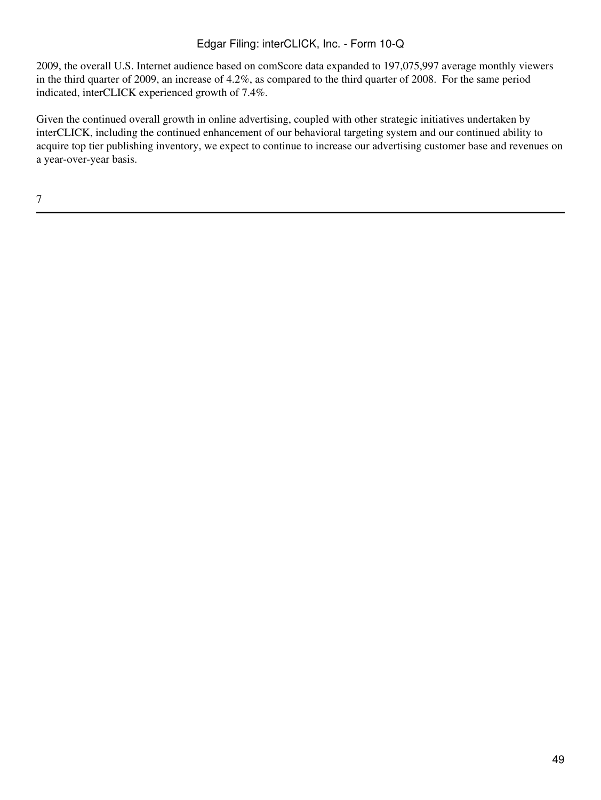2009, the overall U.S. Internet audience based on comScore data expanded to 197,075,997 average monthly viewers in the third quarter of 2009, an increase of 4.2%, as compared to the third quarter of 2008. For the same period indicated, interCLICK experienced growth of 7.4%.

Given the continued overall growth in online advertising, coupled with other strategic initiatives undertaken by interCLICK, including the continued enhancement of our behavioral targeting system and our continued ability to acquire top tier publishing inventory, we expect to continue to increase our advertising customer base and revenues on a year-over-year basis.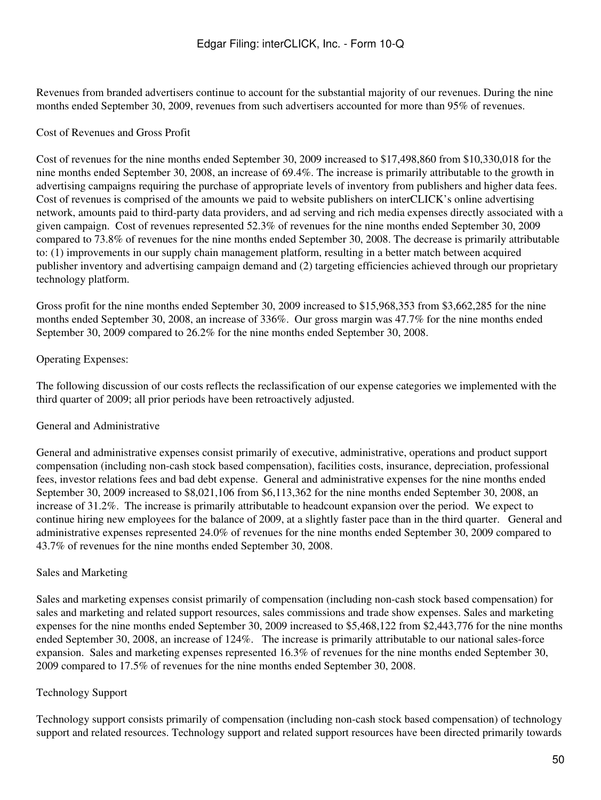Revenues from branded advertisers continue to account for the substantial majority of our revenues. During the nine months ended September 30, 2009, revenues from such advertisers accounted for more than 95% of revenues.

### Cost of Revenues and Gross Profit

Cost of revenues for the nine months ended September 30, 2009 increased to \$17,498,860 from \$10,330,018 for the nine months ended September 30, 2008, an increase of 69.4%. The increase is primarily attributable to the growth in advertising campaigns requiring the purchase of appropriate levels of inventory from publishers and higher data fees. Cost of revenues is comprised of the amounts we paid to website publishers on interCLICK's online advertising network, amounts paid to third-party data providers, and ad serving and rich media expenses directly associated with a given campaign. Cost of revenues represented 52.3% of revenues for the nine months ended September 30, 2009 compared to 73.8% of revenues for the nine months ended September 30, 2008. The decrease is primarily attributable to: (1) improvements in our supply chain management platform, resulting in a better match between acquired publisher inventory and advertising campaign demand and (2) targeting efficiencies achieved through our proprietary technology platform.

Gross profit for the nine months ended September 30, 2009 increased to \$15,968,353 from \$3,662,285 for the nine months ended September 30, 2008, an increase of 336%. Our gross margin was 47.7% for the nine months ended September 30, 2009 compared to 26.2% for the nine months ended September 30, 2008.

### Operating Expenses:

The following discussion of our costs reflects the reclassification of our expense categories we implemented with the third quarter of 2009; all prior periods have been retroactively adjusted.

### General and Administrative

General and administrative expenses consist primarily of executive, administrative, operations and product support compensation (including non-cash stock based compensation), facilities costs, insurance, depreciation, professional fees, investor relations fees and bad debt expense. General and administrative expenses for the nine months ended September 30, 2009 increased to \$8,021,106 from \$6,113,362 for the nine months ended September 30, 2008, an increase of 31.2%. The increase is primarily attributable to headcount expansion over the period. We expect to continue hiring new employees for the balance of 2009, at a slightly faster pace than in the third quarter. General and administrative expenses represented 24.0% of revenues for the nine months ended September 30, 2009 compared to 43.7% of revenues for the nine months ended September 30, 2008.

### Sales and Marketing

Sales and marketing expenses consist primarily of compensation (including non-cash stock based compensation) for sales and marketing and related support resources, sales commissions and trade show expenses. Sales and marketing expenses for the nine months ended September 30, 2009 increased to \$5,468,122 from \$2,443,776 for the nine months ended September 30, 2008, an increase of 124%. The increase is primarily attributable to our national sales-force expansion. Sales and marketing expenses represented 16.3% of revenues for the nine months ended September 30, 2009 compared to 17.5% of revenues for the nine months ended September 30, 2008.

### Technology Support

Technology support consists primarily of compensation (including non-cash stock based compensation) of technology support and related resources. Technology support and related support resources have been directed primarily towards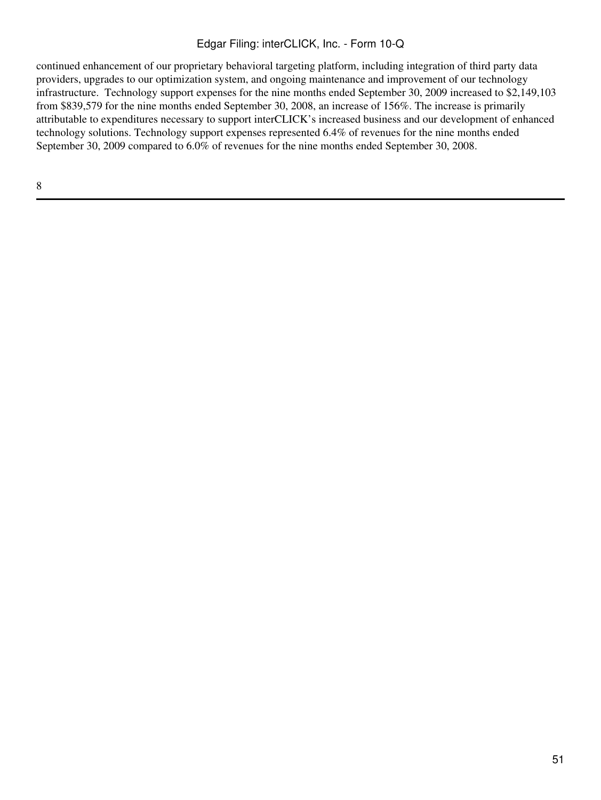continued enhancement of our proprietary behavioral targeting platform, including integration of third party data providers, upgrades to our optimization system, and ongoing maintenance and improvement of our technology infrastructure. Technology support expenses for the nine months ended September 30, 2009 increased to \$2,149,103 from \$839,579 for the nine months ended September 30, 2008, an increase of 156%. The increase is primarily attributable to expenditures necessary to support interCLICK's increased business and our development of enhanced technology solutions. Technology support expenses represented 6.4% of revenues for the nine months ended September 30, 2009 compared to 6.0% of revenues for the nine months ended September 30, 2008.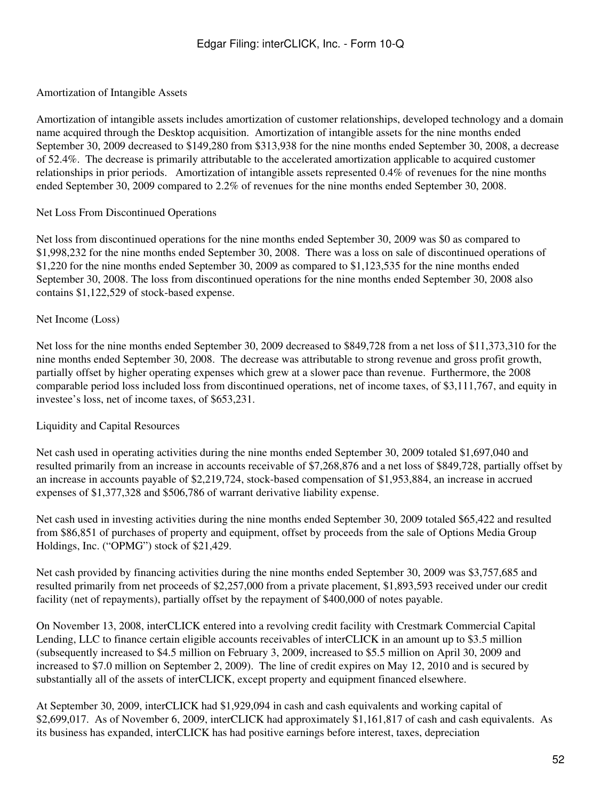#### Amortization of Intangible Assets

Amortization of intangible assets includes amortization of customer relationships, developed technology and a domain name acquired through the Desktop acquisition. Amortization of intangible assets for the nine months ended September 30, 2009 decreased to \$149,280 from \$313,938 for the nine months ended September 30, 2008, a decrease of 52.4%. The decrease is primarily attributable to the accelerated amortization applicable to acquired customer relationships in prior periods. Amortization of intangible assets represented 0.4% of revenues for the nine months ended September 30, 2009 compared to 2.2% of revenues for the nine months ended September 30, 2008.

#### Net Loss From Discontinued Operations

Net loss from discontinued operations for the nine months ended September 30, 2009 was \$0 as compared to \$1,998,232 for the nine months ended September 30, 2008. There was a loss on sale of discontinued operations of \$1,220 for the nine months ended September 30, 2009 as compared to \$1,123,535 for the nine months ended September 30, 2008. The loss from discontinued operations for the nine months ended September 30, 2008 also contains \$1,122,529 of stock-based expense.

#### Net Income (Loss)

Net loss for the nine months ended September 30, 2009 decreased to \$849,728 from a net loss of \$11,373,310 for the nine months ended September 30, 2008. The decrease was attributable to strong revenue and gross profit growth, partially offset by higher operating expenses which grew at a slower pace than revenue. Furthermore, the 2008 comparable period loss included loss from discontinued operations, net of income taxes, of \$3,111,767, and equity in investee's loss, net of income taxes, of \$653,231.

#### Liquidity and Capital Resources

Net cash used in operating activities during the nine months ended September 30, 2009 totaled \$1,697,040 and resulted primarily from an increase in accounts receivable of \$7,268,876 and a net loss of \$849,728, partially offset by an increase in accounts payable of \$2,219,724, stock-based compensation of \$1,953,884, an increase in accrued expenses of \$1,377,328 and \$506,786 of warrant derivative liability expense.

Net cash used in investing activities during the nine months ended September 30, 2009 totaled \$65,422 and resulted from \$86,851 of purchases of property and equipment, offset by proceeds from the sale of Options Media Group Holdings, Inc. ("OPMG") stock of \$21,429.

Net cash provided by financing activities during the nine months ended September 30, 2009 was \$3,757,685 and resulted primarily from net proceeds of \$2,257,000 from a private placement, \$1,893,593 received under our credit facility (net of repayments), partially offset by the repayment of \$400,000 of notes payable.

On November 13, 2008, interCLICK entered into a revolving credit facility with Crestmark Commercial Capital Lending, LLC to finance certain eligible accounts receivables of interCLICK in an amount up to \$3.5 million (subsequently increased to \$4.5 million on February 3, 2009, increased to \$5.5 million on April 30, 2009 and increased to \$7.0 million on September 2, 2009). The line of credit expires on May 12, 2010 and is secured by substantially all of the assets of interCLICK, except property and equipment financed elsewhere.

At September 30, 2009, interCLICK had \$1,929,094 in cash and cash equivalents and working capital of \$2,699,017. As of November 6, 2009, interCLICK had approximately \$1,161,817 of cash and cash equivalents. As its business has expanded, interCLICK has had positive earnings before interest, taxes, depreciation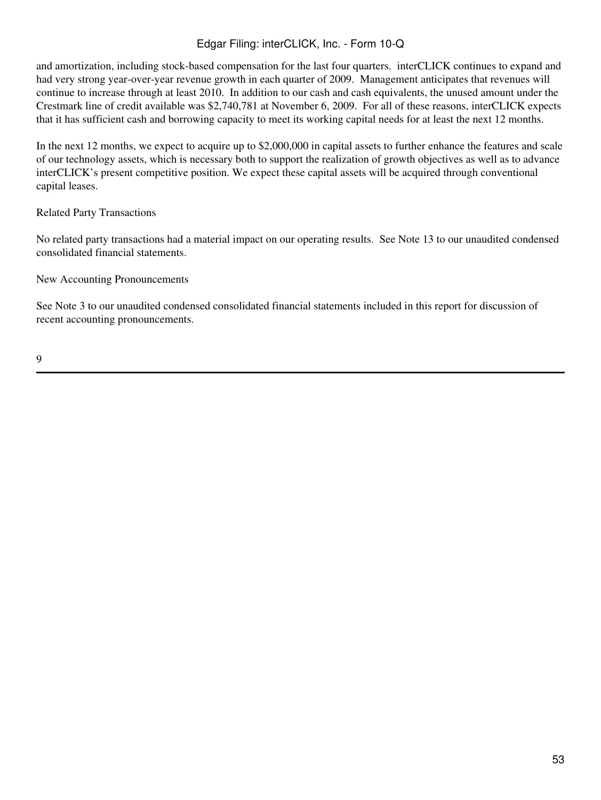and amortization, including stock-based compensation for the last four quarters. interCLICK continues to expand and had very strong year-over-year revenue growth in each quarter of 2009. Management anticipates that revenues will continue to increase through at least 2010. In addition to our cash and cash equivalents, the unused amount under the Crestmark line of credit available was \$2,740,781 at November 6, 2009. For all of these reasons, interCLICK expects that it has sufficient cash and borrowing capacity to meet its working capital needs for at least the next 12 months.

In the next 12 months, we expect to acquire up to \$2,000,000 in capital assets to further enhance the features and scale of our technology assets, which is necessary both to support the realization of growth objectives as well as to advance interCLICK's present competitive position. We expect these capital assets will be acquired through conventional capital leases.

### Related Party Transactions

No related party transactions had a material impact on our operating results. See Note 13 to our unaudited condensed consolidated financial statements.

New Accounting Pronouncements

See Note 3 to our unaudited condensed consolidated financial statements included in this report for discussion of recent accounting pronouncements.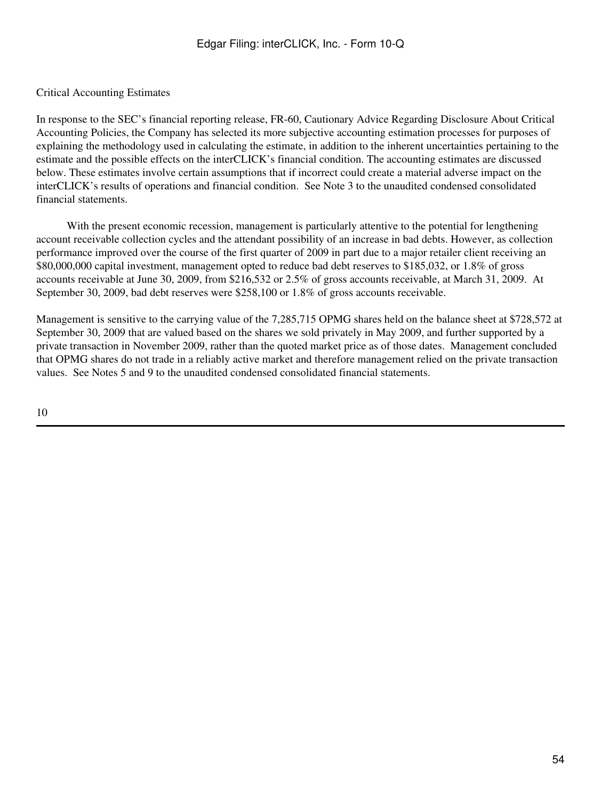### Critical Accounting Estimates

In response to the SEC's financial reporting release, FR-60, Cautionary Advice Regarding Disclosure About Critical Accounting Policies, the Company has selected its more subjective accounting estimation processes for purposes of explaining the methodology used in calculating the estimate, in addition to the inherent uncertainties pertaining to the estimate and the possible effects on the interCLICK's financial condition. The accounting estimates are discussed below. These estimates involve certain assumptions that if incorrect could create a material adverse impact on the interCLICK's results of operations and financial condition. See Note 3 to the unaudited condensed consolidated financial statements.

With the present economic recession, management is particularly attentive to the potential for lengthening account receivable collection cycles and the attendant possibility of an increase in bad debts. However, as collection performance improved over the course of the first quarter of 2009 in part due to a major retailer client receiving an \$80,000,000 capital investment, management opted to reduce bad debt reserves to \$185,032, or 1.8% of gross accounts receivable at June 30, 2009, from \$216,532 or 2.5% of gross accounts receivable, at March 31, 2009. At September 30, 2009, bad debt reserves were \$258,100 or 1.8% of gross accounts receivable.

Management is sensitive to the carrying value of the 7,285,715 OPMG shares held on the balance sheet at \$728,572 at September 30, 2009 that are valued based on the shares we sold privately in May 2009, and further supported by a private transaction in November 2009, rather than the quoted market price as of those dates. Management concluded that OPMG shares do not trade in a reliably active market and therefore management relied on the private transaction values. See Notes 5 and 9 to the unaudited condensed consolidated financial statements.

10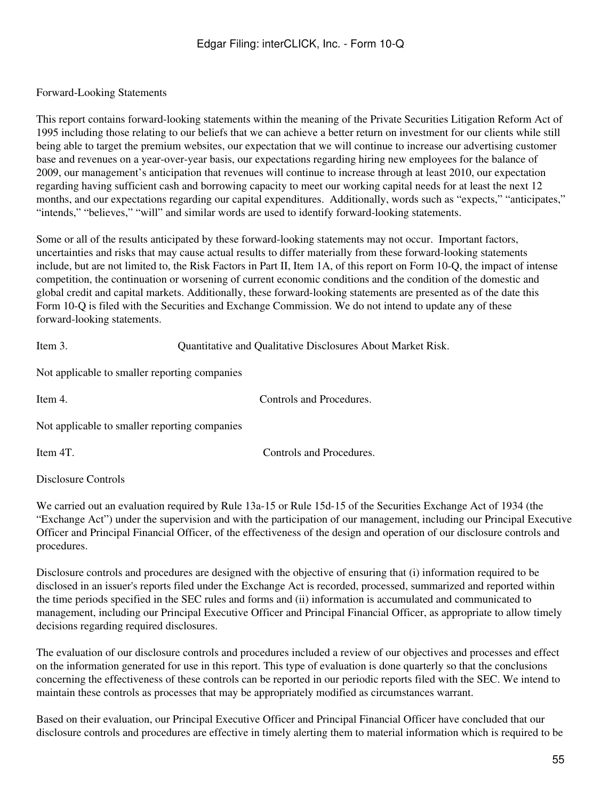#### Forward-Looking Statements

This report contains forward-looking statements within the meaning of the Private Securities Litigation Reform Act of 1995 including those relating to our beliefs that we can achieve a better return on investment for our clients while still being able to target the premium websites, our expectation that we will continue to increase our advertising customer base and revenues on a year-over-year basis, our expectations regarding hiring new employees for the balance of 2009, our management's anticipation that revenues will continue to increase through at least 2010, our expectation regarding having sufficient cash and borrowing capacity to meet our working capital needs for at least the next 12 months, and our expectations regarding our capital expenditures. Additionally, words such as "expects," "anticipates," "intends," "believes," "will" and similar words are used to identify forward-looking statements.

Some or all of the results anticipated by these forward-looking statements may not occur. Important factors, uncertainties and risks that may cause actual results to differ materially from these forward-looking statements include, but are not limited to, the Risk Factors in Part II, Item 1A, of this report on Form 10-Q, the impact of intense competition, the continuation or worsening of current economic conditions and the condition of the domestic and global credit and capital markets. Additionally, these forward-looking statements are presented as of the date this Form 10-Q is filed with the Securities and Exchange Commission. We do not intend to update any of these forward-looking statements.

| Item 3. | Quantitative and Qualitative Disclosures About Market Risk. |  |  |  |
|---------|-------------------------------------------------------------|--|--|--|
|         |                                                             |  |  |  |

Not applicable to smaller reporting companies

Controls and Procedures.

Not applicable to smaller reporting companies

Item 4T. Controls and Procedures.

Disclosure Controls

We carried out an evaluation required by Rule 13a-15 or Rule 15d-15 of the Securities Exchange Act of 1934 (the "Exchange Act") under the supervision and with the participation of our management, including our Principal Executive Officer and Principal Financial Officer, of the effectiveness of the design and operation of our disclosure controls and procedures.

Disclosure controls and procedures are designed with the objective of ensuring that (i) information required to be disclosed in an issuer's reports filed under the Exchange Act is recorded, processed, summarized and reported within the time periods specified in the SEC rules and forms and (ii) information is accumulated and communicated to management, including our Principal Executive Officer and Principal Financial Officer, as appropriate to allow timely decisions regarding required disclosures.

The evaluation of our disclosure controls and procedures included a review of our objectives and processes and effect on the information generated for use in this report. This type of evaluation is done quarterly so that the conclusions concerning the effectiveness of these controls can be reported in our periodic reports filed with the SEC. We intend to maintain these controls as processes that may be appropriately modified as circumstances warrant.

Based on their evaluation, our Principal Executive Officer and Principal Financial Officer have concluded that our disclosure controls and procedures are effective in timely alerting them to material information which is required to be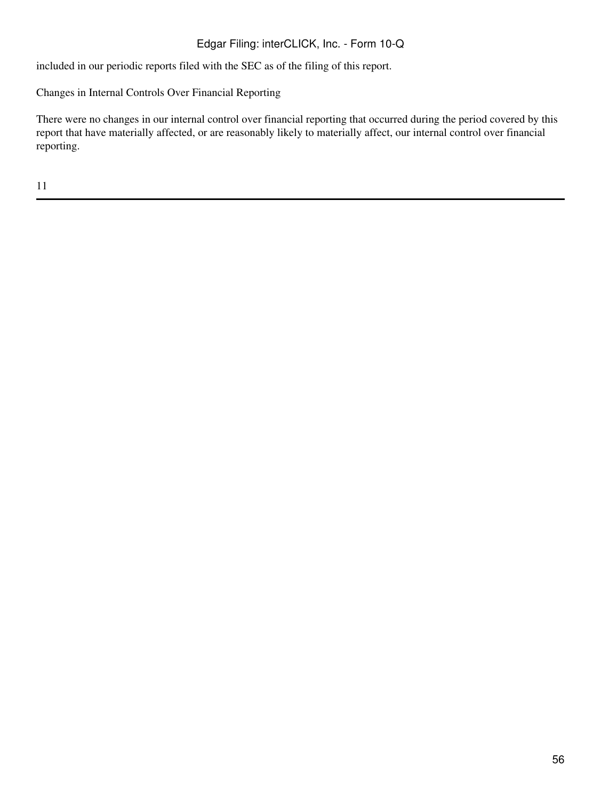included in our periodic reports filed with the SEC as of the filing of this report.

Changes in Internal Controls Over Financial Reporting

There were no changes in our internal control over financial reporting that occurred during the period covered by this report that have materially affected, or are reasonably likely to materially affect, our internal control over financial reporting.

11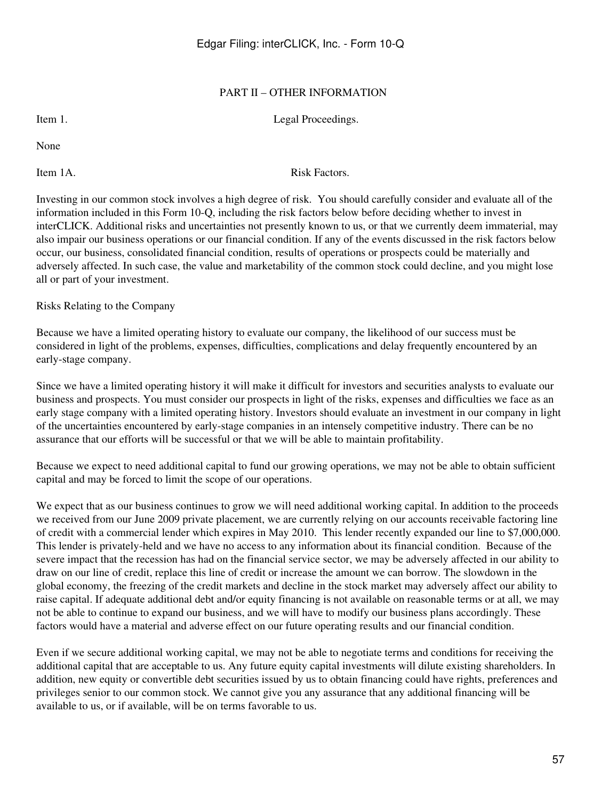### PART II – OTHER INFORMATION

Item 1. Legal Proceedings.

None

Item 1A. Risk Factors.

Investing in our common stock involves a high degree of risk. You should carefully consider and evaluate all of the information included in this Form 10-Q, including the risk factors below before deciding whether to invest in interCLICK. Additional risks and uncertainties not presently known to us, or that we currently deem immaterial, may also impair our business operations or our financial condition. If any of the events discussed in the risk factors below occur, our business, consolidated financial condition, results of operations or prospects could be materially and adversely affected. In such case, the value and marketability of the common stock could decline, and you might lose all or part of your investment.

Risks Relating to the Company

Because we have a limited operating history to evaluate our company, the likelihood of our success must be considered in light of the problems, expenses, difficulties, complications and delay frequently encountered by an early-stage company.

Since we have a limited operating history it will make it difficult for investors and securities analysts to evaluate our business and prospects. You must consider our prospects in light of the risks, expenses and difficulties we face as an early stage company with a limited operating history. Investors should evaluate an investment in our company in light of the uncertainties encountered by early-stage companies in an intensely competitive industry. There can be no assurance that our efforts will be successful or that we will be able to maintain profitability.

Because we expect to need additional capital to fund our growing operations, we may not be able to obtain sufficient capital and may be forced to limit the scope of our operations.

We expect that as our business continues to grow we will need additional working capital. In addition to the proceeds we received from our June 2009 private placement, we are currently relying on our accounts receivable factoring line of credit with a commercial lender which expires in May 2010. This lender recently expanded our line to \$7,000,000. This lender is privately-held and we have no access to any information about its financial condition. Because of the severe impact that the recession has had on the financial service sector, we may be adversely affected in our ability to draw on our line of credit, replace this line of credit or increase the amount we can borrow. The slowdown in the global economy, the freezing of the credit markets and decline in the stock market may adversely affect our ability to raise capital. If adequate additional debt and/or equity financing is not available on reasonable terms or at all, we may not be able to continue to expand our business, and we will have to modify our business plans accordingly. These factors would have a material and adverse effect on our future operating results and our financial condition.

Even if we secure additional working capital, we may not be able to negotiate terms and conditions for receiving the additional capital that are acceptable to us. Any future equity capital investments will dilute existing shareholders. In addition, new equity or convertible debt securities issued by us to obtain financing could have rights, preferences and privileges senior to our common stock. We cannot give you any assurance that any additional financing will be available to us, or if available, will be on terms favorable to us.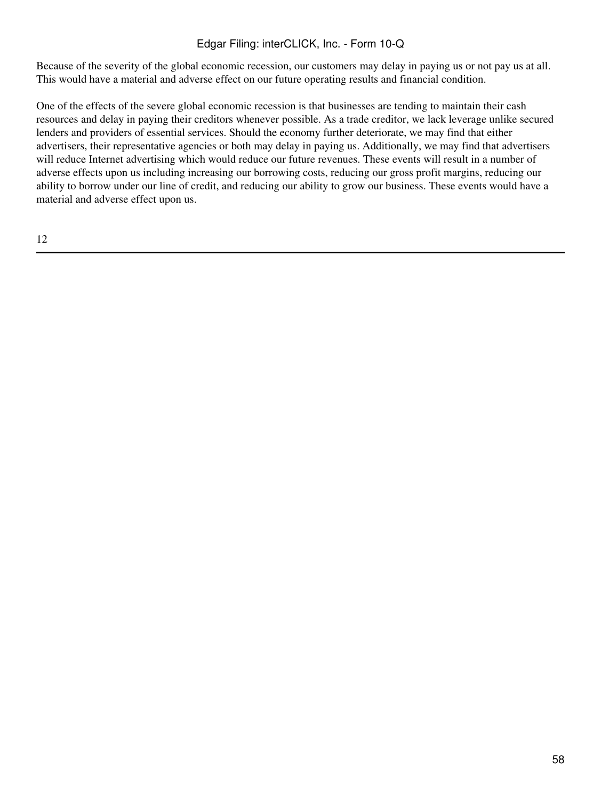Because of the severity of the global economic recession, our customers may delay in paying us or not pay us at all. This would have a material and adverse effect on our future operating results and financial condition.

One of the effects of the severe global economic recession is that businesses are tending to maintain their cash resources and delay in paying their creditors whenever possible. As a trade creditor, we lack leverage unlike secured lenders and providers of essential services. Should the economy further deteriorate, we may find that either advertisers, their representative agencies or both may delay in paying us. Additionally, we may find that advertisers will reduce Internet advertising which would reduce our future revenues. These events will result in a number of adverse effects upon us including increasing our borrowing costs, reducing our gross profit margins, reducing our ability to borrow under our line of credit, and reducing our ability to grow our business. These events would have a material and adverse effect upon us.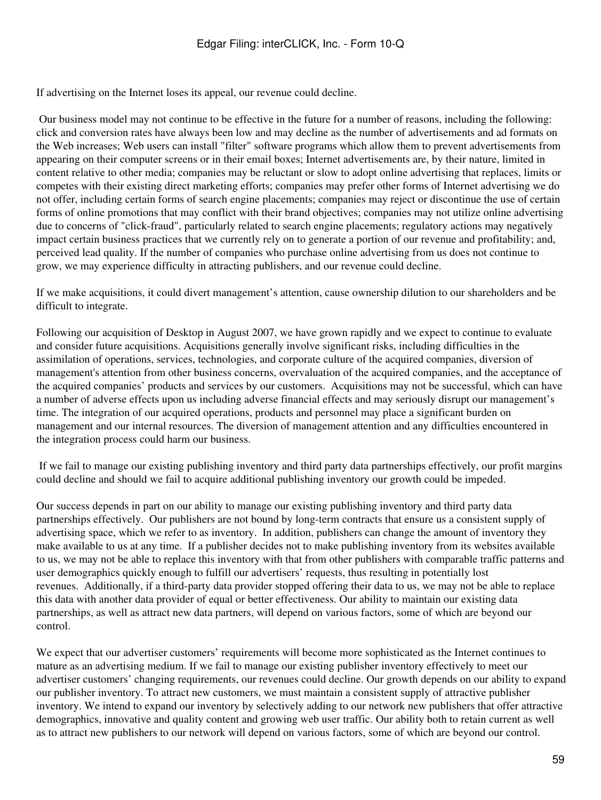If advertising on the Internet loses its appeal, our revenue could decline.

 Our business model may not continue to be effective in the future for a number of reasons, including the following: click and conversion rates have always been low and may decline as the number of advertisements and ad formats on the Web increases; Web users can install "filter" software programs which allow them to prevent advertisements from appearing on their computer screens or in their email boxes; Internet advertisements are, by their nature, limited in content relative to other media; companies may be reluctant or slow to adopt online advertising that replaces, limits or competes with their existing direct marketing efforts; companies may prefer other forms of Internet advertising we do not offer, including certain forms of search engine placements; companies may reject or discontinue the use of certain forms of online promotions that may conflict with their brand objectives; companies may not utilize online advertising due to concerns of "click-fraud", particularly related to search engine placements; regulatory actions may negatively impact certain business practices that we currently rely on to generate a portion of our revenue and profitability; and, perceived lead quality. If the number of companies who purchase online advertising from us does not continue to grow, we may experience difficulty in attracting publishers, and our revenue could decline.

If we make acquisitions, it could divert management's attention, cause ownership dilution to our shareholders and be difficult to integrate.

Following our acquisition of Desktop in August 2007, we have grown rapidly and we expect to continue to evaluate and consider future acquisitions. Acquisitions generally involve significant risks, including difficulties in the assimilation of operations, services, technologies, and corporate culture of the acquired companies, diversion of management's attention from other business concerns, overvaluation of the acquired companies, and the acceptance of the acquired companies' products and services by our customers. Acquisitions may not be successful, which can have a number of adverse effects upon us including adverse financial effects and may seriously disrupt our management's time. The integration of our acquired operations, products and personnel may place a significant burden on management and our internal resources. The diversion of management attention and any difficulties encountered in the integration process could harm our business.

 If we fail to manage our existing publishing inventory and third party data partnerships effectively, our profit margins could decline and should we fail to acquire additional publishing inventory our growth could be impeded.

Our success depends in part on our ability to manage our existing publishing inventory and third party data partnerships effectively. Our publishers are not bound by long-term contracts that ensure us a consistent supply of advertising space, which we refer to as inventory. In addition, publishers can change the amount of inventory they make available to us at any time. If a publisher decides not to make publishing inventory from its websites available to us, we may not be able to replace this inventory with that from other publishers with comparable traffic patterns and user demographics quickly enough to fulfill our advertisers' requests, thus resulting in potentially lost revenues. Additionally, if a third-party data provider stopped offering their data to us, we may not be able to replace this data with another data provider of equal or better effectiveness. Our ability to maintain our existing data partnerships, as well as attract new data partners, will depend on various factors, some of which are beyond our control.

We expect that our advertiser customers' requirements will become more sophisticated as the Internet continues to mature as an advertising medium. If we fail to manage our existing publisher inventory effectively to meet our advertiser customers' changing requirements, our revenues could decline. Our growth depends on our ability to expand our publisher inventory. To attract new customers, we must maintain a consistent supply of attractive publisher inventory. We intend to expand our inventory by selectively adding to our network new publishers that offer attractive demographics, innovative and quality content and growing web user traffic. Our ability both to retain current as well as to attract new publishers to our network will depend on various factors, some of which are beyond our control.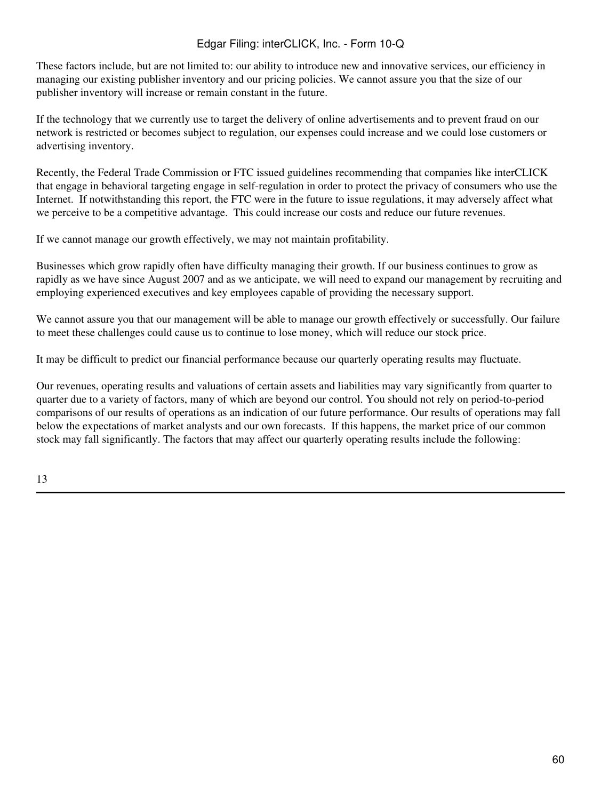These factors include, but are not limited to: our ability to introduce new and innovative services, our efficiency in managing our existing publisher inventory and our pricing policies. We cannot assure you that the size of our publisher inventory will increase or remain constant in the future.

If the technology that we currently use to target the delivery of online advertisements and to prevent fraud on our network is restricted or becomes subject to regulation, our expenses could increase and we could lose customers or advertising inventory.

Recently, the Federal Trade Commission or FTC issued guidelines recommending that companies like interCLICK that engage in behavioral targeting engage in self-regulation in order to protect the privacy of consumers who use the Internet. If notwithstanding this report, the FTC were in the future to issue regulations, it may adversely affect what we perceive to be a competitive advantage. This could increase our costs and reduce our future revenues.

If we cannot manage our growth effectively, we may not maintain profitability.

Businesses which grow rapidly often have difficulty managing their growth. If our business continues to grow as rapidly as we have since August 2007 and as we anticipate, we will need to expand our management by recruiting and employing experienced executives and key employees capable of providing the necessary support.

We cannot assure you that our management will be able to manage our growth effectively or successfully. Our failure to meet these challenges could cause us to continue to lose money, which will reduce our stock price.

It may be difficult to predict our financial performance because our quarterly operating results may fluctuate.

Our revenues, operating results and valuations of certain assets and liabilities may vary significantly from quarter to quarter due to a variety of factors, many of which are beyond our control. You should not rely on period-to-period comparisons of our results of operations as an indication of our future performance. Our results of operations may fall below the expectations of market analysts and our own forecasts. If this happens, the market price of our common stock may fall significantly. The factors that may affect our quarterly operating results include the following: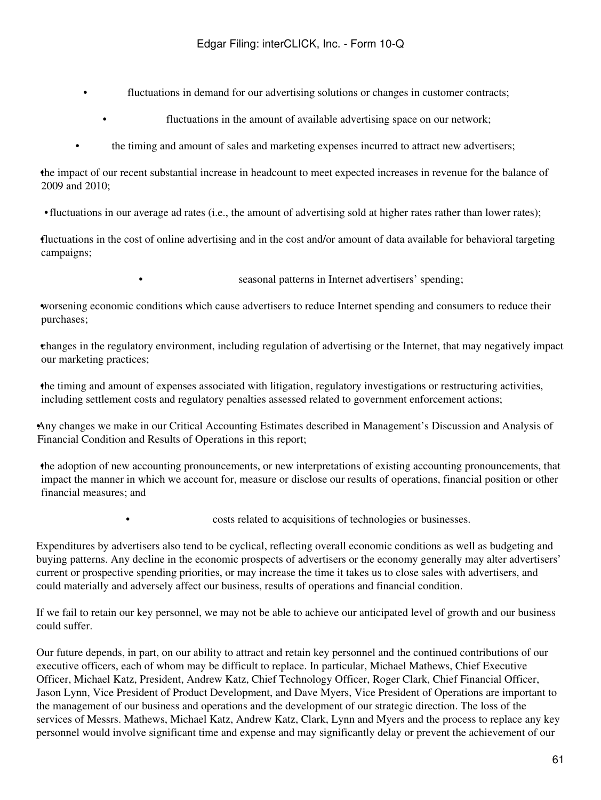- fluctuations in demand for our advertising solutions or changes in customer contracts;
	- fluctuations in the amount of available advertising space on our network;
- the timing and amount of sales and marketing expenses incurred to attract new advertisers;

•the impact of our recent substantial increase in headcount to meet expected increases in revenue for the balance of 2009 and 2010;

•fluctuations in our average ad rates (i.e., the amount of advertising sold at higher rates rather than lower rates);

•fluctuations in the cost of online advertising and in the cost and/or amount of data available for behavioral targeting campaigns;

seasonal patterns in Internet advertisers' spending;

•worsening economic conditions which cause advertisers to reduce Internet spending and consumers to reduce their purchases;

•changes in the regulatory environment, including regulation of advertising or the Internet, that may negatively impact our marketing practices;

•the timing and amount of expenses associated with litigation, regulatory investigations or restructuring activities, including settlement costs and regulatory penalties assessed related to government enforcement actions;

•Any changes we make in our Critical Accounting Estimates described in Management's Discussion and Analysis of Financial Condition and Results of Operations in this report;

•the adoption of new accounting pronouncements, or new interpretations of existing accounting pronouncements, that impact the manner in which we account for, measure or disclose our results of operations, financial position or other financial measures; and

• costs related to acquisitions of technologies or businesses.

Expenditures by advertisers also tend to be cyclical, reflecting overall economic conditions as well as budgeting and buying patterns. Any decline in the economic prospects of advertisers or the economy generally may alter advertisers' current or prospective spending priorities, or may increase the time it takes us to close sales with advertisers, and could materially and adversely affect our business, results of operations and financial condition.

If we fail to retain our key personnel, we may not be able to achieve our anticipated level of growth and our business could suffer.

Our future depends, in part, on our ability to attract and retain key personnel and the continued contributions of our executive officers, each of whom may be difficult to replace. In particular, Michael Mathews, Chief Executive Officer, Michael Katz, President, Andrew Katz, Chief Technology Officer, Roger Clark, Chief Financial Officer, Jason Lynn, Vice President of Product Development, and Dave Myers, Vice President of Operations are important to the management of our business and operations and the development of our strategic direction. The loss of the services of Messrs. Mathews, Michael Katz, Andrew Katz, Clark, Lynn and Myers and the process to replace any key personnel would involve significant time and expense and may significantly delay or prevent the achievement of our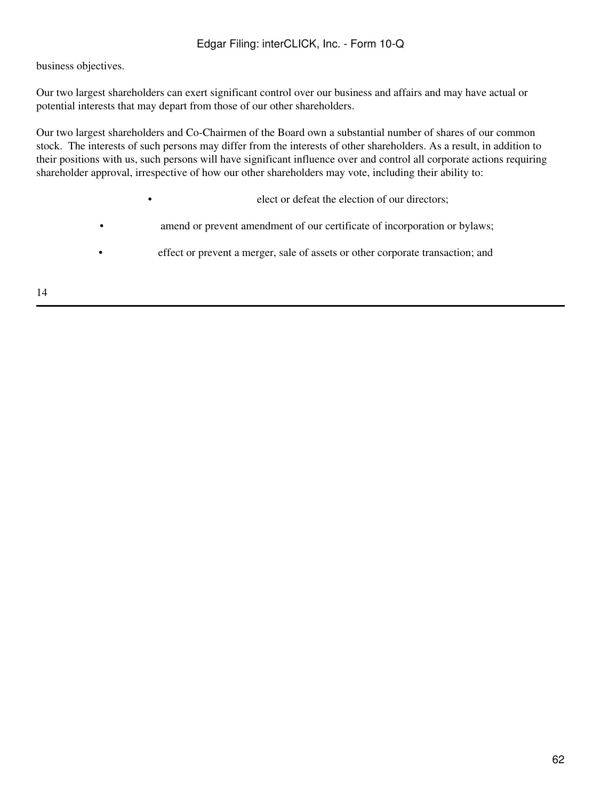business objectives.

Our two largest shareholders can exert significant control over our business and affairs and may have actual or potential interests that may depart from those of our other shareholders.

Our two largest shareholders and Co-Chairmen of the Board own a substantial number of shares of our common stock. The interests of such persons may differ from the interests of other shareholders. As a result, in addition to their positions with us, such persons will have significant influence over and control all corporate actions requiring shareholder approval, irrespective of how our other shareholders may vote, including their ability to:

• elect or defeat the election of our directors;

- amend or prevent amendment of our certificate of incorporation or bylaws;
- effect or prevent a merger, sale of assets or other corporate transaction; and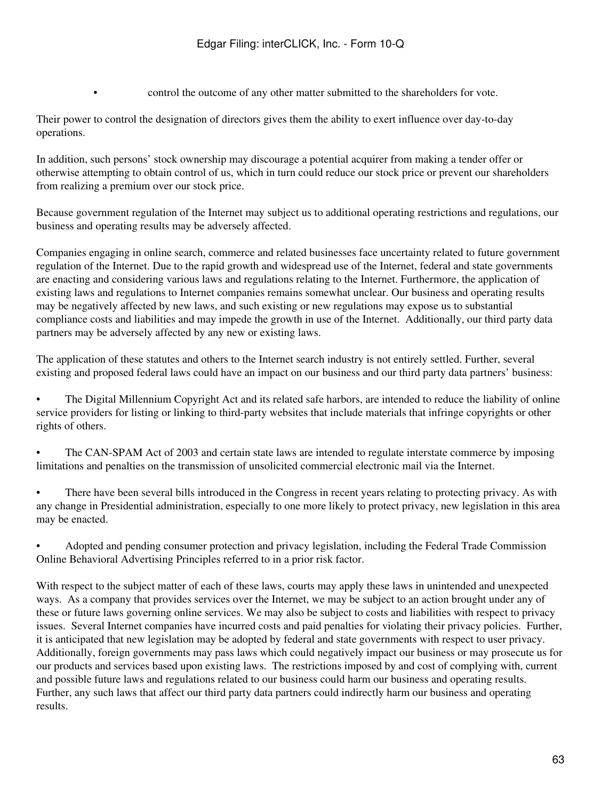• control the outcome of any other matter submitted to the shareholders for vote.

Their power to control the designation of directors gives them the ability to exert influence over day-to-day operations.

In addition, such persons' stock ownership may discourage a potential acquirer from making a tender offer or otherwise attempting to obtain control of us, which in turn could reduce our stock price or prevent our shareholders from realizing a premium over our stock price.

Because government regulation of the Internet may subject us to additional operating restrictions and regulations, our business and operating results may be adversely affected.

Companies engaging in online search, commerce and related businesses face uncertainty related to future government regulation of the Internet. Due to the rapid growth and widespread use of the Internet, federal and state governments are enacting and considering various laws and regulations relating to the Internet. Furthermore, the application of existing laws and regulations to Internet companies remains somewhat unclear. Our business and operating results may be negatively affected by new laws, and such existing or new regulations may expose us to substantial compliance costs and liabilities and may impede the growth in use of the Internet. Additionally, our third party data partners may be adversely affected by any new or existing laws.

The application of these statutes and others to the Internet search industry is not entirely settled. Further, several existing and proposed federal laws could have an impact on our business and our third party data partners' business:

• The Digital Millennium Copyright Act and its related safe harbors, are intended to reduce the liability of online service providers for listing or linking to third-party websites that include materials that infringe copyrights or other rights of others.

• The CAN-SPAM Act of 2003 and certain state laws are intended to regulate interstate commerce by imposing limitations and penalties on the transmission of unsolicited commercial electronic mail via the Internet.

• There have been several bills introduced in the Congress in recent years relating to protecting privacy. As with any change in Presidential administration, especially to one more likely to protect privacy, new legislation in this area may be enacted.

• Adopted and pending consumer protection and privacy legislation, including the Federal Trade Commission Online Behavioral Advertising Principles referred to in a prior risk factor.

With respect to the subject matter of each of these laws, courts may apply these laws in unintended and unexpected ways. As a company that provides services over the Internet, we may be subject to an action brought under any of these or future laws governing online services. We may also be subject to costs and liabilities with respect to privacy issues. Several Internet companies have incurred costs and paid penalties for violating their privacy policies. Further, it is anticipated that new legislation may be adopted by federal and state governments with respect to user privacy. Additionally, foreign governments may pass laws which could negatively impact our business or may prosecute us for our products and services based upon existing laws. The restrictions imposed by and cost of complying with, current and possible future laws and regulations related to our business could harm our business and operating results. Further, any such laws that affect our third party data partners could indirectly harm our business and operating results.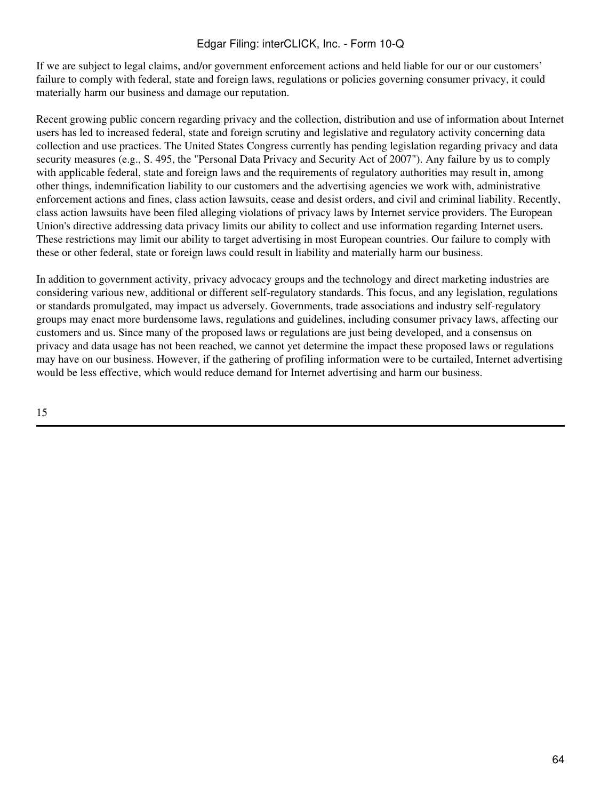If we are subject to legal claims, and/or government enforcement actions and held liable for our or our customers' failure to comply with federal, state and foreign laws, regulations or policies governing consumer privacy, it could materially harm our business and damage our reputation.

Recent growing public concern regarding privacy and the collection, distribution and use of information about Internet users has led to increased federal, state and foreign scrutiny and legislative and regulatory activity concerning data collection and use practices. The United States Congress currently has pending legislation regarding privacy and data security measures (e.g., S. 495, the "Personal Data Privacy and Security Act of 2007"). Any failure by us to comply with applicable federal, state and foreign laws and the requirements of regulatory authorities may result in, among other things, indemnification liability to our customers and the advertising agencies we work with, administrative enforcement actions and fines, class action lawsuits, cease and desist orders, and civil and criminal liability. Recently, class action lawsuits have been filed alleging violations of privacy laws by Internet service providers. The European Union's directive addressing data privacy limits our ability to collect and use information regarding Internet users. These restrictions may limit our ability to target advertising in most European countries. Our failure to comply with these or other federal, state or foreign laws could result in liability and materially harm our business.

In addition to government activity, privacy advocacy groups and the technology and direct marketing industries are considering various new, additional or different self-regulatory standards. This focus, and any legislation, regulations or standards promulgated, may impact us adversely. Governments, trade associations and industry self-regulatory groups may enact more burdensome laws, regulations and guidelines, including consumer privacy laws, affecting our customers and us. Since many of the proposed laws or regulations are just being developed, and a consensus on privacy and data usage has not been reached, we cannot yet determine the impact these proposed laws or regulations may have on our business. However, if the gathering of profiling information were to be curtailed, Internet advertising would be less effective, which would reduce demand for Internet advertising and harm our business.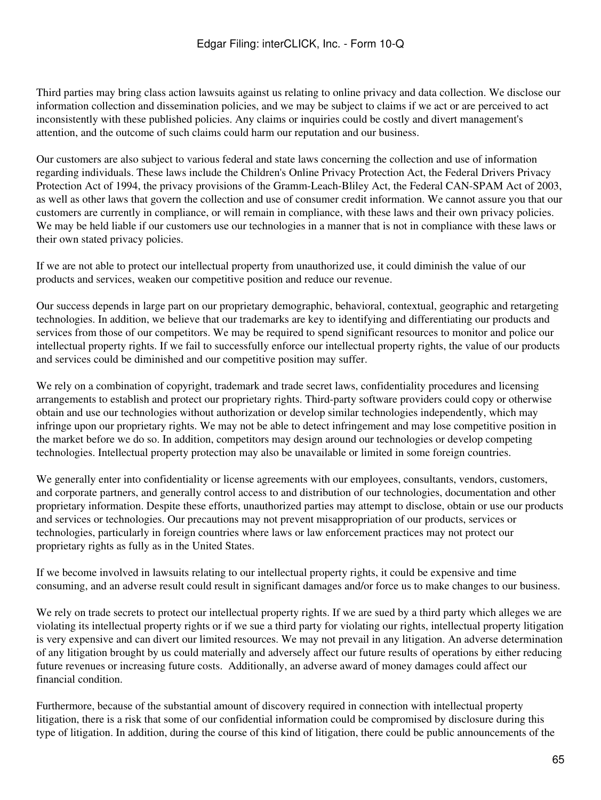Third parties may bring class action lawsuits against us relating to online privacy and data collection. We disclose our information collection and dissemination policies, and we may be subject to claims if we act or are perceived to act inconsistently with these published policies. Any claims or inquiries could be costly and divert management's attention, and the outcome of such claims could harm our reputation and our business.

Our customers are also subject to various federal and state laws concerning the collection and use of information regarding individuals. These laws include the Children's Online Privacy Protection Act, the Federal Drivers Privacy Protection Act of 1994, the privacy provisions of the Gramm-Leach-Bliley Act, the Federal CAN-SPAM Act of 2003, as well as other laws that govern the collection and use of consumer credit information. We cannot assure you that our customers are currently in compliance, or will remain in compliance, with these laws and their own privacy policies. We may be held liable if our customers use our technologies in a manner that is not in compliance with these laws or their own stated privacy policies.

If we are not able to protect our intellectual property from unauthorized use, it could diminish the value of our products and services, weaken our competitive position and reduce our revenue.

Our success depends in large part on our proprietary demographic, behavioral, contextual, geographic and retargeting technologies. In addition, we believe that our trademarks are key to identifying and differentiating our products and services from those of our competitors. We may be required to spend significant resources to monitor and police our intellectual property rights. If we fail to successfully enforce our intellectual property rights, the value of our products and services could be diminished and our competitive position may suffer.

We rely on a combination of copyright, trademark and trade secret laws, confidentiality procedures and licensing arrangements to establish and protect our proprietary rights. Third-party software providers could copy or otherwise obtain and use our technologies without authorization or develop similar technologies independently, which may infringe upon our proprietary rights. We may not be able to detect infringement and may lose competitive position in the market before we do so. In addition, competitors may design around our technologies or develop competing technologies. Intellectual property protection may also be unavailable or limited in some foreign countries.

We generally enter into confidentiality or license agreements with our employees, consultants, vendors, customers, and corporate partners, and generally control access to and distribution of our technologies, documentation and other proprietary information. Despite these efforts, unauthorized parties may attempt to disclose, obtain or use our products and services or technologies. Our precautions may not prevent misappropriation of our products, services or technologies, particularly in foreign countries where laws or law enforcement practices may not protect our proprietary rights as fully as in the United States.

If we become involved in lawsuits relating to our intellectual property rights, it could be expensive and time consuming, and an adverse result could result in significant damages and/or force us to make changes to our business.

We rely on trade secrets to protect our intellectual property rights. If we are sued by a third party which alleges we are violating its intellectual property rights or if we sue a third party for violating our rights, intellectual property litigation is very expensive and can divert our limited resources. We may not prevail in any litigation. An adverse determination of any litigation brought by us could materially and adversely affect our future results of operations by either reducing future revenues or increasing future costs. Additionally, an adverse award of money damages could affect our financial condition.

Furthermore, because of the substantial amount of discovery required in connection with intellectual property litigation, there is a risk that some of our confidential information could be compromised by disclosure during this type of litigation. In addition, during the course of this kind of litigation, there could be public announcements of the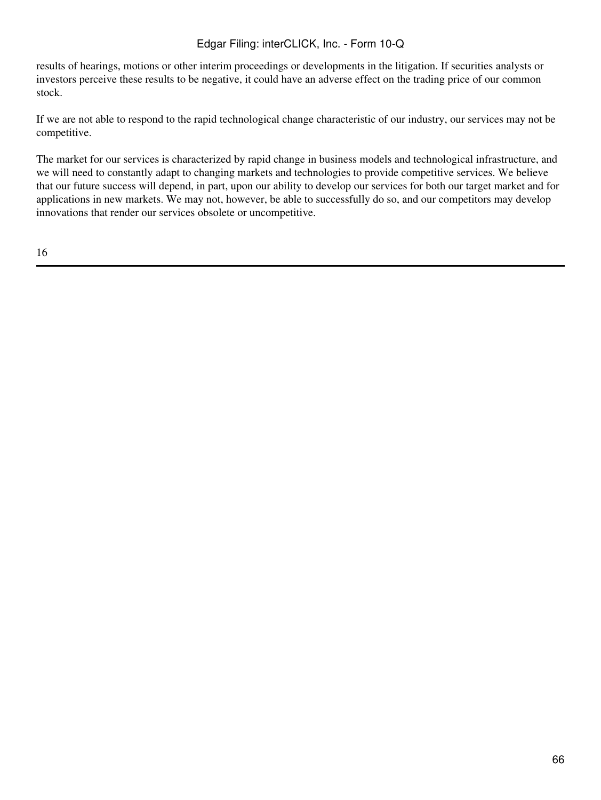results of hearings, motions or other interim proceedings or developments in the litigation. If securities analysts or investors perceive these results to be negative, it could have an adverse effect on the trading price of our common stock.

If we are not able to respond to the rapid technological change characteristic of our industry, our services may not be competitive.

The market for our services is characterized by rapid change in business models and technological infrastructure, and we will need to constantly adapt to changing markets and technologies to provide competitive services. We believe that our future success will depend, in part, upon our ability to develop our services for both our target market and for applications in new markets. We may not, however, be able to successfully do so, and our competitors may develop innovations that render our services obsolete or uncompetitive.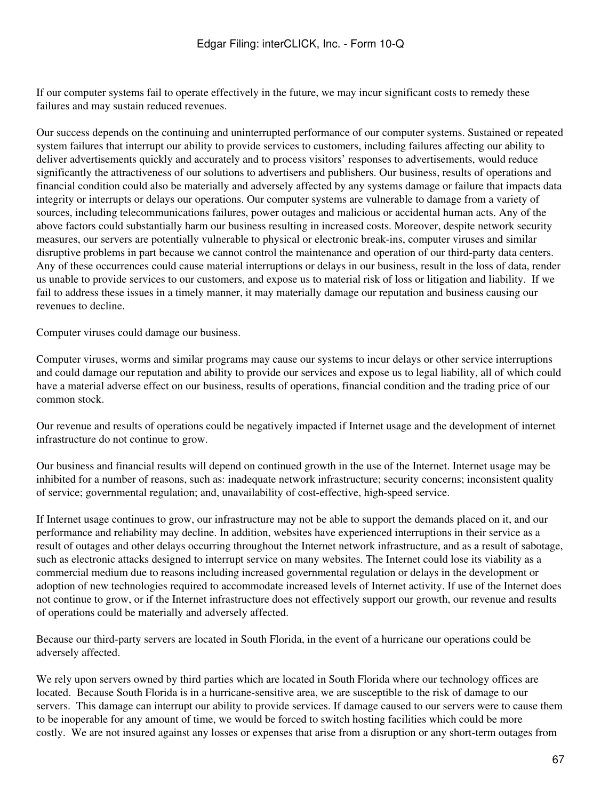If our computer systems fail to operate effectively in the future, we may incur significant costs to remedy these failures and may sustain reduced revenues.

Our success depends on the continuing and uninterrupted performance of our computer systems. Sustained or repeated system failures that interrupt our ability to provide services to customers, including failures affecting our ability to deliver advertisements quickly and accurately and to process visitors' responses to advertisements, would reduce significantly the attractiveness of our solutions to advertisers and publishers. Our business, results of operations and financial condition could also be materially and adversely affected by any systems damage or failure that impacts data integrity or interrupts or delays our operations. Our computer systems are vulnerable to damage from a variety of sources, including telecommunications failures, power outages and malicious or accidental human acts. Any of the above factors could substantially harm our business resulting in increased costs. Moreover, despite network security measures, our servers are potentially vulnerable to physical or electronic break-ins, computer viruses and similar disruptive problems in part because we cannot control the maintenance and operation of our third-party data centers. Any of these occurrences could cause material interruptions or delays in our business, result in the loss of data, render us unable to provide services to our customers, and expose us to material risk of loss or litigation and liability. If we fail to address these issues in a timely manner, it may materially damage our reputation and business causing our revenues to decline.

Computer viruses could damage our business.

Computer viruses, worms and similar programs may cause our systems to incur delays or other service interruptions and could damage our reputation and ability to provide our services and expose us to legal liability, all of which could have a material adverse effect on our business, results of operations, financial condition and the trading price of our common stock.

Our revenue and results of operations could be negatively impacted if Internet usage and the development of internet infrastructure do not continue to grow.

Our business and financial results will depend on continued growth in the use of the Internet. Internet usage may be inhibited for a number of reasons, such as: inadequate network infrastructure; security concerns; inconsistent quality of service; governmental regulation; and, unavailability of cost-effective, high-speed service.

If Internet usage continues to grow, our infrastructure may not be able to support the demands placed on it, and our performance and reliability may decline. In addition, websites have experienced interruptions in their service as a result of outages and other delays occurring throughout the Internet network infrastructure, and as a result of sabotage, such as electronic attacks designed to interrupt service on many websites. The Internet could lose its viability as a commercial medium due to reasons including increased governmental regulation or delays in the development or adoption of new technologies required to accommodate increased levels of Internet activity. If use of the Internet does not continue to grow, or if the Internet infrastructure does not effectively support our growth, our revenue and results of operations could be materially and adversely affected.

Because our third-party servers are located in South Florida, in the event of a hurricane our operations could be adversely affected.

We rely upon servers owned by third parties which are located in South Florida where our technology offices are located. Because South Florida is in a hurricane-sensitive area, we are susceptible to the risk of damage to our servers. This damage can interrupt our ability to provide services. If damage caused to our servers were to cause them to be inoperable for any amount of time, we would be forced to switch hosting facilities which could be more costly. We are not insured against any losses or expenses that arise from a disruption or any short-term outages from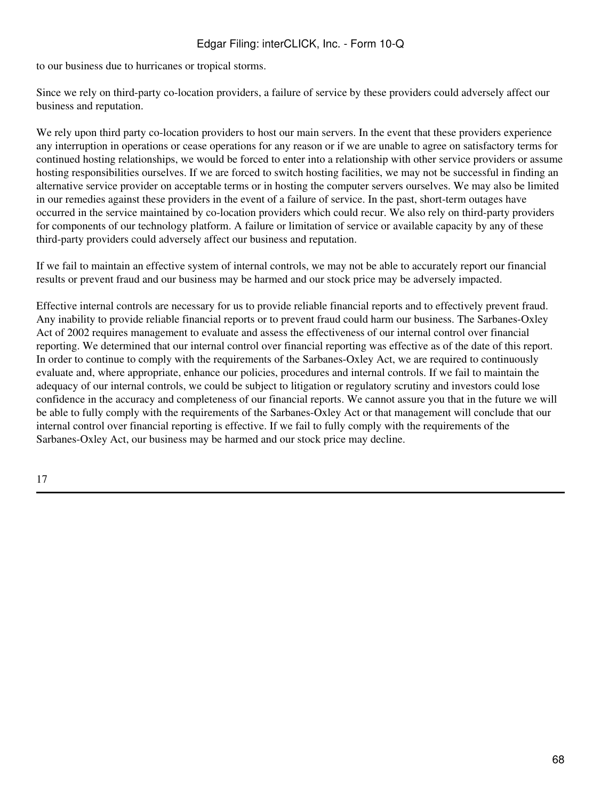to our business due to hurricanes or tropical storms.

Since we rely on third-party co-location providers, a failure of service by these providers could adversely affect our business and reputation.

We rely upon third party co-location providers to host our main servers. In the event that these providers experience any interruption in operations or cease operations for any reason or if we are unable to agree on satisfactory terms for continued hosting relationships, we would be forced to enter into a relationship with other service providers or assume hosting responsibilities ourselves. If we are forced to switch hosting facilities, we may not be successful in finding an alternative service provider on acceptable terms or in hosting the computer servers ourselves. We may also be limited in our remedies against these providers in the event of a failure of service. In the past, short-term outages have occurred in the service maintained by co-location providers which could recur. We also rely on third-party providers for components of our technology platform. A failure or limitation of service or available capacity by any of these third-party providers could adversely affect our business and reputation.

If we fail to maintain an effective system of internal controls, we may not be able to accurately report our financial results or prevent fraud and our business may be harmed and our stock price may be adversely impacted.

Effective internal controls are necessary for us to provide reliable financial reports and to effectively prevent fraud. Any inability to provide reliable financial reports or to prevent fraud could harm our business. The Sarbanes-Oxley Act of 2002 requires management to evaluate and assess the effectiveness of our internal control over financial reporting. We determined that our internal control over financial reporting was effective as of the date of this report. In order to continue to comply with the requirements of the Sarbanes-Oxley Act, we are required to continuously evaluate and, where appropriate, enhance our policies, procedures and internal controls. If we fail to maintain the adequacy of our internal controls, we could be subject to litigation or regulatory scrutiny and investors could lose confidence in the accuracy and completeness of our financial reports. We cannot assure you that in the future we will be able to fully comply with the requirements of the Sarbanes-Oxley Act or that management will conclude that our internal control over financial reporting is effective. If we fail to fully comply with the requirements of the Sarbanes-Oxley Act, our business may be harmed and our stock price may decline.

17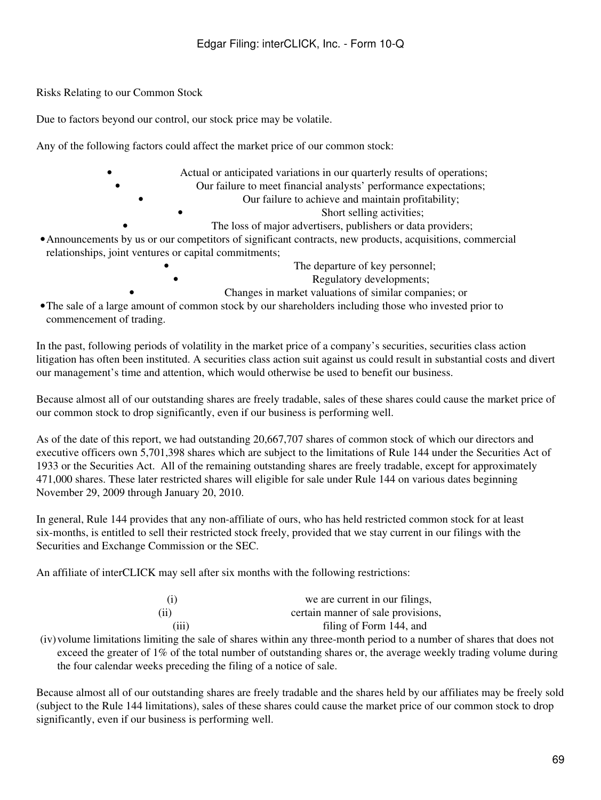Risks Relating to our Common Stock

Due to factors beyond our control, our stock price may be volatile.

Any of the following factors could affect the market price of our common stock:

- Actual or anticipated variations in our quarterly results of operations; • Our failure to meet financial analysts' performance expectations; • Our failure to achieve and maintain profitability;
	- Short selling activities;
	- The loss of major advertisers, publishers or data providers;
- •Announcements by us or our competitors of significant contracts, new products, acquisitions, commercial relationships, joint ventures or capital commitments;
	- The departure of key personnel; Regulatory developments; • Changes in market valuations of similar companies; or
- •The sale of a large amount of common stock by our shareholders including those who invested prior to commencement of trading.

In the past, following periods of volatility in the market price of a company's securities, securities class action litigation has often been instituted. A securities class action suit against us could result in substantial costs and divert our management's time and attention, which would otherwise be used to benefit our business.

Because almost all of our outstanding shares are freely tradable, sales of these shares could cause the market price of our common stock to drop significantly, even if our business is performing well.

As of the date of this report, we had outstanding 20,667,707 shares of common stock of which our directors and executive officers own 5,701,398 shares which are subject to the limitations of Rule 144 under the Securities Act of 1933 or the Securities Act. All of the remaining outstanding shares are freely tradable, except for approximately 471,000 shares. These later restricted shares will eligible for sale under Rule 144 on various dates beginning November 29, 2009 through January 20, 2010.

In general, Rule 144 provides that any non-affiliate of ours, who has held restricted common stock for at least six-months, is entitled to sell their restricted stock freely, provided that we stay current in our filings with the Securities and Exchange Commission or the SEC.

An affiliate of interCLICK may sell after six months with the following restrictions:

| (i)   | we are current in our filings,     |
|-------|------------------------------------|
| (ii)  | certain manner of sale provisions, |
| (iii) | filing of Form 144, and            |

(iv)volume limitations limiting the sale of shares within any three-month period to a number of shares that does not exceed the greater of 1% of the total number of outstanding shares or, the average weekly trading volume during the four calendar weeks preceding the filing of a notice of sale.

Because almost all of our outstanding shares are freely tradable and the shares held by our affiliates may be freely sold (subject to the Rule 144 limitations), sales of these shares could cause the market price of our common stock to drop significantly, even if our business is performing well.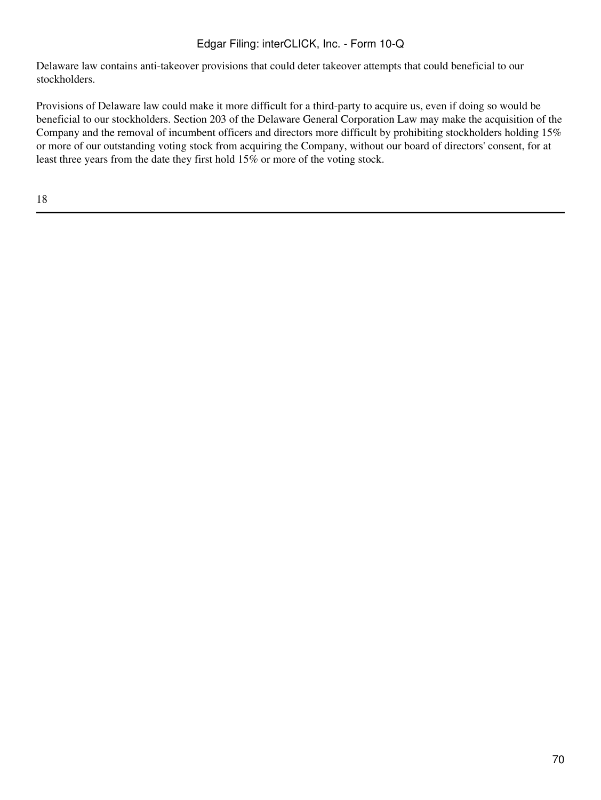Delaware law contains anti-takeover provisions that could deter takeover attempts that could beneficial to our stockholders.

Provisions of Delaware law could make it more difficult for a third-party to acquire us, even if doing so would be beneficial to our stockholders. Section 203 of the Delaware General Corporation Law may make the acquisition of the Company and the removal of incumbent officers and directors more difficult by prohibiting stockholders holding 15% or more of our outstanding voting stock from acquiring the Company, without our board of directors' consent, for at least three years from the date they first hold 15% or more of the voting stock.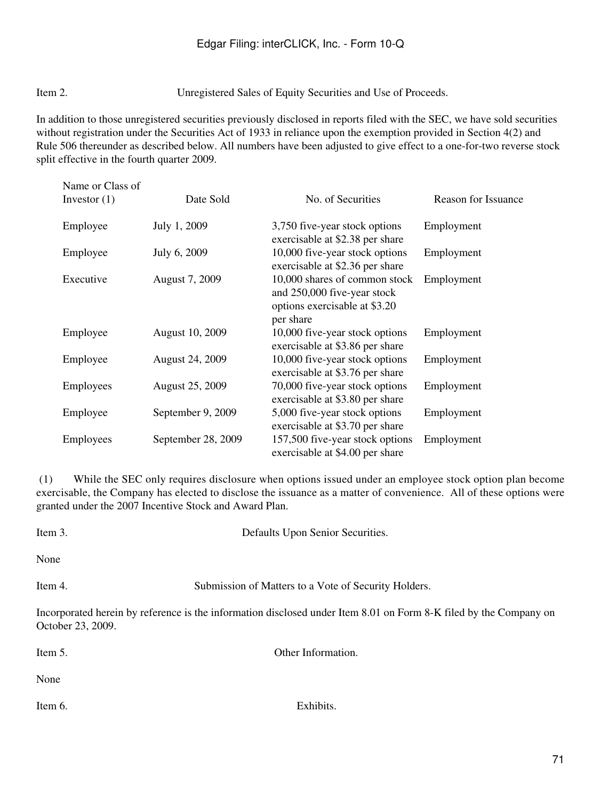Item 2. Unregistered Sales of Equity Securities and Use of Proceeds.

In addition to those unregistered securities previously disclosed in reports filed with the SEC, we have sold securities without registration under the Securities Act of 1933 in reliance upon the exemption provided in Section 4(2) and Rule 506 thereunder as described below. All numbers have been adjusted to give effect to a one-for-two reverse stock split effective in the fourth quarter 2009.

| Name or Class of<br>Investor $(1)$ | Date Sold              | No. of Securities                                                                                          | Reason for Issuance |
|------------------------------------|------------------------|------------------------------------------------------------------------------------------------------------|---------------------|
| Employee                           | July 1, 2009           | 3,750 five-year stock options<br>exercisable at \$2.38 per share                                           | Employment          |
| Employee                           | July 6, 2009           | 10,000 five-year stock options<br>exercisable at \$2.36 per share                                          | Employment          |
| Executive                          | August 7, 2009         | 10,000 shares of common stock<br>and 250,000 five-year stock<br>options exercisable at \$3.20<br>per share | Employment          |
| Employee                           | August 10, 2009        | 10,000 five-year stock options<br>exercisable at \$3.86 per share                                          | Employment          |
| Employee                           | <b>August 24, 2009</b> | 10,000 five-year stock options<br>exercisable at \$3.76 per share                                          | Employment          |
| Employees                          | <b>August 25, 2009</b> | 70,000 five-year stock options<br>exercisable at \$3.80 per share                                          | Employment          |
| Employee                           | September 9, 2009      | 5,000 five-year stock options<br>exercisable at \$3.70 per share                                           | Employment          |
| Employees                          | September 28, 2009     | 157,500 five-year stock options<br>exercisable at \$4.00 per share                                         | Employment          |

 (1) While the SEC only requires disclosure when options issued under an employee stock option plan become exercisable, the Company has elected to disclose the issuance as a matter of convenience. All of these options were granted under the 2007 Incentive Stock and Award Plan.

| Item 3.           | Defaults Upon Senior Securities.                                                                                  |  |  |
|-------------------|-------------------------------------------------------------------------------------------------------------------|--|--|
| None              |                                                                                                                   |  |  |
| Item 4.           | Submission of Matters to a Vote of Security Holders.                                                              |  |  |
| October 23, 2009. | Incorporated herein by reference is the information disclosed under Item 8.01 on Form 8-K filed by the Company on |  |  |
| Item 5.           | Other Information.                                                                                                |  |  |
| None              |                                                                                                                   |  |  |

Item 6. Exhibits.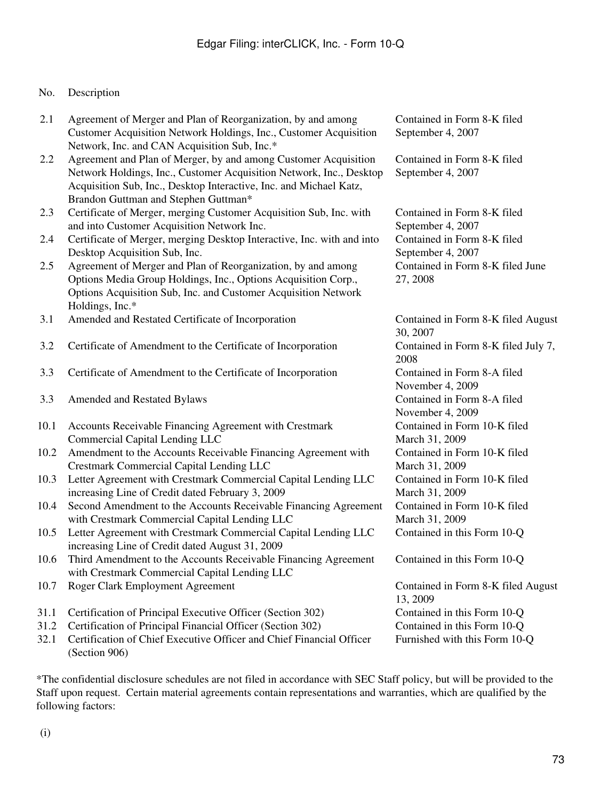## No. Description

| 2.1  | Agreement of Merger and Plan of Reorganization, by and among           | Contained in Form 8-K filed         |
|------|------------------------------------------------------------------------|-------------------------------------|
|      | Customer Acquisition Network Holdings, Inc., Customer Acquisition      | September 4, 2007                   |
|      | Network, Inc. and CAN Acquisition Sub, Inc.*                           |                                     |
| 2.2  | Agreement and Plan of Merger, by and among Customer Acquisition        | Contained in Form 8-K filed         |
|      | Network Holdings, Inc., Customer Acquisition Network, Inc., Desktop    | September 4, 2007                   |
|      | Acquisition Sub, Inc., Desktop Interactive, Inc. and Michael Katz,     |                                     |
|      | Brandon Guttman and Stephen Guttman*                                   |                                     |
| 2.3  | Certificate of Merger, merging Customer Acquisition Sub, Inc. with     | Contained in Form 8-K filed         |
|      | and into Customer Acquisition Network Inc.                             | September 4, 2007                   |
| 2.4  | Certificate of Merger, merging Desktop Interactive, Inc. with and into | Contained in Form 8-K filed         |
|      | Desktop Acquisition Sub, Inc.                                          | September 4, 2007                   |
| 2.5  | Agreement of Merger and Plan of Reorganization, by and among           | Contained in Form 8-K filed June    |
|      | Options Media Group Holdings, Inc., Options Acquisition Corp.,         | 27, 2008                            |
|      | Options Acquisition Sub, Inc. and Customer Acquisition Network         |                                     |
|      | Holdings, Inc.*                                                        |                                     |
| 3.1  | Amended and Restated Certificate of Incorporation                      | Contained in Form 8-K filed August  |
|      |                                                                        | 30, 2007                            |
| 3.2  | Certificate of Amendment to the Certificate of Incorporation           | Contained in Form 8-K filed July 7, |
|      |                                                                        | 2008                                |
| 3.3  | Certificate of Amendment to the Certificate of Incorporation           | Contained in Form 8-A filed         |
|      |                                                                        | November 4, 2009                    |
| 3.3  | Amended and Restated Bylaws                                            | Contained in Form 8-A filed         |
|      |                                                                        | November 4, 2009                    |
| 10.1 | Accounts Receivable Financing Agreement with Crestmark                 | Contained in Form 10-K filed        |
|      | <b>Commercial Capital Lending LLC</b>                                  | March 31, 2009                      |
| 10.2 | Amendment to the Accounts Receivable Financing Agreement with          | Contained in Form 10-K filed        |
|      | Crestmark Commercial Capital Lending LLC                               | March 31, 2009                      |
| 10.3 | Letter Agreement with Crestmark Commercial Capital Lending LLC         | Contained in Form 10-K filed        |
|      | increasing Line of Credit dated February 3, 2009                       | March 31, 2009                      |
| 10.4 | Second Amendment to the Accounts Receivable Financing Agreement        | Contained in Form 10-K filed        |
|      | with Crestmark Commercial Capital Lending LLC                          | March 31, 2009                      |
| 10.5 | Letter Agreement with Crestmark Commercial Capital Lending LLC         | Contained in this Form 10-Q         |
|      | increasing Line of Credit dated August 31, 2009                        |                                     |
| 10.6 | Third Amendment to the Accounts Receivable Financing Agreement         | Contained in this Form 10-Q         |
|      | with Crestmark Commercial Capital Lending LLC                          |                                     |
| 10.7 | Roger Clark Employment Agreement                                       | Contained in Form 8-K filed August  |
|      |                                                                        | 13, 2009                            |
| 31.1 | Certification of Principal Executive Officer (Section 302)             | Contained in this Form 10-Q         |
| 31.2 | Certification of Principal Financial Officer (Section 302)             | Contained in this Form 10-Q         |
| 32.1 | Certification of Chief Executive Officer and Chief Financial Officer   | Furnished with this Form 10-Q       |
|      | (Section 906)                                                          |                                     |

\*The confidential disclosure schedules are not filed in accordance with SEC Staff policy, but will be provided to the Staff upon request. Certain material agreements contain representations and warranties, which are qualified by the following factors: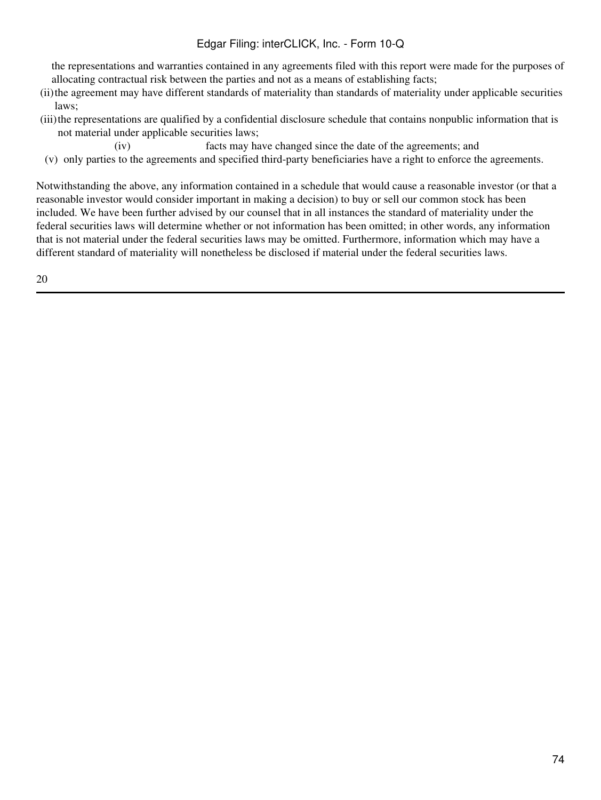## Edgar Filing: interCLICK, Inc. - Form 10-Q

the representations and warranties contained in any agreements filed with this report were made for the purposes of allocating contractual risk between the parties and not as a means of establishing facts;

- (ii)the agreement may have different standards of materiality than standards of materiality under applicable securities laws;
- (iii)the representations are qualified by a confidential disclosure schedule that contains nonpublic information that is not material under applicable securities laws;
	- (iv) facts may have changed since the date of the agreements; and
- (v) only parties to the agreements and specified third-party beneficiaries have a right to enforce the agreements.

Notwithstanding the above, any information contained in a schedule that would cause a reasonable investor (or that a reasonable investor would consider important in making a decision) to buy or sell our common stock has been included. We have been further advised by our counsel that in all instances the standard of materiality under the federal securities laws will determine whether or not information has been omitted; in other words, any information that is not material under the federal securities laws may be omitted. Furthermore, information which may have a different standard of materiality will nonetheless be disclosed if material under the federal securities laws.